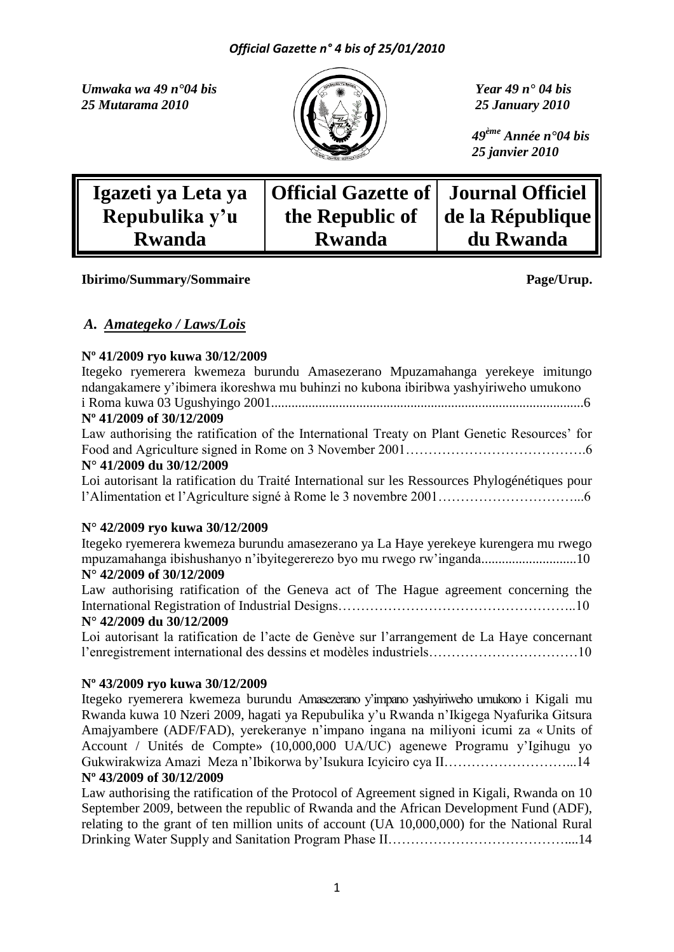*Umwaka wa 49 n°04 bis Year 49 n° 04 bis 25 Mutarama 2010 25 January 2010*



 *49ème Année n°04 bis 25 janvier 2010*

| Igazeti ya Leta ya | Official Gazette of   Journal Officiel |                  |
|--------------------|----------------------------------------|------------------|
| Repubulika y'u     | the Republic of                        | de la République |
| <b>Rwanda</b>      | <b>Rwanda</b>                          | du Rwanda        |

# **Ibirimo/Summary/Sommaire Page/Urup.**

# *A. Amategeko / Laws/Lois*

# **Nº 41/2009 ryo kuwa 30/12/2009**

# **N° 42/2009 ryo kuwa 30/12/2009**

Itegeko ryemerera kwemeza burundu amasezerano ya La Haye yerekeye kurengera mu rwego mpuzamahanga ibishushanyo n'ibyitegererezo byo mu rwego rw'inganda............................10 **N° 42/2009 of 30/12/2009**

Law authorising ratification of the Geneva act of The Hague agreement concerning the International Registration of Industrial Designs……………………………………………..10

# **N° 42/2009 du 30/12/2009**

Loi autorisant la ratification de l'acte de Genève sur l'arrangement de La Haye concernant l'enregistrement international des dessins et modèles industriels……………………………10

# **Nº 43/2009 ryo kuwa 30/12/2009**

Itegeko ryemerera kwemeza burundu Amasezerano y'impano yashyiriweho umukono i Kigali mu Rwanda kuwa 10 Nzeri 2009, hagati ya Repubulika y'u Rwanda n'Ikigega Nyafurika Gitsura Amajyambere (ADF/FAD), yerekeranye n'impano ingana na miliyoni icumi za « Units of Account / Unités de Compte» (10,000,000 UA/UC) agenewe Programu y'Igihugu yo Gukwirakwiza Amazi Meza n'Ibikorwa by'Isukura Icyiciro cya II………………………...14 **Nº 43/2009 of 30/12/2009**

Law authorising the ratification of the Protocol of Agreement signed in Kigali, Rwanda on 10 September 2009, between the republic of Rwanda and the African Development Fund (ADF), relating to the grant of ten million units of account (UA 10,000,000) for the National Rural Drinking Water Supply and Sanitation Program Phase II…………………………………....14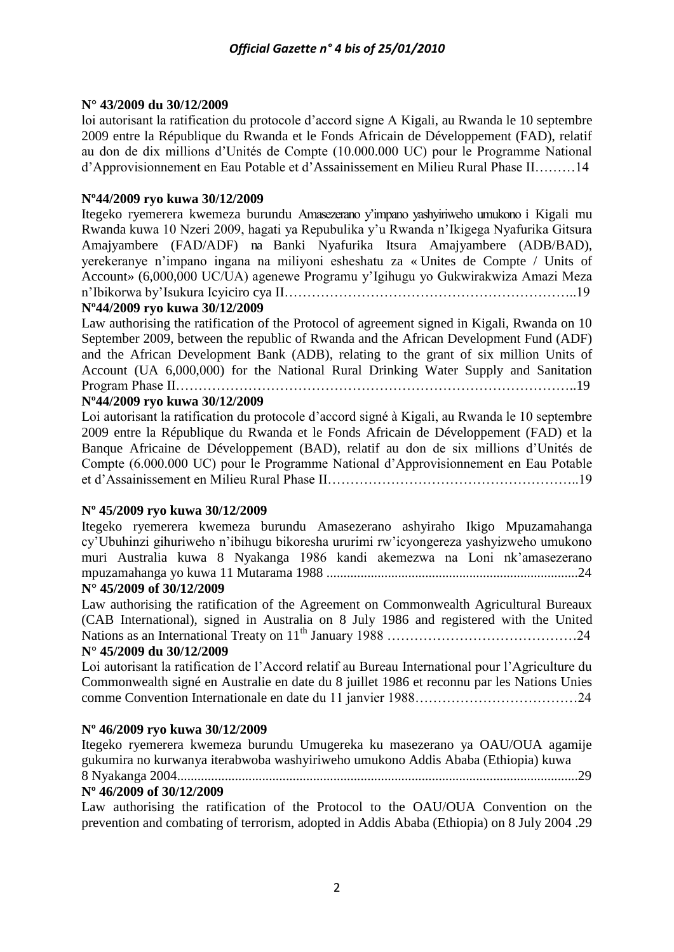# **N° 43/2009 du 30/12/2009**

loi autorisant la ratification du protocole d'accord signe A Kigali, au Rwanda le 10 septembre 2009 entre la République du Rwanda et le Fonds Africain de Développement (FAD), relatif au don de dix millions d'Unités de Compte (10.000.000 UC) pour le Programme National d'Approvisionnement en Eau Potable et d'Assainissement en Milieu Rural Phase II………14

# **Nº44/2009 ryo kuwa 30/12/2009**

Itegeko ryemerera kwemeza burundu Amasezerano y'impano yashyiriweho umukono i Kigali mu Rwanda kuwa 10 Nzeri 2009, hagati ya Repubulika y'u Rwanda n'Ikigega Nyafurika Gitsura Amajyambere (FAD/ADF) na Banki Nyafurika Itsura Amajyambere (ADB/BAD), yerekeranye n'impano ingana na miliyoni esheshatu za « Unites de Compte / Units of Account» (6,000,000 UC/UA) agenewe Programu y'Igihugu yo Gukwirakwiza Amazi Meza n'Ibikorwa by'Isukura Icyiciro cya II………………………………………………………..19

# **Nº44/2009 ryo kuwa 30/12/2009**

Law authorising the ratification of the Protocol of agreement signed in Kigali, Rwanda on 10 September 2009, between the republic of Rwanda and the African Development Fund (ADF) and the African Development Bank (ADB), relating to the grant of six million Units of Account (UA 6,000,000) for the National Rural Drinking Water Supply and Sanitation Program Phase II……………………………………………………………………………..19

# **Nº44/2009 ryo kuwa 30/12/2009**

Loi autorisant la ratification du protocole d'accord signé à Kigali, au Rwanda le 10 septembre 2009 entre la République du Rwanda et le Fonds Africain de Développement (FAD) et la Banque Africaine de Développement (BAD), relatif au don de six millions d'Unités de Compte (6.000.000 UC) pour le Programme National d'Approvisionnement en Eau Potable et d'Assainissement en Milieu Rural Phase II………………………………………………..19

# **Nº 45/2009 ryo kuwa 30/12/2009**

Itegeko ryemerera kwemeza burundu Amasezerano ashyiraho Ikigo Mpuzamahanga cy'Ubuhinzi gihuriweho n'ibihugu bikoresha ururimi rw'icyongereza yashyizweho umukono muri Australia kuwa 8 Nyakanga 1986 kandi akemezwa na Loni nk'amasezerano mpuzamahanga yo kuwa 11 Mutarama 1988 ..........................................................................24

# **N° 45/2009 of 30/12/2009**

Law authorising the ratification of the Agreement on Commonwealth Agricultural Bureaux (CAB International), signed in Australia on 8 July 1986 and registered with the United Nations as an International Treaty on 11th January 1988 ……………………………………24 **N° 45/2009 du 30/12/2009**

Loi autorisant la ratification de l'Accord relatif au Bureau International pour l'Agriculture du Commonwealth signé en Australie en date du 8 juillet 1986 et reconnu par les Nations Unies comme Convention Internationale en date du 11 janvier 1988………………………………24

# **Nº 46/2009 ryo kuwa 30/12/2009**

Itegeko ryemerera kwemeza burundu Umugereka ku masezerano ya OAU/OUA agamije gukumira no kurwanya iterabwoba washyiriweho umukono Addis Ababa (Ethiopia) kuwa 8 Nyakanga 2004......................................................................................................................29

# **Nº 46/2009 of 30/12/2009**

Law authorising the ratification of the Protocol to the OAU/OUA Convention on the prevention and combating of terrorism, adopted in Addis Ababa (Ethiopia) on 8 July 2004 .29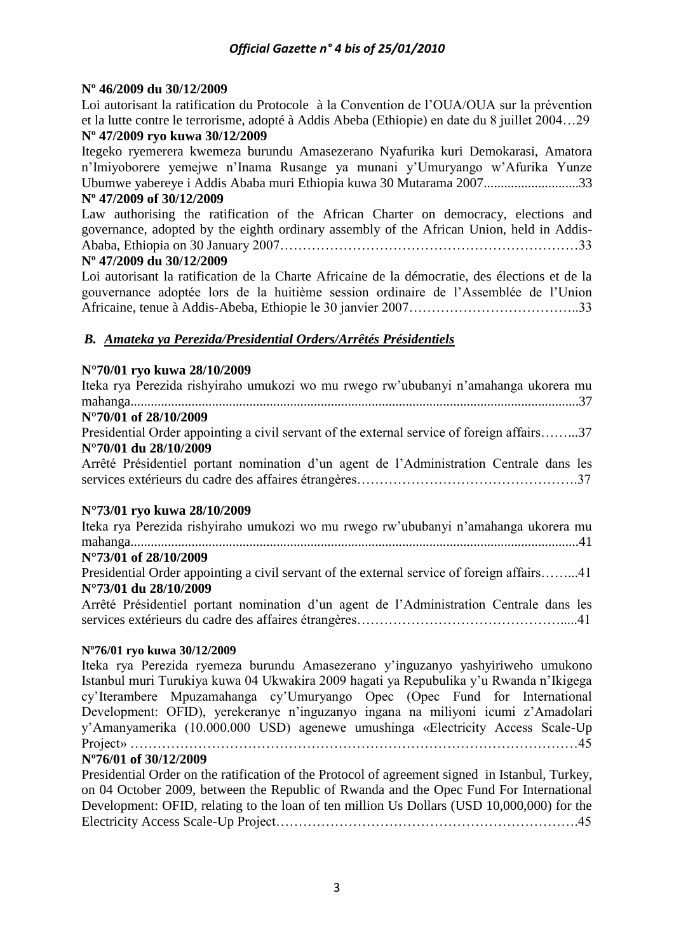# **Nº 46/2009 du 30/12/2009**

Loi autorisant la ratification du Protocole à la Convention de l'OUA/OUA sur la prévention et la lutte contre le terrorisme, adopté à Addis Abeba (Ethiopie) en date du 8 juillet 2004…29 **Nº 47/2009 ryo kuwa 30/12/2009**

Itegeko ryemerera kwemeza burundu Amasezerano Nyafurika kuri Demokarasi, Amatora n'Imiyoborere yemejwe n'Inama Rusange ya munani y'Umuryango w'Afurika Yunze Ubumwe yabereye i Addis Ababa muri Ethiopia kuwa 30 Mutarama 2007............................33 **Nº 47/2009 of 30/12/2009**

Law authorising the ratification of the African Charter on democracy, elections and governance, adopted by the eighth ordinary assembly of the African Union, held in Addis-Ababa, Ethiopia on 30 January 2007…………………………………………………………33

# **Nº 47/2009 du 30/12/2009**

Loi autorisant la ratification de la Charte Africaine de la démocratie, des élections et de la gouvernance adoptée lors de la huitième session ordinaire de l'Assemblée de l'Union Africaine, tenue à Addis-Abeba, Ethiopie le 30 janvier 2007………………………………..33

# *B. Amateka ya Perezida/Presidential Orders/Arrêtés Présidentiels*

# **N°70/01 ryo kuwa 28/10/2009**

| Iteka rya Perezida rishyiraho umukozi wo mu rwego rw'ububanyi n'amahanga ukorera mu        |
|--------------------------------------------------------------------------------------------|
|                                                                                            |
| N°70/01 of 28/10/2009                                                                      |
| Presidential Order appointing a civil servant of the external service of foreign affairs37 |
| N°70/01 du 28/10/2009                                                                      |
| Arrêté Présidentiel portant nomination d'un agent de l'Administration Centrale dans les    |
|                                                                                            |
| N°73/01 rvo kuwa 28/10/2009                                                                |

# **N°73/01 ryo kuwa 28/10/2009**

| Iteka rya Perezida rishyiraho umukozi wo mu rwego rw'ububanyi n'amahanga ukorera mu        |  |
|--------------------------------------------------------------------------------------------|--|
|                                                                                            |  |
| N°73/01 of 28/10/2009                                                                      |  |
| Presidential Order appointing a civil servant of the external service of foreign affairs41 |  |
| N°73/01 du 28/10/2009                                                                      |  |
| Arrêté Présidentiel portant nomination d'un agent de l'Administration Centrale dans les    |  |
|                                                                                            |  |

# **Nº76/01 ryo kuwa 30/12/2009**

Iteka rya Perezida ryemeza burundu Amasezerano y'inguzanyo yashyiriweho umukono Istanbul muri Turukiya kuwa 04 Ukwakira 2009 hagati ya Repubulika y'u Rwanda n'Ikigega cy'Iterambere Mpuzamahanga cy'Umuryango Opec (Opec Fund for International Development: OFID), yerekeranye n'inguzanyo ingana na miliyoni icumi z'Amadolari y'Amanyamerika (10.000.000 USD) agenewe umushinga «Electricity Access Scale-Up Project» ………………………………………………………………………………………45

# **Nº76/01 of 30/12/2009**

Presidential Order on the ratification of the Protocol of agreement signed in Istanbul, Turkey, on 04 October 2009, between the Republic of Rwanda and the Opec Fund For International Development: OFID, relating to the loan of ten million Us Dollars (USD 10,000,000) for the Electricity Access Scale-Up Project………………………………………………………….45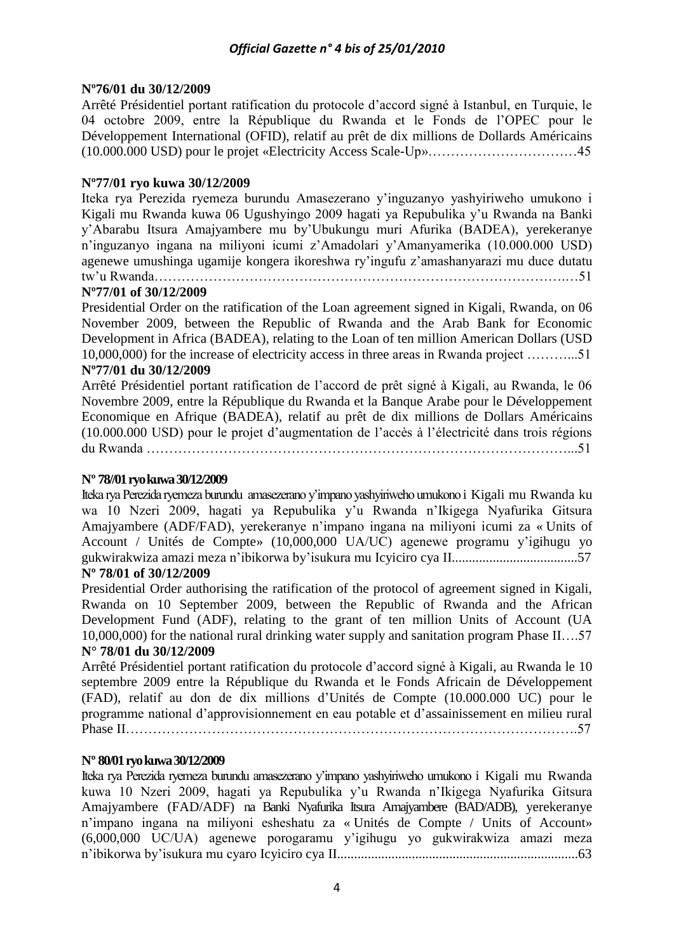# **Nº76/01 du 30/12/2009**

Arrêté Présidentiel portant ratification du protocole d'accord signé à Istanbul, en Turquie, le 04 octobre 2009, entre la République du Rwanda et le Fonds de l'OPEC pour le Développement International (OFID), relatif au prêt de dix millions de Dollards Américains (10.000.000 USD) pour le projet «Electricity Access Scale-Up»……………………………45

# **Nº77/01 ryo kuwa 30/12/2009**

Iteka rya Perezida ryemeza burundu Amasezerano y'inguzanyo yashyiriweho umukono i Kigali mu Rwanda kuwa 06 Ugushyingo 2009 hagati ya Repubulika y'u Rwanda na Banki y'Abarabu Itsura Amajyambere mu by'Ubukungu muri Afurika (BADEA), yerekeranye n'inguzanyo ingana na miliyoni icumi z'Amadolari y'Amanyamerika (10.000.000 USD) agenewe umushinga ugamije kongera ikoreshwa ry'ingufu z'amashanyarazi mu duce dutatu tw'u Rwanda……………………………………………………………………………….…51

# **Nº77/01 of 30/12/2009**

Presidential Order on the ratification of the Loan agreement signed in Kigali, Rwanda, on 06 November 2009, between the Republic of Rwanda and the Arab Bank for Economic Development in Africa (BADEA), relating to the Loan of ten million American Dollars (USD 10,000,000) for the increase of electricity access in three areas in Rwanda project ………...51

# **Nº77/01 du 30/12/2009**

Arrêté Présidentiel portant ratification de l'accord de prêt signé à Kigali, au Rwanda, le 06 Novembre 2009, entre la République du Rwanda et la Banque Arabe pour le Développement Economique en Afrique (BADEA), relatif au prêt de dix millions de Dollars Américains (10.000.000 USD) pour le projet d'augmentation de l'accès à l'électricité dans trois régions du Rwanda …………………………………………………………………………………...51

# **Nº 78//01 ryo kuwa 30/12/2009**

Iteka rya Perezida ryemeza burundu amasezerano y'impano yashyiriweho umukono i Kigali mu Rwanda ku wa 10 Nzeri 2009, hagati ya Repubulika y'u Rwanda n'Ikigega Nyafurika Gitsura Amajyambere (ADF/FAD), yerekeranye n'impano ingana na miliyoni icumi za « Units of Account / Unités de Compte» (10,000,000 UA/UC) agenewe programu y'igihugu yo gukwirakwiza amazi meza n'ibikorwa by'isukura mu Icyiciro cya II.....................................57 **Nº 78/01 of 30/12/2009**

Presidential Order authorising the ratification of the protocol of agreement signed in Kigali, Rwanda on 10 September 2009, between the Republic of Rwanda and the African Development Fund (ADF), relating to the grant of ten million Units of Account (UA 10,000,000) for the national rural drinking water supply and sanitation program Phase II….57 **N° 78/01 du 30/12/2009**

# Arrêté Présidentiel portant ratification du protocole d'accord signé à Kigali, au Rwanda le 10 septembre 2009 entre la République du Rwanda et le Fonds Africain de Développement (FAD), relatif au don de dix millions d'Unités de Compte (10.000.000 UC) pour le programme national d'approvisionnement en eau potable et d'assainissement en milieu rural Phase II……………………………………………………………………………………….57

# **Nº 80/01 ryo kuwa 30/12/2009**

Iteka rya Perezida ryemeza burundu amasezerano y'impano yashyiriweho umukono i Kigali mu Rwanda kuwa 10 Nzeri 2009, hagati ya Repubulika y'u Rwanda n'Ikigega Nyafurika Gitsura Amajyambere (FAD/ADF) na Banki Nyafurika Itsura Amajyambere (BAD/ADB), yerekeranye n'impano ingana na miliyoni esheshatu za « Unités de Compte / Units of Account» (6,000,000 UC/UA) agenewe porogaramu y'igihugu yo gukwirakwiza amazi meza n'ibikorwa by'isukura mu cyaro Icyiciro cya II.......................................................................63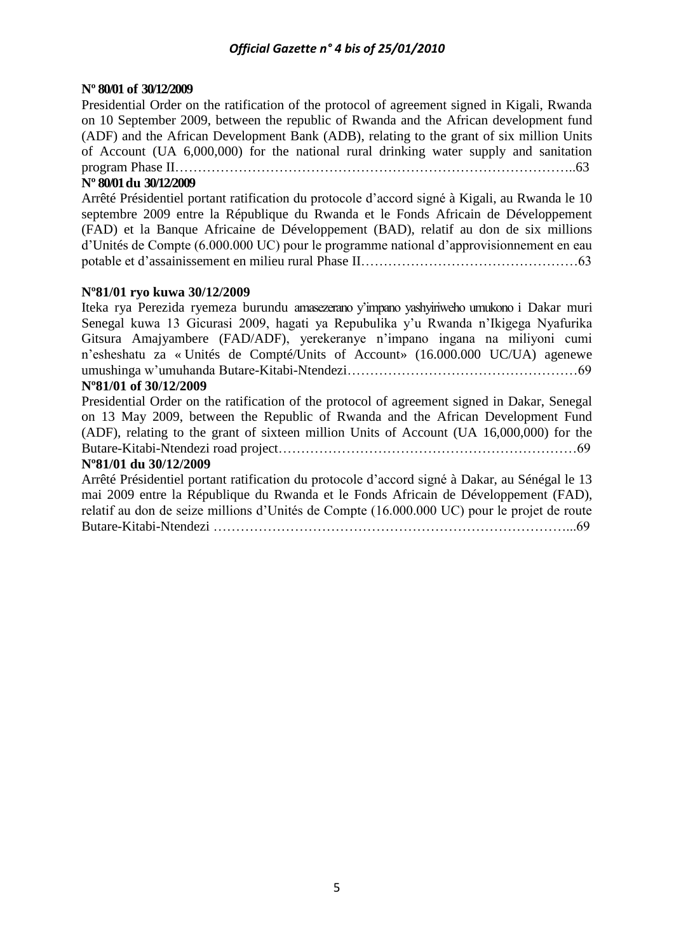# **Nº 80/01 of 30/12/2009**

Presidential Order on the ratification of the protocol of agreement signed in Kigali, Rwanda on 10 September 2009, between the republic of Rwanda and the African development fund (ADF) and the African Development Bank (ADB), relating to the grant of six million Units of Account (UA 6,000,000) for the national rural drinking water supply and sanitation program Phase II……………………………………………………………………………..63

# **Nº 80/01 du 30/12/2009**

Arrêté Présidentiel portant ratification du protocole d'accord signé à Kigali, au Rwanda le 10 septembre 2009 entre la République du Rwanda et le Fonds Africain de Développement (FAD) et la Banque Africaine de Développement (BAD), relatif au don de six millions d'Unités de Compte (6.000.000 UC) pour le programme national d'approvisionnement en eau potable et d'assainissement en milieu rural Phase II…………………………………………63

# **Nº81/01 ryo kuwa 30/12/2009**

Iteka rya Perezida ryemeza burundu amasezerano y'impano yashyiriweho umukono i Dakar muri Senegal kuwa 13 Gicurasi 2009, hagati ya Repubulika y'u Rwanda n'Ikigega Nyafurika Gitsura Amajyambere (FAD/ADF), yerekeranye n'impano ingana na miliyoni cumi n'esheshatu za « Unités de Compté/Units of Account» (16.000.000 UC/UA) agenewe umushinga w'umuhanda Butare-Kitabi-Ntendezi……………………………………………69

# **Nº81/01 of 30/12/2009**

Presidential Order on the ratification of the protocol of agreement signed in Dakar, Senegal on 13 May 2009, between the Republic of Rwanda and the African Development Fund (ADF), relating to the grant of sixteen million Units of Account (UA 16,000,000) for the Butare-Kitabi-Ntendezi road project…………………………………………………………69

# **Nº81/01 du 30/12/2009**

Arrêté Présidentiel portant ratification du protocole d'accord signé à Dakar, au Sénégal le 13 mai 2009 entre la République du Rwanda et le Fonds Africain de Développement (FAD), relatif au don de seize millions d'Unités de Compte (16.000.000 UC) pour le projet de route Butare-Kitabi-Ntendezi ……………………………………………………………………...69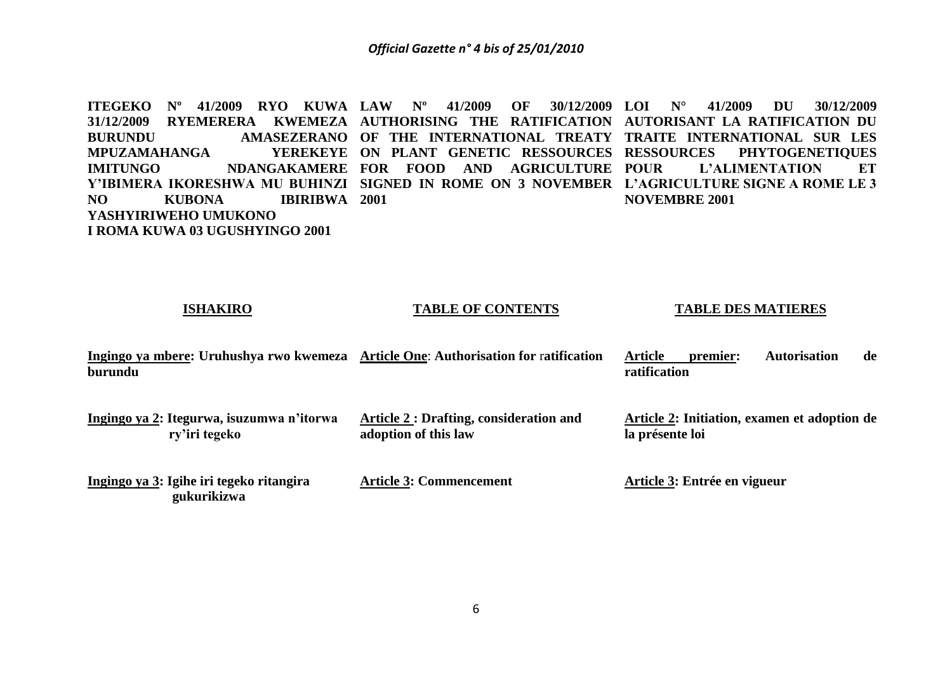**ITEGEKO Nº 41/2009 RYO KUWA LAW Nº 41/2009 OF 30/12/2009**  31/12/2009 RYEMERERA KWEMEZA AUTHORISING THE RATIFICATION AUTORISANT LA RATIFICATION DU **BURUNDU AMASEZERANO OF THE INTERNATIONAL TREATY TRAITE INTERNATIONAL SUR LES MPUZAMAHANGA IMITUNGO NDANGAKAMERE FOR FOOD AND AGRICULTURE**  Y'IBIMERA IKORESHWA MU BUHINZI SIGNED IN ROME ON 3 NOVEMBER L'AGRICULTURE SIGNE A ROME LE 3 **NO KUBONA IBIRIBWA 2001 YASHYIRIWEHO UMUKONO I ROMA KUWA 03 UGUSHYINGO 2001 ON PLANT GENETIC RESSOURCES RESSOURCES PHYTOGENETIQUES LOI N° 41/2009 DU 30/12/2009 POUR L'ALIMENTATION ET NOVEMBRE 2001**

| Ingingo ya mbere: Uruhushya rwo kwemeza<br>burundu         | <b>Article One: Authorisation for ratification</b>                    | Autorisation<br><b>Article</b><br>de<br>premier:<br>ratification |
|------------------------------------------------------------|-----------------------------------------------------------------------|------------------------------------------------------------------|
| Ingingo ya 2: Itegurwa, isuzumwa n'itorwa<br>ry'iri tegeko | <b>Article 2: Drafting, consideration and</b><br>adoption of this law | Article 2: Initiation, examen et adoption de<br>la présente loi  |
| Ingingo ya 3: Igihe iri tegeko ritangira<br>gukurikizwa    | <b>Article 3: Commencement</b>                                        | Article 3: Entrée en vigueur                                     |

**TABLE OF CONTENTS**

**TABLE DES MATIERES**

**ISHAKIRO**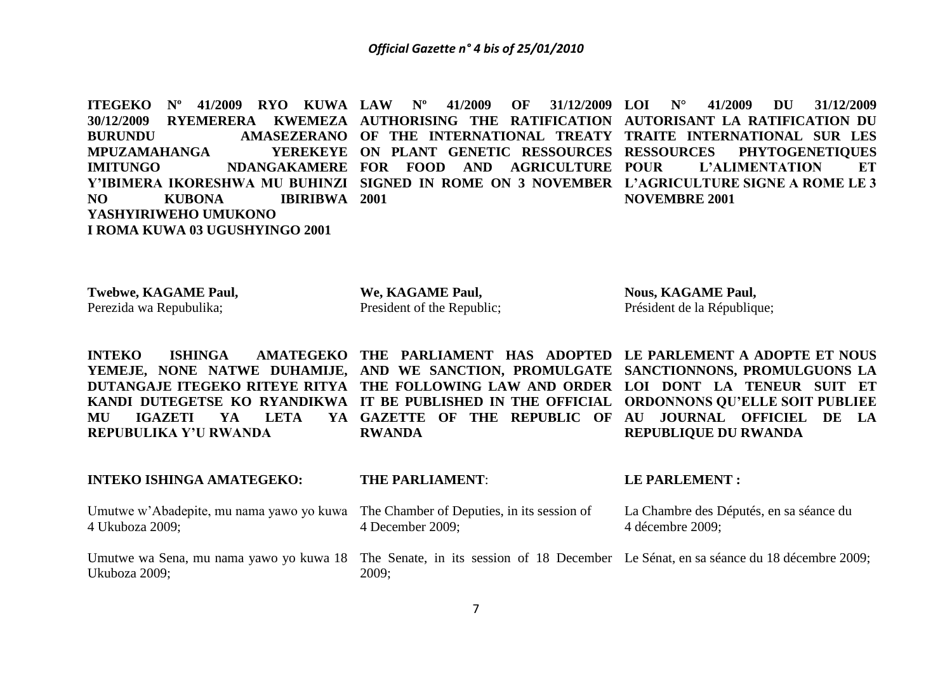**ITEGEKO Nº 41/2009 RYO KUWA**  30/12/2009 RYEMERERA KWEMEZA AUTHORISING THE RATIFICATION AUTORISANT LA-RATIFICATION DU **BURUNDU AMASEZERANO OF THE INTERNATIONAL TREATY TRAITE INTERNATIONAL SUR LES MPUZAMAHANGA IMITUNGO NDANGAKAMERE FOR FOOD AND AGRICULTURE**  Y'IBIMERA IKORESHWA MU BUHINZI SIGNED IN ROME ON 3 NOVEMBER L'AGRICULTURE SIGNE A ROME LE 3 **NO KUBONA IBIRIBWA 2001 YASHYIRIWEHO UMUKONO I ROMA KUWA 03 UGUSHYINGO 2001 LAW Nº 41/2009 OF 31/12/2009**  YEREKEYE ON PLANT GENETIC RESSOURCES RESSOURCES **LOI N° 41/2009 DU 31/12/2009 PHYTOGENETIQUES L'ALIMENTATION ET NOVEMBRE 2001**

**Twebwe, KAGAME Paul,** Perezida wa Repubulika;

**We, KAGAME Paul,** President of the Republic; **Nous, KAGAME Paul,** Président de la République;

**INTEKO** ISHINGA AMATEGEKO THE PARLIAMENT HAS ADOPTED LE-PARLEMENT A ADOPTE ET NOUS **YEMEJE, NONE NATWE DUHAMIJE, AND WE SANCTION, PROMULGATE SANCTIONNONS, PROMULGUONS LA**  DUTANGAJE ITEGEKO RITEYE RITYA THE FOLLOWING LAW AND ORDER LOI DONT LA TENEUR SUIT ET **KANDI DUTEGETSE KO RYANDIKWA IT BE PUBLISHED IN THE OFFICIAL ORDONNONS QU'ELLE SOIT PUBLIEE MU IGAZETI YA LETA YA REPUBULIKA Y'U RWANDA GAZETTE OF THE REPUBLIC OF AU JOURNAL OFFICIEL DE LA RWANDA REPUBLIQUE DU RWANDA**

#### **INTEKO ISHINGA AMATEGEKO:**  Umutwe w'Abadepite, mu nama yawo yo kuwa The Chamber of Deputies, in its session of 4 Ukuboza 2009; **THE PARLIAMENT**: 4 December 2009; **LE PARLEMENT :** La Chambre des Députés, en sa séance du 4 décembre 2009;

Umutwe wa Sena, mu nama yawo yo kuwa 18 The Senate, in its session of 18 December Le Sénat, en sa séance du 18 décembre 2009; Ukuboza 2009; 2009;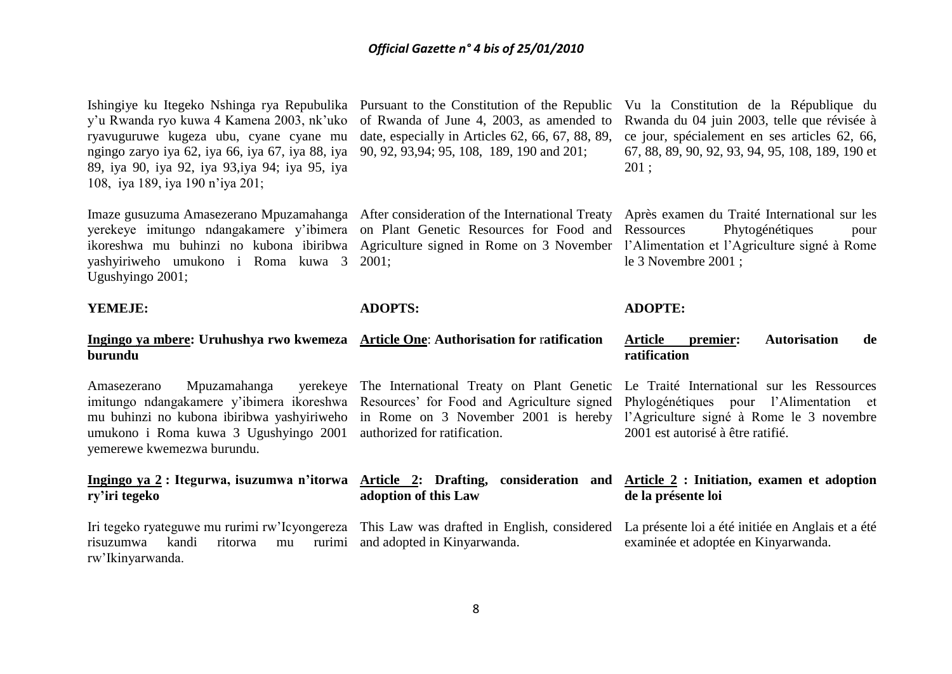Ishingiye ku Itegeko Nshinga rya Repubulika Pursuant to the Constitution of the Republic Vu la Constitution de la République du y'u Rwanda ryo kuwa 4 Kamena 2003, nk'uko ryavuguruwe kugeza ubu, cyane cyane mu ngingo zaryo iya 62, iya 66, iya 67, iya 88, iya 90, 92, 93,94; 95, 108, 189, 190 and 201; 89, iya 90, iya 92, iya 93,iya 94; iya 95, iya 108, iya 189, iya 190 n'iya 201;

yerekeye imitungo ndangakamere y'ibimera on Plant Genetic Resources for Food and ikoreshwa mu buhinzi no kubona ibiribwa Agriculture signed in Rome on 3 November l'Alimentation et l'Agriculture signé à Rome yashyiriweho umukono i Roma kuwa 3 2001; Ugushyingo 2001;

#### **YEMEJE:**

of Rwanda of June 4, 2003, as amended to date, especially in Articles 62, 66, 67, 88, 89,

Imaze gusuzuma Amasezerano Mpuzamahanga After consideration of the International Treaty

**ADOPTS:**

# Rwanda du 04 juin 2003, telle que révisée à ce jour, spécialement en ses articles 62, 66, 67, 88, 89, 90, 92, 93, 94, 95, 108, 189, 190 et 201 ;

Après examen du Traité International sur les Phytogénétiques pour le 3 Novembre 2001 ;

Phylogénétiques pour l'Alimentation et

2001 est autorisé à être ratifié.

#### **ADOPTE:**

#### **Ingingo ya mbere: Uruhushya rwo kwemeza Article One**: **Authorisation for** r**atification burundu Article premier: Autorisation de ratification**

Amasezerano Mpuzamahanga imitungo ndangakamere y'ibimera ikoreshwa Resources' for Food and Agriculture signed mu buhinzi no kubona ibiribwa yashyiriweho in Rome on 3 November 2001 is hereby l'Agriculture signé à Rome le 3 novembre umukono i Roma kuwa 3 Ugushyingo 2001 authorized for ratification. yemerewe kwemezwa burundu. The International Treaty on Plant Genetic Le Traité International sur les Ressources

#### Ingingo ya 2 : Itegurwa, isuzumwa n'itorwa Article 2: Drafting, consideration and Article 2 : Initiation, examen et adoption **ry'iri tegeko adoption of this Law de la présente loi**

Iri tegeko ryateguwe mu rurimi rw'Icyongereza This Law was drafted in English, considered La présente loi a été initiée en Anglais et a été risuzumwa kandi ritorwa mu rw'Ikinyarwanda. and adopted in Kinyarwanda. examinée et adoptée en Kinyarwanda.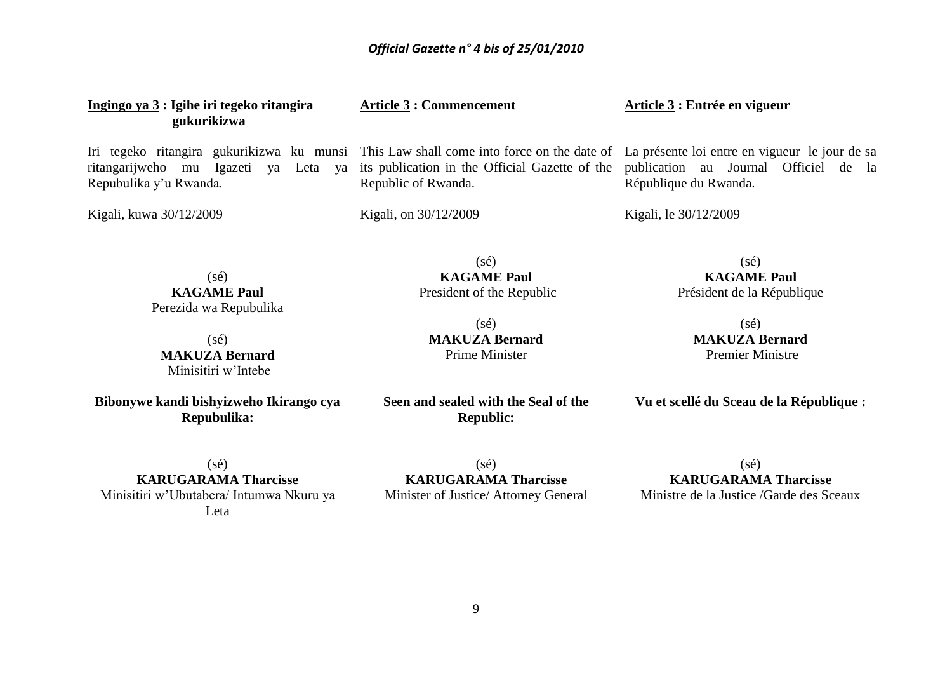| Ingingo ya 3 : Igihe iri tegeko ritangira<br>gukurikizwa                                                                                                                                                    | <b>Article 3 : Commencement</b>                                                        | Article 3 : Entrée en vigueur                                                              |
|-------------------------------------------------------------------------------------------------------------------------------------------------------------------------------------------------------------|----------------------------------------------------------------------------------------|--------------------------------------------------------------------------------------------|
| Iri tegeko ritangira gukurikizwa ku munsi This Law shall come into force on the date of La présente loi entre en vigueur le jour de sa<br>ritangarijweho mu Igazeti ya Leta<br>ya<br>Repubulika y'u Rwanda. | its publication in the Official Gazette of the<br>Republic of Rwanda.                  | publication au Journal Officiel de la<br>République du Rwanda.                             |
| Kigali, kuwa 30/12/2009                                                                                                                                                                                     | Kigali, on 30/12/2009                                                                  | Kigali, le 30/12/2009                                                                      |
| $(s\acute{e})$<br><b>KAGAME Paul</b><br>Perezida wa Repubulika                                                                                                                                              | $(s\acute{e})$<br><b>KAGAME Paul</b><br>President of the Republic                      | $(s\acute{e})$<br><b>KAGAME Paul</b><br>Président de la République                         |
|                                                                                                                                                                                                             | $(s\acute{e})$                                                                         | $(s\acute{e})$                                                                             |
| $(s\acute{e})$                                                                                                                                                                                              | <b>MAKUZA Bernard</b>                                                                  | <b>MAKUZA Bernard</b>                                                                      |
| <b>MAKUZA Bernard</b><br>Minisitiri w'Intebe                                                                                                                                                                | <b>Prime Minister</b>                                                                  | <b>Premier Ministre</b>                                                                    |
| Bibonywe kandi bishyizweho Ikirango cya<br>Repubulika:                                                                                                                                                      | Seen and sealed with the Seal of the<br><b>Republic:</b>                               | Vu et scellé du Sceau de la République :                                                   |
| $(s\acute{e})$<br><b>KARUGARAMA Tharcisse</b><br>Minisitiri w'Ubutabera/ Intumwa Nkuru ya<br>Leta                                                                                                           | $(s\acute{e})$<br><b>KARUGARAMA Tharcisse</b><br>Minister of Justice/ Attorney General | $(s\acute{e})$<br><b>KARUGARAMA Tharcisse</b><br>Ministre de la Justice / Garde des Sceaux |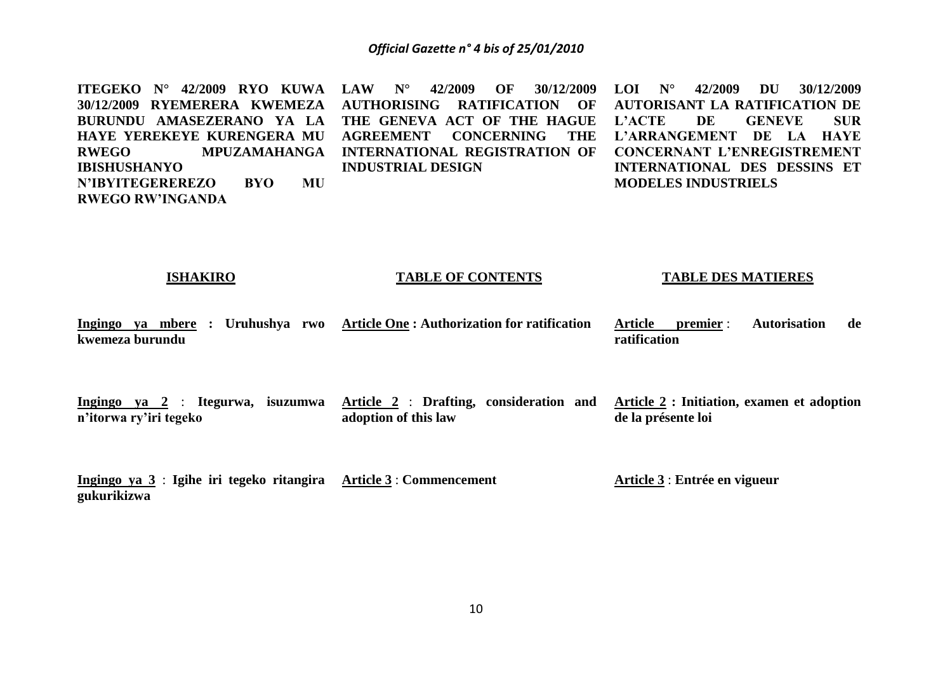**ITEGEKO N° 42/2009 RYO KUWA LAW N° 42/2009 OF 30/12/2009 30/12/2009 RYEMERERA KWEMEZA BURUNDU AMASEZERANO YA LA HAYE YEREKEYE KURENGERA MU AGREEMENT CONCERNING THE RWEGO MPUZAMAHANGA INTERNATIONAL REGISTRATION OF IBISHUSHANYO N'IBYITEGEREREZO BYO MU RWEGO RW'INGANDA AUTHORISING RATIFICATION OF THE GENEVA ACT OF THE HAGUE INDUSTRIAL DESIGN LOI N° 42/2009 DU 30/12/2009 AUTORISANT LA RATIFICATION DE L'ACTE DE GENEVE SUR L'ARRANGEMENT DE LA HAYE CONCERNANT L'ENREGISTREMENT INTERNATIONAL DES DESSINS ET MODELES INDUSTRIELS**

#### **ISHAKIRO**

#### **TABLE OF CONTENTS**

#### **TABLE DES MATIERES**

**Ingingo ya mbere : Uruhushya rwo Article One : Authorization for ratification kwemeza burundu Article premier** : **Autorisation de ratification**

**Ingingo ya 2** : **Itegurwa, isuzumwa Article 2** : **Drafting, consideration and n'itorwa ry'iri tegeko adoption of this law Article 2 : Initiation, examen et adoption de la présente loi**

**Ingingo ya 3** : **Igihe iri tegeko ritangira Article 3** : **Commencement gukurikizwa Article 3** : **Entrée en vigueur**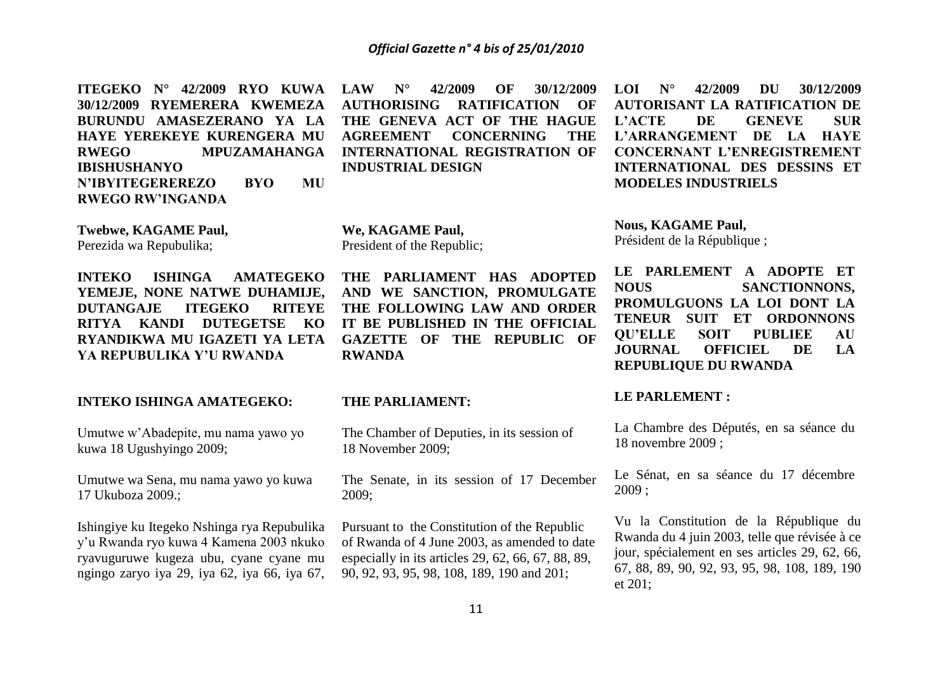**ITEGEKO N° 42/2009 RYO KUWA 30/12/2009 RYEMERERA KWEMEZA BURUNDU AMASEZERANO YA LA HAYE YEREKEYE KURENGERA MU RWEGO MPUZAMAHANGA IBISHUSHANYO N'IBYITEGEREREZO BYO MU RWEGO RW'INGANDA**

**Twebwe, KAGAME Paul,** Perezida wa Repubulika;

**INTEKO ISHINGA AMATEGEKO YEMEJE, NONE NATWE DUHAMIJE, DUTANGAJE ITEGEKO RITEYE RITYA KANDI DUTEGETSE KO RYANDIKWA MU IGAZETI YA LETA YA REPUBULIKA Y'U RWANDA**

#### **INTEKO ISHINGA AMATEGEKO:**

Umutwe w'Abadepite, mu nama yawo yo kuwa 18 Ugushyingo 2009;

Umutwe wa Sena, mu nama yawo yo kuwa 17 Ukuboza 2009.;

Ishingiye ku Itegeko Nshinga rya Repubulika y'u Rwanda ryo kuwa 4 Kamena 2003 nkuko ryavuguruwe kugeza ubu, cyane cyane mu ngingo zaryo iya 29, iya 62, iya 66, iya 67,

**LAW N° 42/2009 OF 30/12/2009 AUTHORISING RATIFICATION OF THE GENEVA ACT OF THE HAGUE AGREEMENT CONCERNING THE INTERNATIONAL REGISTRATION OF INDUSTRIAL DESIGN**

**We, KAGAME Paul,** President of the Republic;

**THE PARLIAMENT HAS ADOPTED AND WE SANCTION, PROMULGATE THE FOLLOWING LAW AND ORDER IT BE PUBLISHED IN THE OFFICIAL GAZETTE OF THE REPUBLIC OF RWANDA**

#### **THE PARLIAMENT:**

The Chamber of Deputies, in its session of 18 November 2009;

The Senate, in its session of 17 December 2009;

Pursuant to the Constitution of the Republic of Rwanda of 4 June 2003, as amended to date especially in its articles 29, 62, 66, 67, 88, 89, 90, 92, 93, 95, 98, 108, 189, 190 and 201;

**LOI N° 42/2009 DU 30/12/2009 AUTORISANT LA RATIFICATION DE L'ACTE DE GENEVE SUR L'ARRANGEMENT DE LA HAYE CONCERNANT L'ENREGISTREMENT INTERNATIONAL DES DESSINS ET MODELES INDUSTRIELS**

**Nous, KAGAME Paul,** Président de la République ;

**LE PARLEMENT A ADOPTE ET NOUS SANCTIONNONS, PROMULGUONS LA LOI DONT LA TENEUR SUIT ET ORDONNONS QU'ELLE SOIT PUBLIEE AU JOURNAL OFFICIEL DE LA REPUBLIQUE DU RWANDA**

#### **LE PARLEMENT :**

La Chambre des Députés, en sa séance du 18 novembre 2009 ;

Le Sénat, en sa séance du 17 décembre 2009 ;

Vu la Constitution de la République du Rwanda du 4 juin 2003, telle que révisée à ce jour, spécialement en ses articles 29, 62, 66, 67, 88, 89, 90, 92, 93, 95, 98, 108, 189, 190 et 201;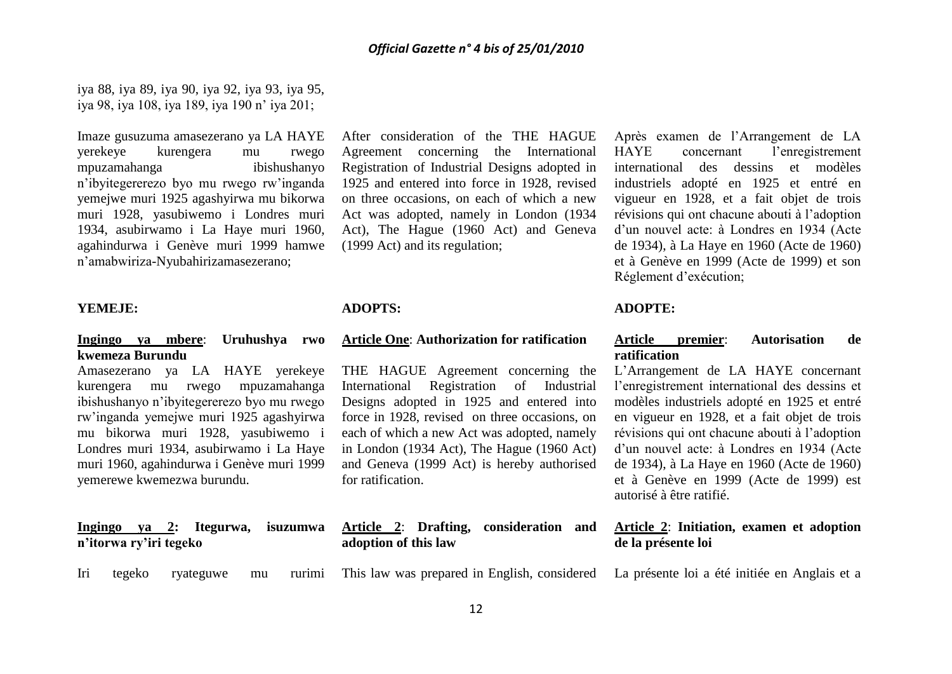iya 88, iya 89, iya 90, iya 92, iya 93, iya 95, iya 98, iya 108, iya 189, iya 190 n' iya 201;

Imaze gusuzuma amasezerano ya LA HAYE yerekeye kurengera mu rwego mpuzamahanga ibishushanyo n'ibyitegererezo byo mu rwego rw'inganda yemejwe muri 1925 agashyirwa mu bikorwa muri 1928, yasubiwemo i Londres muri 1934, asubirwamo i La Haye muri 1960, agahindurwa i Genève muri 1999 hamwe n'amabwiriza-Nyubahirizamasezerano;

#### **YEMEJE:**

# **Ingingo ya mbere**: **Uruhushya rwo kwemeza Burundu**

Amasezerano ya LA HAYE yerekeye kurengera mu rwego mpuzamahanga ibishushanyo n'ibyitegererezo byo mu rwego rw'inganda yemejwe muri 1925 agashyirwa mu bikorwa muri 1928, yasubiwemo i Londres muri 1934, asubirwamo i La Haye muri 1960, agahindurwa i Genève muri 1999 yemerewe kwemezwa burundu.

|                        |  | Ingingo ya 2: Itegurwa, isuzumwa |  |
|------------------------|--|----------------------------------|--|
| n'itorwa ry'iri tegeko |  |                                  |  |

After consideration of the THE HAGUE Agreement concerning the International Registration of Industrial Designs adopted in 1925 and entered into force in 1928, revised on three occasions, on each of which a new Act was adopted, namely in London (1934 Act), The Hague (1960 Act) and Geneva (1999 Act) and its regulation;

# **ADOPTS:**

# **Article One**: **Authorization for ratification**

THE HAGUE Agreement concerning the International Registration of Industrial Designs adopted in 1925 and entered into force in 1928, revised on three occasions, on each of which a new Act was adopted, namely in London (1934 Act), The Hague (1960 Act) and Geneva (1999 Act) is hereby authorised for ratification.

|                      | Article 2: Drafting, consideration and |  |
|----------------------|----------------------------------------|--|
| adoption of this law |                                        |  |

Iri tegeko ryateguwe mu rurimi This law was prepared in English, considered

Après examen de l'Arrangement de LA HAYE concernant l'enregistrement international des dessins et modèles industriels adopté en 1925 et entré en vigueur en 1928, et a fait objet de trois révisions qui ont chacune abouti à l'adoption d'un nouvel acte: à Londres en 1934 (Acte de 1934), à La Haye en 1960 (Acte de 1960) et à Genève en 1999 (Acte de 1999) et son Réglement d'exécution;

# **ADOPTE:**

#### **Article premier**: **Autorisation de ratification**

L'Arrangement de LA HAYE concernant l'enregistrement international des dessins et modèles industriels adopté en 1925 et entré en vigueur en 1928, et a fait objet de trois révisions qui ont chacune abouti à l'adoption d'un nouvel acte: à Londres en 1934 (Acte de 1934), à La Haye en 1960 (Acte de 1960) et à Genève en 1999 (Acte de 1999) est autorisé à être ratifié.

## **Article 2**: **Initiation, examen et adoption de la présente loi**

La présente loi a été initiée en Anglais et a

12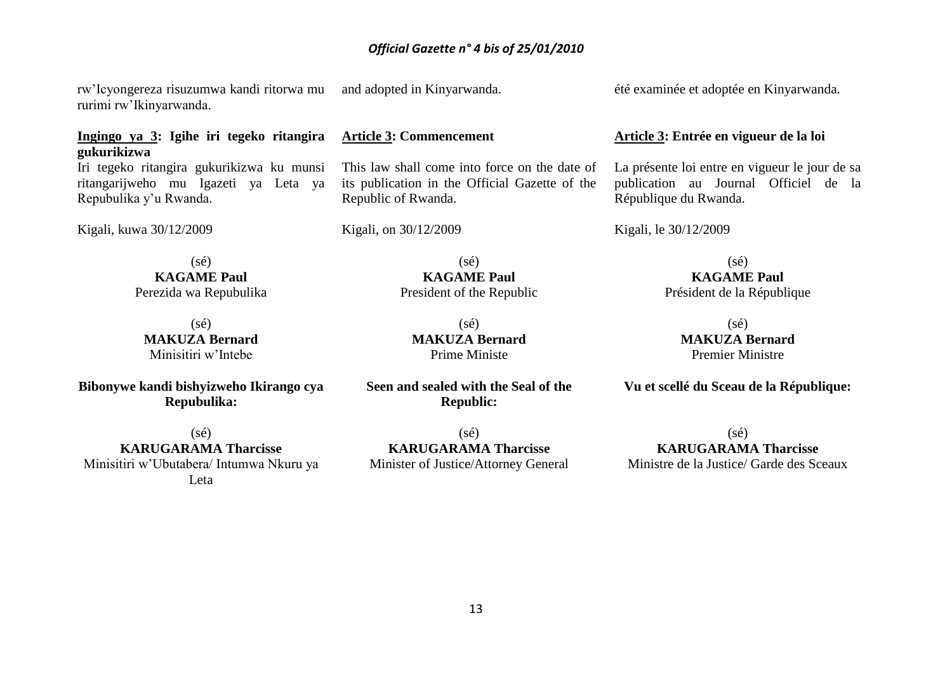rw'Icyongereza risuzumwa kandi ritorwa mu rurimi rw'Ikinyarwanda.

# **Ingingo ya 3: Igihe iri tegeko ritangira gukurikizwa**

Iri tegeko ritangira gukurikizwa ku munsi ritangarijweho mu Igazeti ya Leta ya Repubulika y'u Rwanda.

Kigali, kuwa 30/12/2009

 $(sé)$ **KAGAME Paul** Perezida wa Repubulika

 $(sé)$ **MAKUZA Bernard** Minisitiri w'Intebe

**Bibonywe kandi bishyizweho Ikirango cya Repubulika:**

(sé) **KARUGARAMA Tharcisse** Minisitiri w'Ubutabera/ Intumwa Nkuru ya Leta

and adopted in Kinyarwanda.

# **Article 3: Commencement**

This law shall come into force on the date of its publication in the Official Gazette of the Republic of Rwanda.

Kigali, on 30/12/2009

 $(s\acute{e})$ **KAGAME Paul** President of the Republic

(sé) **MAKUZA Bernard** Prime Ministe

**Seen and sealed with the Seal of the Republic:**

(sé) **KARUGARAMA Tharcisse** Minister of Justice/Attorney General été examinée et adoptée en Kinyarwanda.

#### **Article 3: Entrée en vigueur de la loi**

La présente loi entre en vigueur le jour de sa publication au Journal Officiel de la République du Rwanda.

Kigali, le 30/12/2009

 $(sé)$ **KAGAME Paul** Président de la République

> (sé) **MAKUZA Bernard** Premier Ministre

**Vu et scellé du Sceau de la République:**

(sé) **KARUGARAMA Tharcisse** Ministre de la Justice/ Garde des Sceaux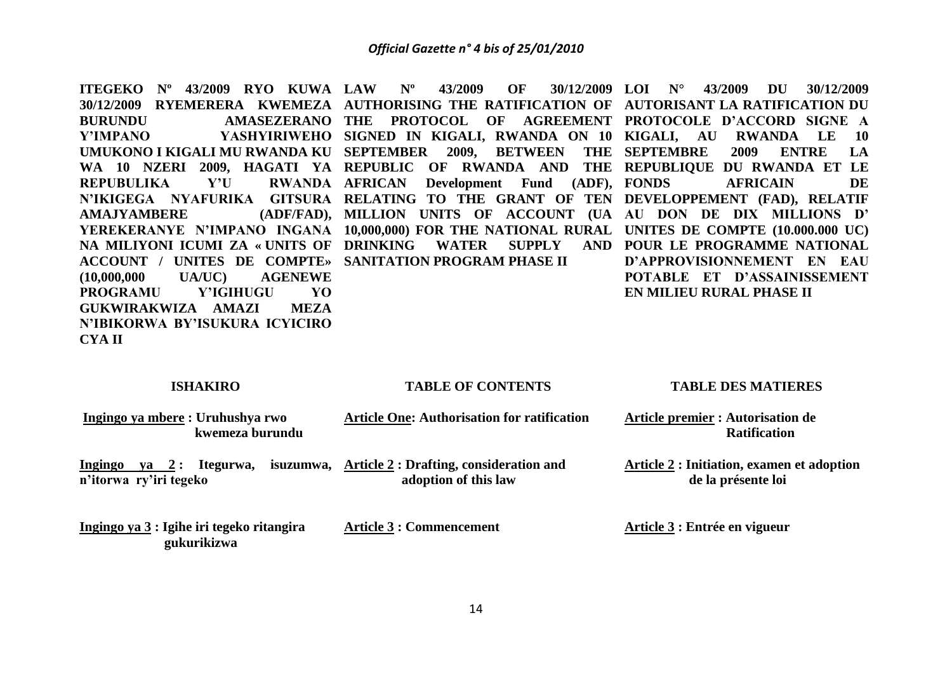**ITEGEKO Nº 43/2009 RYO KUWA LAW Nº 43/2009 OF 30/12/2009**  30/12/2009 RYEMERERA KWEMEZA AUTHORISING THE RATIFICATION OF AUTORISANT LA RATIFICATION DU **BURUNDU AMASEZERANO THE PROTOCOL OF AGREEMENT PROTOCOLE D'ACCORD SIGNE A Y'IMPANO YASHYIRIWEHO SIGNED IN KIGALI, RWANDA ON 10 KIGALI, AU RWANDA LE 10 UMUKONO I KIGALI MU RWANDA KU SEPTEMBER 2009, BETWEEN THE WA 10 NZERI 2009, HAGATI YA REPUBLIC OF RWANDA AND THE REPUBLIQUE DU RWANDA ET LE REPUBULIKA** Y'U **N'IKIGEGA NYAFURIKA GITSURA RELATING TO THE GRANT OF TEN DEVELOPPEMENT (FAD), RELATIF AMAJYAMBERE YEREKERANYE N'IMPANO INGANA 10,000,000) FOR THE NATIONAL RURAL UNITES DE COMPTE (10.000.000 UC) NA MILIYONI ICUMI ZA « UNITS OF DRINKING WATER SUPPLY AND POUR LE PROGRAMME NATIONAL ACCOUNT / UNITES DE COMPTE» SANITATION PROGRAM PHASE II (10,000,000 UA/UC) AGENEWE PROGRAMU Y'IGIHUGU YO GUKWIRAKWIZA AMAZI MEZA N'IBIKORWA BY'ISUKURA ICYICIRO CYA II** RWANDA AFRICAN Development Fund (ADF), FONDS **MILLION UNITS OF ACCOUNT (UA AU DON DE DIX MILLIONS D' LOI N° 43/2009 DU 30/12/2009 SEPTEMBRE 2009 ENTRE LA FONDS AFRICAIN DE D'APPROVISIONNEMENT EN EAU POTABLE ET D'ASSAINISSEMENT EN MILIEU RURAL PHASE II**

#### **ISHAKIRO**

 **gukurikizwa**

#### **TABLE OF CONTENTS**

#### **TABLE DES MATIERES**

| Ingingo ya mbere: Uruhushya rwo<br>kwemeza burundu              | <b>Article One: Authorisation for ratification</b>                               | Article premier : Autorisation de<br><b>Ratification</b>         |  |
|-----------------------------------------------------------------|----------------------------------------------------------------------------------|------------------------------------------------------------------|--|
| Ingingo<br>Itegurwa,<br>$va \quad 2:$<br>n'itorwa ry'iri tegeko | isuzumwa, $\Delta$ rticle 2: Drafting, consideration and<br>adoption of this law | Article 2 : Initiation, examen et adoption<br>de la présente loi |  |
| Ingingo ya 3 : Igihe iri tegeko ritangira                       | <b>Article 3 : Commencement</b>                                                  | Article 3 : Entrée en vigueur                                    |  |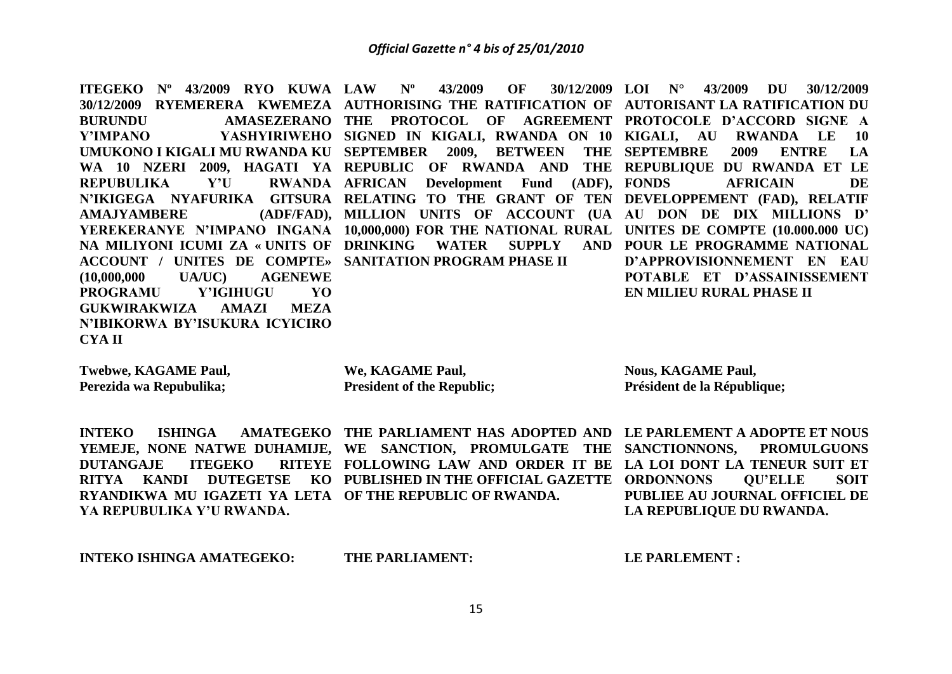**ITEGEKO Nº 43/2009 RYO KUWA LAW Nº 43/2009 OF 30/12/2009** 30/12/2009 RYEMERERA KWEMEZA AUTHORISING THE RATIFICATION OF AUTORISANT LA RATIFICATION DU **BURUNDU AMASEZERANO THE PROTOCOL OF AGREEMENT PROTOCOLE D'ACCORD SIGNE A Y'IMPANO YASHYIRIWEHO SIGNED IN KIGALI, RWANDA ON 10 KIGALI, AU RWANDA LE 10 UMUKONO I KIGALI MU RWANDA KU SEPTEMBER 2009, BETWEEN THE WA 10 NZERI 2009, HAGATI YA REPUBLIC OF RWANDA AND THE REPUBLIQUE DU RWANDA ET LE REPUBULIKA** Y'U **N'IKIGEGA NYAFURIKA GITSURA RELATING TO THE GRANT OF TEN DEVELOPPEMENT (FAD), RELATIF AMAJYAMBERE YEREKERANYE N'IMPANO INGANA 10,000,000) FOR THE NATIONAL RURAL UNITES DE COMPTE (10.000.000 UC) NA MILIYONI ICUMI ZA « UNITS OF DRINKING WATER SUPPLY AND POUR LE PROGRAMME NATIONAL ACCOUNT / UNITES DE COMPTE» SANITATION PROGRAM PHASE II (10,000,000 UA/UC) AGENEWE PROGRAMU Y'IGIHUGU YO GUKWIRAKWIZA AMAZI MEZA N'IBIKORWA BY'ISUKURA ICYICIRO**  RWANDA AFRICAN Development Fund (ADF), FONDS **MILLION UNITS OF ACCOUNT (UA AU DON DE DIX MILLIONS D' LOI N° 43/2009 DU 30/12/2009 SEPTEMBRE 2009 ENTRE LA AFRICAIN DE D'APPROVISIONNEMENT EN EAU POTABLE ET D'ASSAINISSEMENT EN MILIEU RURAL PHASE II**

**Twebwe, KAGAME Paul, Perezida wa Repubulika;**

**CYA II**

**We, KAGAME Paul, President of the Republic;** **Nous, KAGAME Paul, Président de la République;** 

**INTEKO** ISHINGA AMATEGEKO THE PARLIAMENT HAS ADOPTED AND LE PARLEMENT A ADOPTE ET NOUS **YEMEJE, NONE NATWE DUHAMIJE, WE SANCTION, PROMULGATE THE SANCTIONNONS, PROMULGUONS DUTANGAJE ITEGEKO RITYA KANDI DUTEGETSE KO PUBLISHED IN THE OFFICIAL GAZETTE ORDONNONS QU'ELLE SOIT RYANDIKWA MU IGAZETI YA LETA OF THE REPUBLIC OF RWANDA. YA REPUBULIKA Y'U RWANDA. FOLLOWING LAW AND ORDER IT BE LA LOI DONT LA TENEUR SUIT ET PUBLIEE AU JOURNAL OFFICIEL DE LA REPUBLIQUE DU RWANDA.**

**INTEKO ISHINGA AMATEGEKO:** 

**THE PARLIAMENT:**

**LE PARLEMENT :**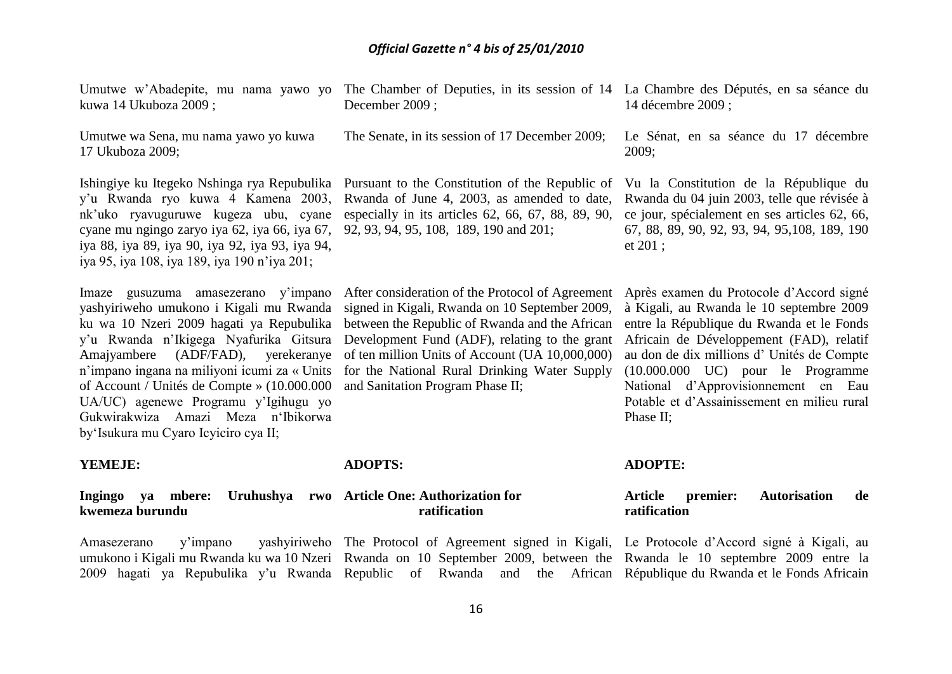kuwa 14 Ukuboza 2009 ;

Umutwe wa Sena, mu nama yawo yo kuwa 17 Ukuboza 2009;

Ishingiye ku Itegeko Nshinga rya Repubulika y'u Rwanda ryo kuwa 4 Kamena 2003, nk'uko ryavuguruwe kugeza ubu, cyane cyane mu ngingo zaryo iya 62, iya 66, iya 67, iya 88, iya 89, iya 90, iya 92, iya 93, iya 94, iya 95, iya 108, iya 189, iya 190 n'iya 201;

Imaze gusuzuma amasezerano y'impano yashyiriweho umukono i Kigali mu Rwanda ku wa 10 Nzeri 2009 hagati ya Repubulika y'u Rwanda n'Ikigega Nyafurika Gitsura Amajyambere (ADF/FAD), yerekeranye n'impano ingana na miliyoni icumi za « Units of Account / Unités de Compte » (10.000.000 UA/UC) agenewe Programu y'Igihugu yo Gukwirakwiza Amazi Meza n'Ibikorwa by'Isukura mu Cyaro Icyiciro cya II;

**YEMEJE:**

#### **ADOPTS:**

#### **Ingingo ya mbere: Uruhushya rwo Article One: Authorization for kwemeza burundu ratification**

Amasezerano y'impano yashyiriweho The Protocol of Agreement signed in Kigali, Le Protocole d'Accord signé à Kigali, au umukono i Kigali mu Rwanda ku wa 10 Nzeri Rwanda on 10 September 2009, between the Rwanda le 10 septembre 2009 entre la 2009 hagati ya Repubulika y'u Rwanda Republic of Rwanda and the African République du Rwanda et le Fonds Africain

Umutwe w'Abadepite, mu nama yawo yo The Chamber of Deputies, in its session of 14 La Chambre des Députés, en sa séance du December 2009 ; 14 décembre 2009 ;

The Senate, in its session of 17 December 2009;

Pursuant to the Constitution of the Republic of Rwanda of June 4, 2003, as amended to date, especially in its articles 62, 66, 67, 88, 89, 90, ce jour, spécialement en ses articles 62, 66, 92, 93, 94, 95, 108, 189, 190 and 201;

After consideration of the Protocol of Agreement signed in Kigali, Rwanda on 10 September 2009, between the Republic of Rwanda and the African Development Fund (ADF), relating to the grant of ten million Units of Account (UA 10,000,000) for the National Rural Drinking Water Supply and Sanitation Program Phase II;

Le Sénat, en sa séance du 17 décembre 2009;

Vu la Constitution de la République du Rwanda du 04 juin 2003, telle que révisée à 67, 88, 89, 90, 92, 93, 94, 95,108, 189, 190 et 201 ;

Après examen du Protocole d'Accord signé à Kigali, au Rwanda le 10 septembre 2009 entre la République du Rwanda et le Fonds Africain de Développement (FAD), relatif au don de dix millions d' Unités de Compte (10.000.000 UC) pour le Programme National d'Approvisionnement en Eau Potable et d'Assainissement en milieu rural Phase II;

#### **ADOPTE:**

## **Article premier: Autorisation de ratification**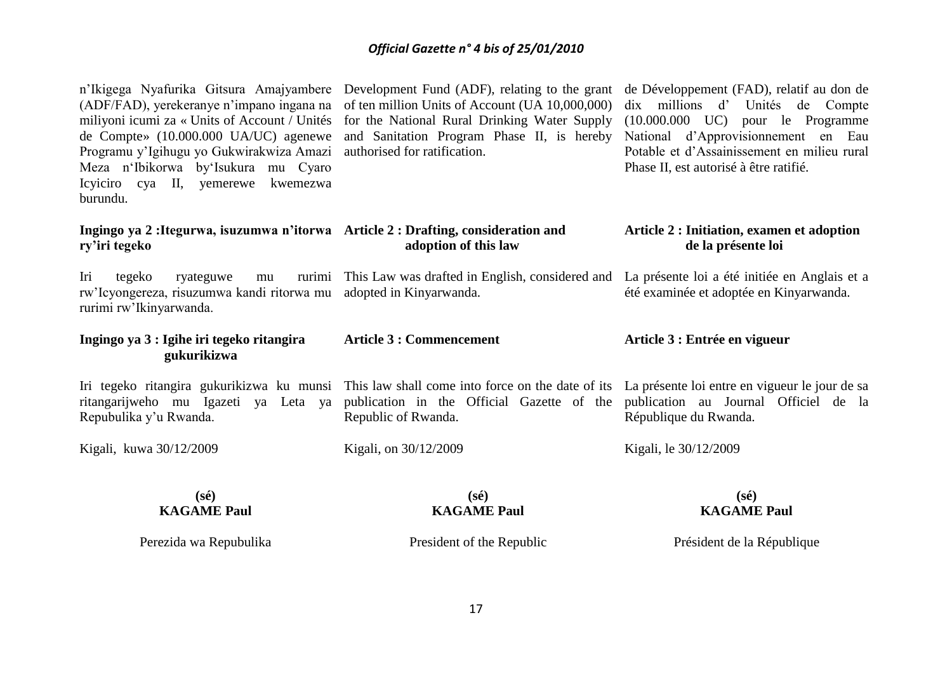n'Ikigega Nyafurika Gitsura Amajyambere (ADF/FAD), yerekeranye n'impano ingana na miliyoni icumi za « Units of Account / Unités de Compte» (10.000.000 UA/UC) agenewe Programu y'Igihugu yo Gukwirakwiza Amazi Meza n'Ibikorwa by'Isukura mu Cyaro Icyiciro cya II, yemerewe kwemezwa burundu.

of ten million Units of Account (UA 10,000,000) for the National Rural Drinking Water Supply (10.000.000 UC) pour le Programme and Sanitation Program Phase II, is hereby National d'Approvisionnement en Eau authorised for ratification.

Development Fund (ADF), relating to the grant de Développement (FAD), relatif au don de dix millions d' Unités de Compte Potable et d'Assainissement en milieu rural Phase II, est autorisé à être ratifié.

> **Article 2 : Initiation, examen et adoption de la présente loi**

#### **Ingingo ya 2 :Itegurwa, isuzumwa n'itorwa Article 2 : Drafting, consideration and ry'iri tegeko adoption of this law**

Iri tegeko ryateguwe mu rw'Icyongereza, risuzumwa kandi ritorwa mu adopted in Kinyarwanda. rurimi rw'Ikinyarwanda. This Law was drafted in English, considered and La présente loi a été initiée en Anglais et a été examinée et adoptée en Kinyarwanda.

| Ingingo ya 3 : Igihe iri tegeko ritangira<br>gukurikizwa | <b>Article 3 : Commencement</b>                                                                                                            | Article 3 : Entrée en vigueur |
|----------------------------------------------------------|--------------------------------------------------------------------------------------------------------------------------------------------|-------------------------------|
|                                                          | Iri tegeko ritangira gukurikizwa ku munsi This law shall come into force on the date of its La présente loi entre en vigueur le jour de sa |                               |
|                                                          | ritangarijweho mu Igazeti ya Leta ya publication in the Official Gazette of the publication au Journal Officiel de la                      |                               |
| Repubulika y'u Rwanda.                                   | Republic of Rwanda.                                                                                                                        | République du Rwanda.         |

Kigali, kuwa 30/12/2009

Kigali, on 30/12/2009

**(sé) KAGAME Paul**

# **(sé) KAGAME Paul**

# **(sé) KAGAME Paul**

Kigali, le 30/12/2009

Perezida wa Repubulika

President of the Republic

Président de la République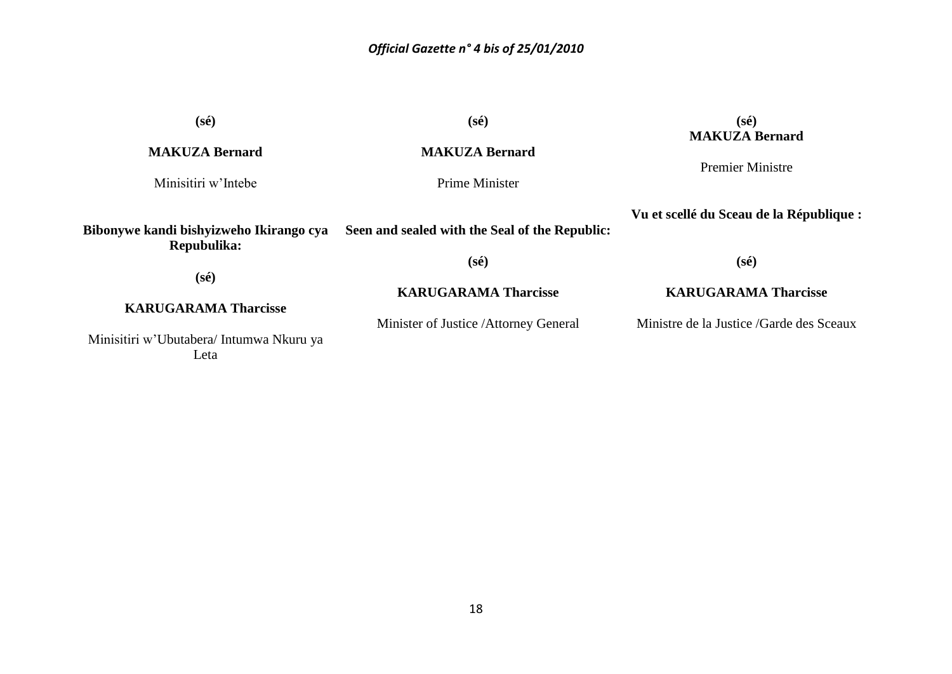| $(s\acute{e})$                                         | $(s\acute{e})$                                 | $(s\acute{e})$                                   |
|--------------------------------------------------------|------------------------------------------------|--------------------------------------------------|
| <b>MAKUZA Bernard</b>                                  | <b>MAKUZA Bernard</b>                          | <b>MAKUZA Bernard</b><br><b>Premier Ministre</b> |
| Minisitiri w'Intebe                                    | Prime Minister                                 |                                                  |
| Bibonywe kandi bishyizweho Ikirango cya<br>Repubulika: | Seen and sealed with the Seal of the Republic: | Vu et scellé du Sceau de la République :         |
| $(s\acute{e})$                                         | $(s\acute{e})$                                 | $(s\acute{e})$                                   |
| <b>KARUGARAMA Tharcisse</b>                            | <b>KARUGARAMA Tharcisse</b>                    | <b>KARUGARAMA Tharcisse</b>                      |
| Minisitiri w'Ubutabera/ Intumwa Nkuru ya<br>Leta       | Minister of Justice / Attorney General         | Ministre de la Justice /Garde des Sceaux         |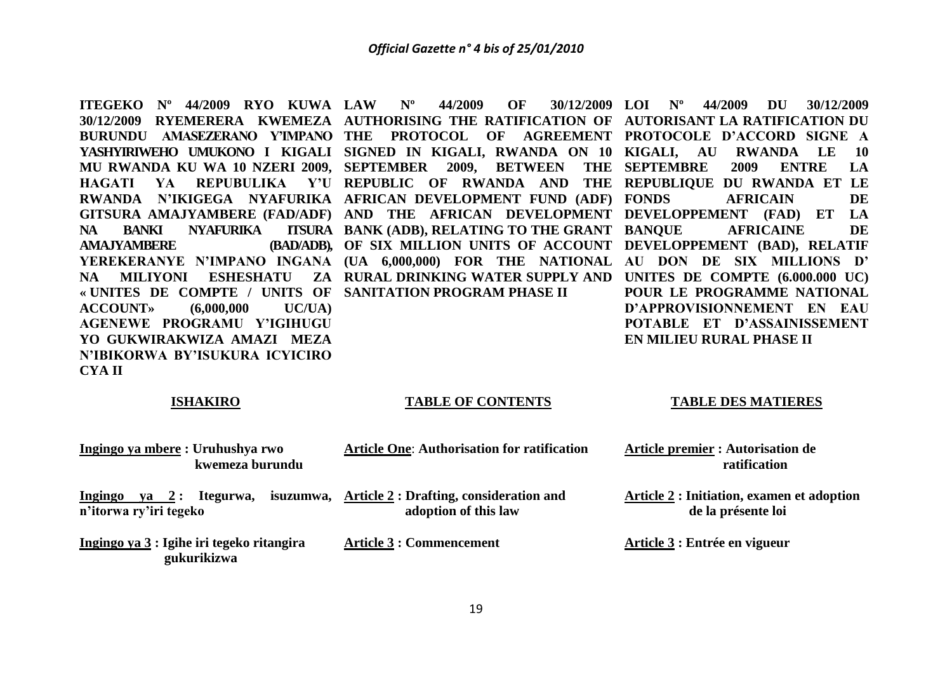**ITEGEKO Nº 44/2009 RYO KUWA LAW Nº 44/2009 OF 30/12/2009 AMA.IYAMBERE « UNITES DE COMPTE / UNITS OF SANITATION PROGRAM PHASE II ACCOUNT» (6,000,000 UC/UA) AGENEWE PROGRAMU Y'IGIHUGU YO GUKWIRAKWIZA AMAZI MEZA N'IBIKORWA BY'ISUKURA ICYICIRO CYA II**

30/12/2009 RYEMERERA KWEMEZA AUTHORISING THE RATIFICATION OF AUTORISANT LA RATIFICATION DU **BURUNDU AMASEZERANO Y'IMPANO THE PROTOCOL OF AGREEMENT PROTOCOLE D'ACCORD SIGNE A YASHYIRIWEHO UMUKONO I KIGALI SIGNED IN KIGALI, RWANDA ON 10 KIGALI, AU RWANDA LE 10 MU RWANDA KU WA 10 NZERI 2009, SEPTEMBER 2009, BETWEEN THE SEPTEMBRE 2009 ENTRE LA HAGATI YA REPUBULIKA Y'U REPUBLIC OF RWANDA AND THE REPUBLIQUE DU RWANDA ET LE RWANDA N'IKIGEGA NYAFURIKA AFRICAN DEVELOPMENT FUND (ADF) GITSURA AMAJYAMBERE (FAD/ADF) AND THE AFRICAN DEVELOPMENT DEVELOPPEMENT (FAD) ET LA NA BANKI NYAFURIKA ITSURA BANK (ADB), RELATING TO THE GRANT YEREKERANYE N'IMPANO INGANA (UA 6,000,000) FOR THE NATIONAL AU DON DE SIX MILLIONS D' NA MILIYONI ESHESHATU ZA RURAL DRINKING WATER SUPPLY AND UNITES DE COMPTE (6.000.000 UC) OF SIX MILLION UNITS OF ACCOUNT DEVELOPPEMENT (BAD), RELATIF** 

**LOI Nº 44/2009 DU 30/12/2009 FRICAIN** DE **BANQUE AFRICAINE DE POUR LE PROGRAMME NATIONAL D'APPROVISIONNEMENT EN EAU POTABLE ET D'ASSAINISSEMENT EN MILIEU RURAL PHASE II**

#### **ISHAKIRO**

#### **TABLE OF CONTENTS**

#### **TABLE DES MATIERES**

| Ingingo ya mbere: Uruhushya rwo<br>kwemeza burundu                     | <b>Article One: Authorisation for ratification</b>                               | <b>Article premier : Autorisation de</b><br>ratification               |
|------------------------------------------------------------------------|----------------------------------------------------------------------------------|------------------------------------------------------------------------|
| Itegurwa,<br><b>Ingingo</b><br>$ya \quad 2:$<br>n'itorwa ry'iri tegeko | isuzumwa, $\Delta$ rticle 2: Drafting, consideration and<br>adoption of this law | <b>Article 2: Initiation, examen et adoption</b><br>de la présente loi |
| Ingingo ya 3 : Igihe iri tegeko ritangira<br>gukurikizwa               | <b>Article 3 : Commencement</b>                                                  | Article 3 : Entrée en vigueur                                          |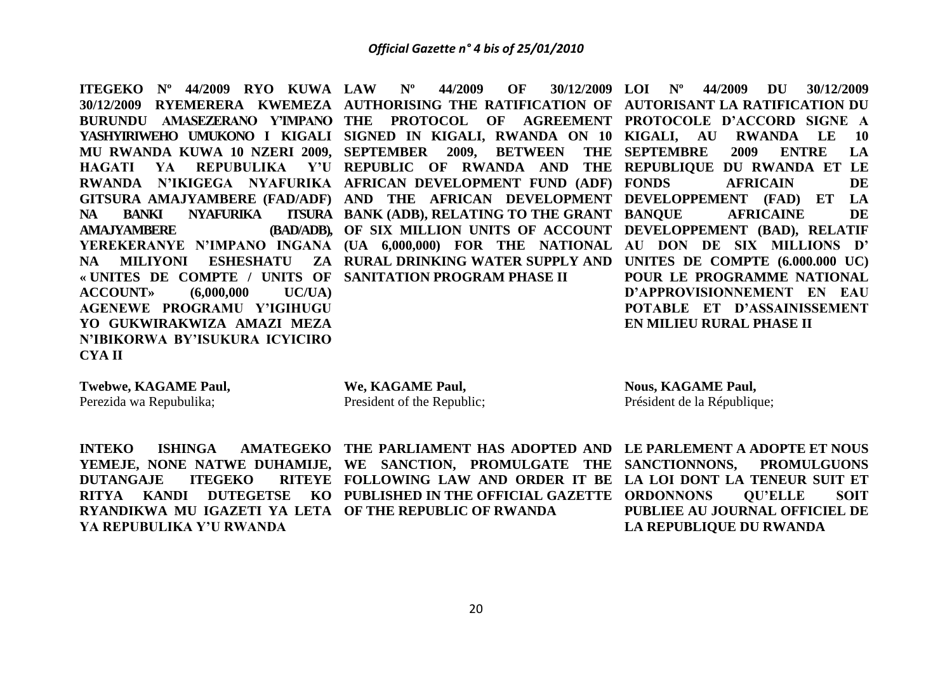**ITEGEKO Nº 44/2009 RYO KUWA LAW Nº 44/2009 OF 30/12/2009 NA BANKI NYAFURIKA AMA.IYAMBERE « UNITES DE COMPTE / UNITS OF SANITATION PROGRAM PHASE II ACCOUNT» (6,000,000 UC/UA) AGENEWE PROGRAMU Y'IGIHUGU YO GUKWIRAKWIZA AMAZI MEZA N'IBIKORWA BY'ISUKURA ICYICIRO CYA II**

30/12/2009 RYEMERERA KWEMEZA AUTHORISING THE RATIFICATION OF AUTORISANT LA RATIFICATION DU **BURUNDU AMASEZERANO Y'IMPANO THE PROTOCOL OF AGREEMENT PROTOCOLE D'ACCORD SIGNE A YASHYIRIWEHO UMUKONO I KIGALI SIGNED IN KIGALI, RWANDA ON 10 KIGALI, AU RWANDA LE 10 MU RWANDA KUWA 10 NZERI 2009, SEPTEMBER 2009, BETWEEN THE SEPTEMBRE 2009 ENTRE LA HAGATI YA REPUBULIKA Y'U REPUBLIC OF RWANDA AND THE REPUBLIQUE DU RWANDA ET LE RWANDA N'IKIGEGA NYAFURIKA AFRICAN DEVELOPMENT FUND (ADF) GITSURA AMAJYAMBERE (FAD/ADF) AND THE AFRICAN DEVELOPMENT DEVELOPPEMENT (FAD) ET LA YEREKERANYE N'IMPANO INGANA (UA 6,000,000) FOR THE NATIONAL AU DON DE SIX MILLIONS D' NA MILIYONI ESHESHATU ZA RURAL DRINKING WATER SUPPLY AND UNITES DE COMPTE (6.000.000 UC) ITSURA BANK (ADB), RELATING TO THE GRANT BANQUE OF SIX MILLION UNITS OF ACCOUNT DEVELOPPEMENT (BAD), RELATIF** 

**LOI Nº 44/2009 DU 30/12/2009 FOUNDE BANQUE AFRICAINE DE POUR LE PROGRAMME NATIONAL D'APPROVISIONNEMENT EN EAU POTABLE ET D'ASSAINISSEMENT EN MILIEU RURAL PHASE II**

**Twebwe, KAGAME Paul,**

Perezida wa Repubulika;

**We, KAGAME Paul,** President of the Republic; **Nous, KAGAME Paul,** Président de la République;

**DUTANGAJE ITEGEKO RYANDIKWA MU IGAZETI YA LETA OF THE REPUBLIC OF RWANDA YA REPUBULIKA Y'U RWANDA**

**INTEKO** ISHINGA AMATEGEKO THE PARLIAMENT HAS ADOPTED AND LE PARLEMENT A ADOPTE ET NOUS **YEMEJE, NONE NATWE DUHAMIJE, WE SANCTION, PROMULGATE THE SANCTIONNONS, PROMULGUONS RITYA KANDI DUTEGETSE KO PUBLISHED IN THE OFFICIAL GAZETTE ORDONNONS QU'ELLE SOIT FOLLOWING LAW AND ORDER IT BE LA LOI DONT LA TENEUR SUIT ET** 

**PUBLIEE AU JOURNAL OFFICIEL DE LA REPUBLIQUE DU RWANDA**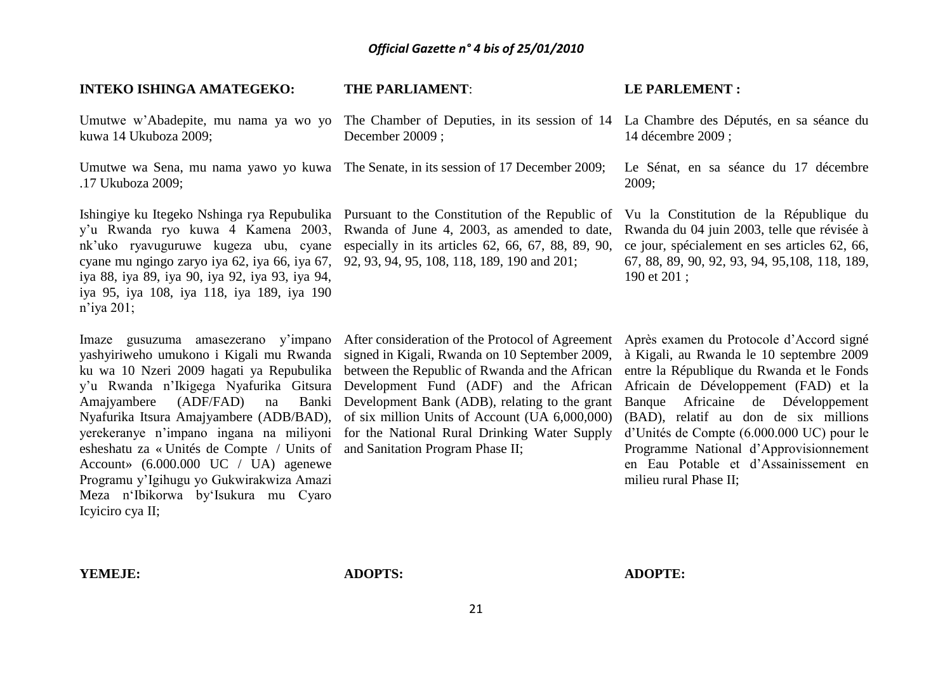#### **INTEKO ISHINGA AMATEGEKO:**  Umutwe w'Abadepite, mu nama ya wo yo The Chamber of Deputies, in its session of 14 La Chambre des Députés, en sa séance du kuwa 14 Ukuboza 2009; Umutwe wa Sena, mu nama yawo yo kuwa The Senate, in its session of 17 December 2009; .17 Ukuboza 2009; Ishingiye ku Itegeko Nshinga rya Repubulika Pursuant to the Constitution of the Republic of y'u Rwanda ryo kuwa 4 Kamena 2003, nk'uko ryavuguruwe kugeza ubu, cyane cyane mu ngingo zaryo iya 62, iya 66, iya 67, iya 88, iya 89, iya 90, iya 92, iya 93, iya 94, iya 95, iya 108, iya 118, iya 189, iya 190 n'iya 201; Imaze gusuzuma amasezerano y'impano yashyiriweho umukono i Kigali mu Rwanda ku wa 10 Nzeri 2009 hagati ya Repubulika y'u Rwanda n'Ikigega Nyafurika Gitsura Amajyambere (ADF/FAD) na Banki Nyafurika Itsura Amajyambere (ADB/BAD), yerekeranye n'impano ingana na miliyoni esheshatu za « Unités de Compte / Units of and Sanitation Program Phase II; **THE PARLIAMENT**: December 20009 ; Rwanda of June 4, 2003, as amended to date, especially in its articles 62, 66, 67, 88, 89, 90, 92, 93, 94, 95, 108, 118, 189, 190 and 201; After consideration of the Protocol of Agreement signed in Kigali, Rwanda on 10 September 2009, between the Republic of Rwanda and the African Development Fund (ADF) and the African Development Bank (ADB), relating to the grant of six million Units of Account (UA 6,000,000) for the National Rural Drinking Water Supply **LE PARLEMENT :** 14 décembre 2009 ; Le Sénat, en sa séance du 17 décembre 2009; Vu la Constitution de la République du Rwanda du 04 juin 2003, telle que révisée à ce jour, spécialement en ses articles 62, 66, 67, 88, 89, 90, 92, 93, 94, 95,108, 118, 189, 190 et 201 ; Après examen du Protocole d'Accord signé à Kigali, au Rwanda le 10 septembre 2009 entre la République du Rwanda et le Fonds Africain de Développement (FAD) et la Banque Africaine de Développement (BAD), relatif au don de six millions d'Unités de Compte (6.000.000 UC) pour le Programme National d'Approvisionnement

Account» (6.000.000 UC / UA) agenewe Programu y'Igihugu yo Gukwirakwiza Amazi Meza n'Ibikorwa by'Isukura mu Cyaro Icyiciro cya II;

en Eau Potable et d'Assainissement en milieu rural Phase II;

**YEMEJE:**

**ADOPTS:**

**ADOPTE:**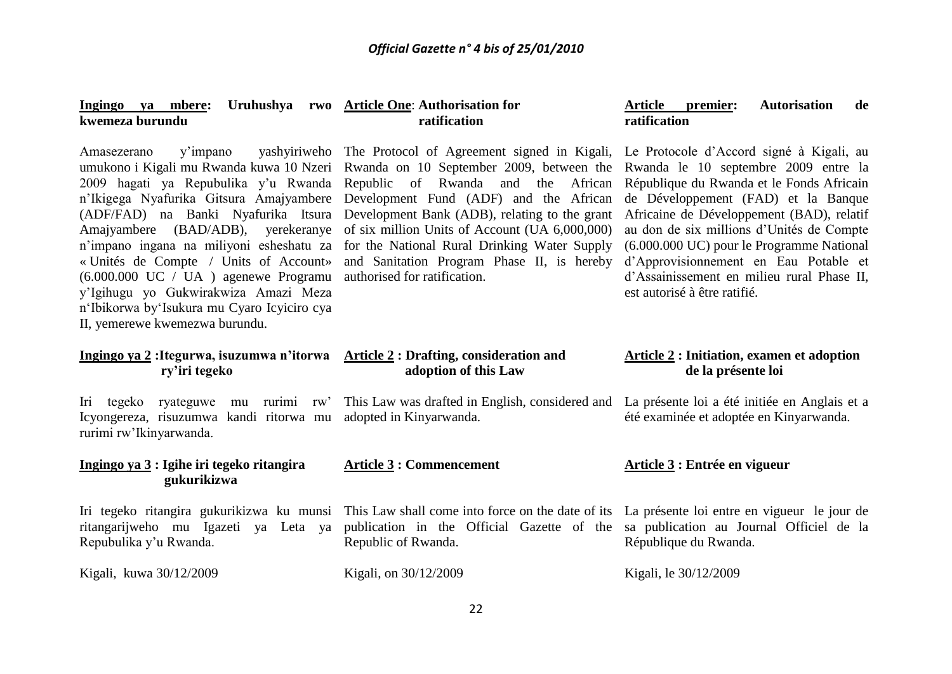#### **Ingingo** ya mbere: **kwemeza burundu Article One**: **Authorisation for ratification ratification**

« Unités de Compte / Units of Account» (6.000.000 UC / UA ) agenewe Programu y'Igihugu yo Gukwirakwiza Amazi Meza n'Ibikorwa by'Isukura mu Cyaro Icyiciro cya II, yemerewe kwemezwa burundu.

Amasezerano y'impano yashyiriweho The Protocol of Agreement signed in Kigali, Le Protocole d'Accord signé à Kigali, au umukono i Kigali mu Rwanda kuwa 10 Nzeri Rwanda on 10 September 2009, between the Rwanda le 10 septembre 2009 entre la 2009 hagati ya Repubulika y'u Rwanda Republic of Rwanda and the African République du Rwanda et le Fonds-Africain n'Ikigega Nyafurika Gitsura Amajyambere Development Fund (ADF) and the African (ADF/FAD) na Banki Nyafurika Itsura Development Bank (ADB), relating to the grant Africaine de Développement (BAD), relatif Amajyambere (BAD/ADB), yerekeranye of six million Units of Account (UA 6,000,000) n'impano ingana na miliyoni esheshatu za for the National Rural Drinking Water Supply and Sanitation Program Phase II, is hereby d'Approvisionnement en Eau Potable et authorised for ratification.

# **Article premier: Autorisation de**

de Développement (FAD) et la Banque au don de six millions d'Unités de Compte (6.000.000 UC) pour le Programme National d'Assainissement en milieu rural Phase II, est autorisé à être ratifié.

# **Ingingo ya 2 :Itegurwa, isuzumwa n'itorwa ry'iri tegeko**

Iri tegeko ryateguwe mu rurimi rw' Icyongereza, risuzumwa kandi ritorwa mu rurimi rw'Ikinyarwanda.

## **Ingingo ya 3 : Igihe iri tegeko ritangira gukurikizwa**

ritangarijweho mu Igazeti ya Leta ya Repubulika y'u Rwanda.

Kigali, kuwa 30/12/2009

adopted in Kinyarwanda.

**Article 2 : Drafting, consideration and adoption of this Law** 

# **Article 3 : Commencement**

Iri tegeko ritangira gukurikizwa ku munsi This Law shall come into force on the date of its La présente loi entre en vigueur le jour de publication in the Official Gazette of the sa publication au Journal Officiel de la Republic of Rwanda.

Kigali, on 30/12/2009

# **Article 2 : Initiation, examen et adoption de la présente loi**

This Law was drafted in English, considered and La présente loi a été initiée en Anglais et a été examinée et adoptée en Kinyarwanda.

#### **Article 3 : Entrée en vigueur**

République du Rwanda.

Kigali, le 30/12/2009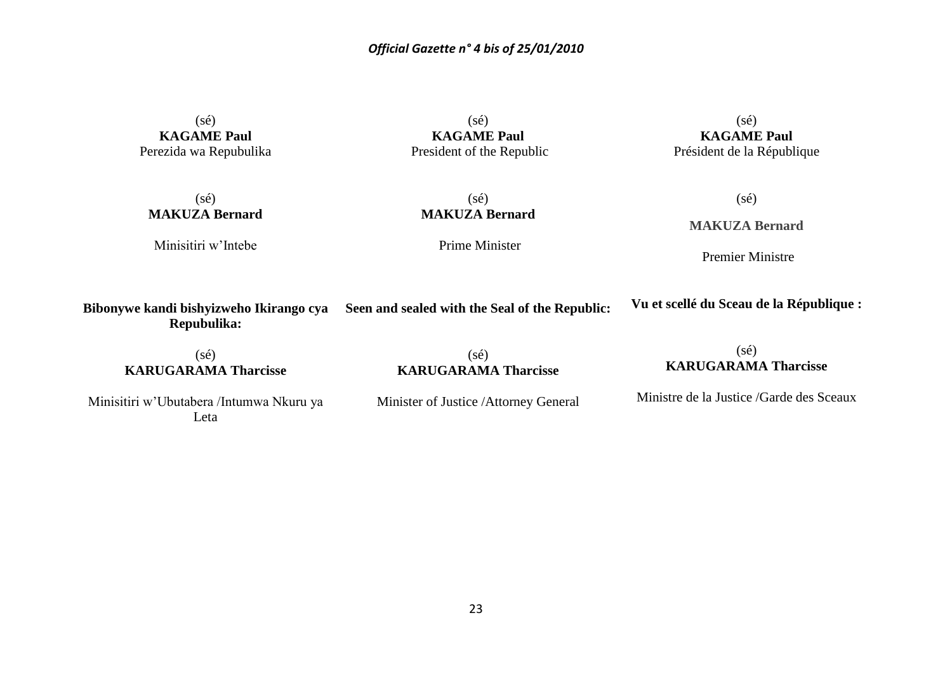$(s\acute{e})$ **KAGAME Paul** Perezida wa Repubulika

 $(s\acute{e})$ **KAGAME Paul** President of the Republic

 $(sé)$ **KAGAME Paul** Président de la République

 $(s\acute{e})$ **MAKUZA Bernard**

Minisitiri w'Intebe

 $(s\acute{e})$ **MAKUZA Bernard**

Prime Minister

 $(s\acute{e})$ **MAKUZA Bernard**

Premier Ministre

**Bibonywe kandi bishyizweho Ikirango cya Seen and sealed with the Seal of the Republic: Repubulika: Vu et scellé du Sceau de la République :**

 $(sé)$ **KARUGARAMA Tharcisse**

 $(sé)$ **KARUGARAMA Tharcisse**

# (sé) **KARUGARAMA Tharcisse**

Minisitiri w'Ubutabera /Intumwa Nkuru ya Leta

Minister of Justice /Attorney General

Ministre de la Justice /Garde des Sceaux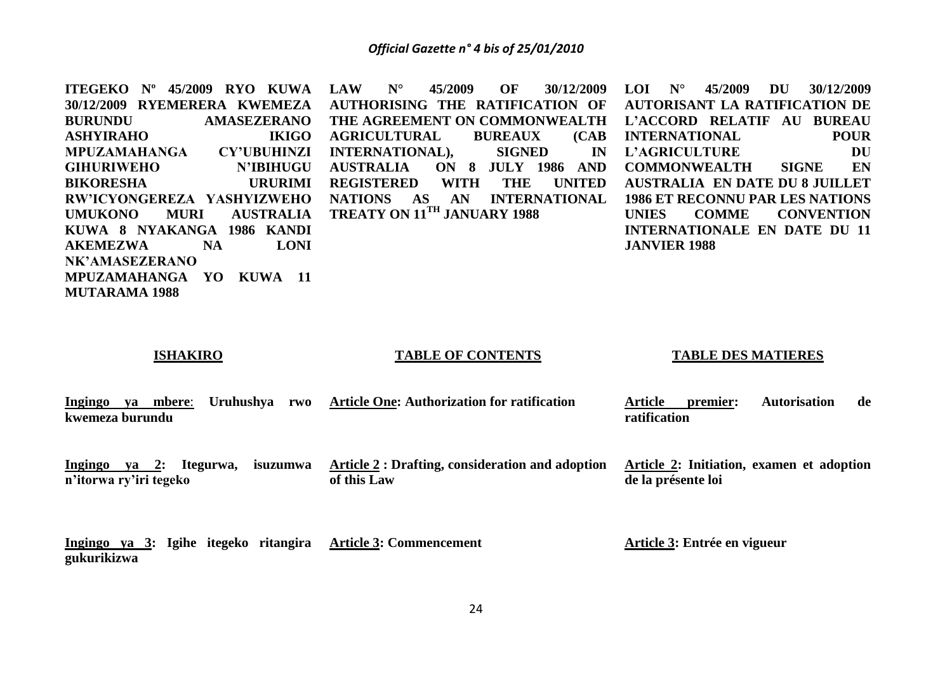| <b>ITEGEKO</b> N°<br>45/2009<br>RYO KUWA    | <b>LAW</b><br>$N^{\circ}$<br>45/2009<br>30/12/2009<br>OF | 45/2009<br>$N^{\circ}$<br>DU<br><b>LOI</b><br>30/12/2009 |
|---------------------------------------------|----------------------------------------------------------|----------------------------------------------------------|
| 30/12/2009 RYEMERERA KWEMEZA                | AUTHORISING THE RATIFICATION OF                          | <b>AUTORISANT LA RATIFICATION DE</b>                     |
| <b>BURUNDU</b><br><b>AMASEZERANO</b>        | THE AGREEMENT ON COMMONWEALTH                            | L'ACCORD RELATIF<br><b>AU BUREAU</b>                     |
| <b>ASHYIRAHO</b><br><b>IKIGO</b>            | (CAB)<br><b>AGRICULTURAL</b><br><b>BUREAUX</b>           | <b>POUR</b><br><b>INTERNATIONAL</b>                      |
| MPUZAMAHANGA<br><b>CY'UBUHINZI</b>          | INTERNATIONAL), SIGNED<br><b>IN</b>                      | DU<br>L'AGRICULTURE                                      |
| <b>GIHURIWEHO</b><br>N'IBIHUGU              | ON 8 JULY 1986 AND<br><b>AUSTRALIA</b>                   | EN<br><b>SIGNE</b><br><b>COMMONWEALTH</b>                |
| <b>BIKORESHA</b><br><b>URURIMI</b>          | <b>UNITED</b><br><b>REGISTERED</b><br>WITH<br>THE        | <b>AUSTRALIA EN DATE DU 8 JUILLET</b>                    |
| RW'ICYONGEREZA YASHYIZWEHO                  | <b>NATIONS</b><br><b>INTERNATIONAL</b><br>AS AN          | <b>1986 ET RECONNU PAR LES NATIONS</b>                   |
| <b>UMUKONO</b><br><b>MURI</b>               | AUSTRALIA TREATY ON 11TH JANUARY 1988                    | <b>UNIES</b><br><b>COMME</b><br><b>CONVENTION</b>        |
| KUWA 8 NYAKANGA 1986 KANDI                  |                                                          | INTERNATIONALE EN DATE DU 11                             |
| <b>NA</b><br><b>LONI</b><br><b>AKEMEZWA</b> |                                                          | <b>JANVIER 1988</b>                                      |
| NK'AMASEZERANO                              |                                                          |                                                          |
| MPUZAMAHANGA YO<br>KUWA 11                  |                                                          |                                                          |
| <b>MUTARAMA 1988</b>                        |                                                          |                                                          |

# **ISHAKIRO**

## **TABLE OF CONTENTS**

#### **TABLE DES MATIERES**

| <b>Ingingo</b>  | va | mbere: | Uruhushva | rwo | <b>Article One: Authorization for ratification</b> | Article      | premier: | <b>Autorisation</b> | de |
|-----------------|----|--------|-----------|-----|----------------------------------------------------|--------------|----------|---------------------|----|
| kwemeza burundu |    |        |           |     |                                                    | ratification |          |                     |    |

**n'itorwa ry'iri tegeko** 

**Ingingo ya 2: Itegurwa, isuzumwa Article 2 : Drafting, consideration and adoption of this Law**

**Article 2: Initiation, examen et adoption de la présente loi**

**Ingingo ya 3: Igihe itegeko ritangira Article 3: Commencement gukurikizwa**

**Article 3: Entrée en vigueur**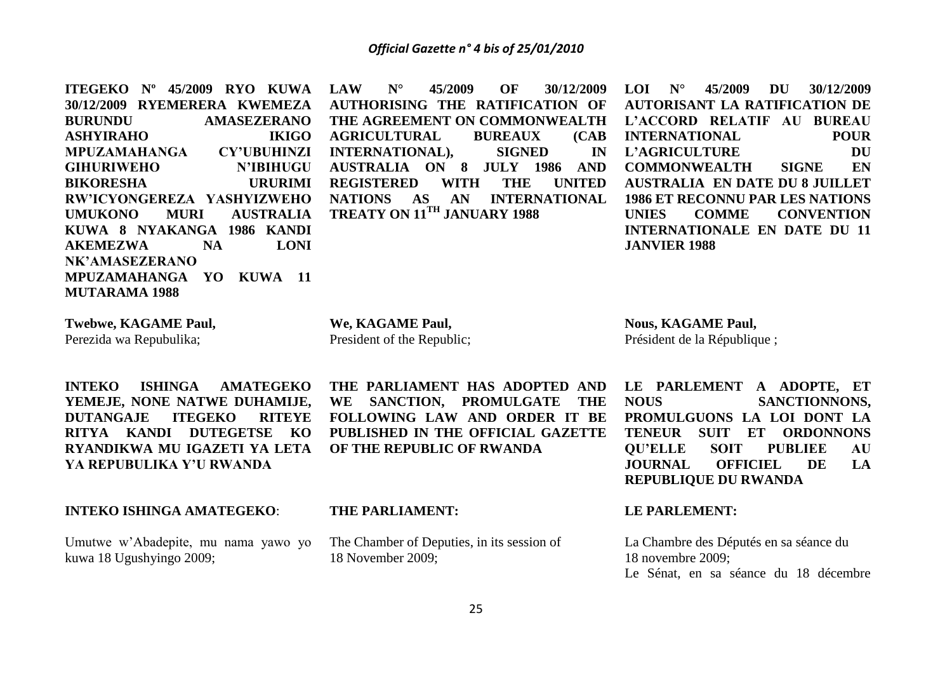**ITEGEKO Nº 45/2009 RYO KUWA 30/12/2009 RYEMERERA KWEMEZA BURUNDU AMASEZERANO ASHYIRAHO IKIGO MPUZAMAHANGA CY'UBUHINZI GIHURIWEHO N'IBIHUGU BIKORESHA URURIMI RW'ICYONGEREZA YASHYIZWEHO UMUKONO MURI AUSTRALIA KUWA 8 NYAKANGA 1986 KANDI AKEMEZWA NA LONI NK'AMASEZERANO MPUZAMAHANGA YO KUWA 11 MUTARAMA 1988 LAW N° 45/2009 OF 30/12/2009 AUTHORISING THE RATIFICATION OF THE AGREEMENT ON COMMONWEALTH AGRICULTURAL BUREAUX (CAB INTERNATIONAL), SIGNED IN AUSTRALIA ON 8 JULY 1986 AND REGISTERED WITH THE UNITED NATIONS AS AN INTERNATIONAL TREATY ON 11TH JANUARY 1988 LOI N° 45/2009 DU 30/12/2009 AUTORISANT LA RATIFICATION DE L'ACCORD RELATIF AU BUREAU INTERNATIONAL POUR L'AGRICULTURE DU COMMONWEALTH SIGNE EN AUSTRALIA EN DATE DU 8 JUILLET 1986 ET RECONNU PAR LES NATIONS UNIES COMME CONVENTION INTERNATIONALE EN DATE DU 11 JANVIER 1988**

**Twebwe, KAGAME Paul,** Perezida wa Repubulika;

**INTEKO ISHINGA AMATEGEKO YEMEJE, NONE NATWE DUHAMIJE, DUTANGAJE ITEGEKO RITEYE RITYA KANDI DUTEGETSE KO RYANDIKWA MU IGAZETI YA LETA YA REPUBULIKA Y'U RWANDA**

**INTEKO ISHINGA AMATEGEKO**:

Umutwe w'Abadepite, mu nama yawo yo kuwa 18 Ugushyingo 2009;

**We, KAGAME Paul,** President of the Republic;

**THE PARLIAMENT HAS ADOPTED AND WE SANCTION, PROMULGATE THE FOLLOWING LAW AND ORDER IT BE PUBLISHED IN THE OFFICIAL GAZETTE OF THE REPUBLIC OF RWANDA**

**Nous, KAGAME Paul,** Président de la République ;

**LE PARLEMENT A ADOPTE, ET NOUS SANCTIONNONS, PROMULGUONS LA LOI DONT LA TENEUR SUIT ET ORDONNONS QU'ELLE SOIT PUBLIEE AU JOURNAL OFFICIEL DE LA REPUBLIQUE DU RWANDA**

#### **THE PARLIAMENT:**

The Chamber of Deputies, in its session of 18 November 2009;

## **LE PARLEMENT:**

La Chambre des Députés en sa séance du 18 novembre 2009; Le Sénat, en sa séance du 18 décembre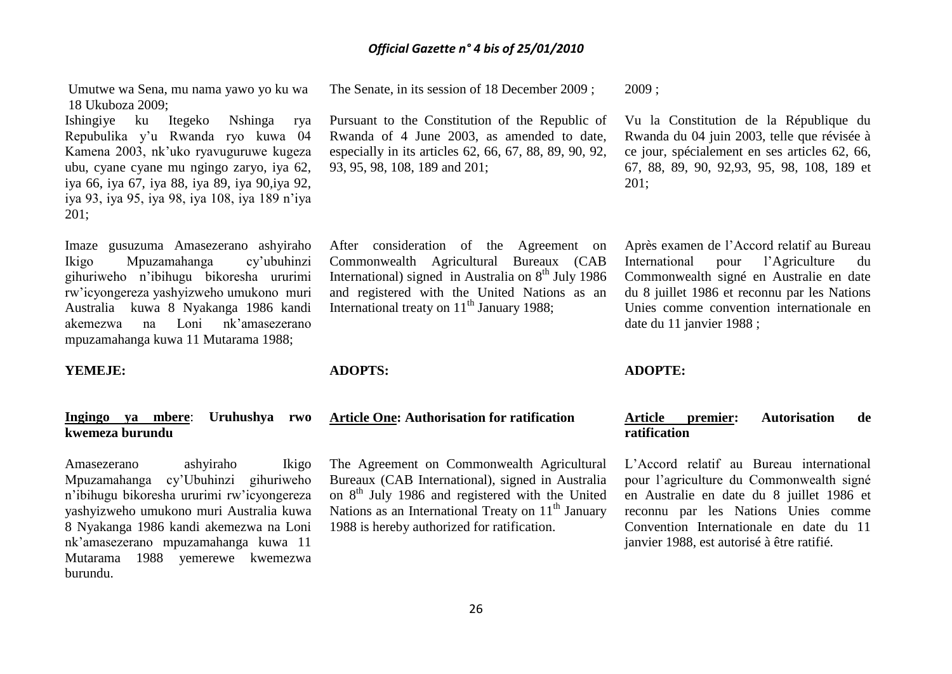Umutwe wa Sena, mu nama yawo yo ku wa 18 Ukuboza 2009;

Ishingiye ku Itegeko Nshinga rya Repubulika y'u Rwanda ryo kuwa 04 Kamena 2003, nk'uko ryavuguruwe kugeza ubu, cyane cyane mu ngingo zaryo, iya 62, iya 66, iya 67, iya 88, iya 89, iya 90,iya 92, iya 93, iya 95, iya 98, iya 108, iya 189 n'iya 201;

Imaze gusuzuma Amasezerano ashyiraho Ikigo Mpuzamahanga cy'ubuhinzi gihuriweho n'ibihugu bikoresha ururimi rw'icyongereza yashyizweho umukono muri Australia kuwa 8 Nyakanga 1986 kandi akemezwa na Loni nk'amasezerano mpuzamahanga kuwa 11 Mutarama 1988;

#### **YEMEJE:**

# **Ingingo ya mbere**: **Uruhushya rwo kwemeza burundu**

Amasezerano ashyiraho Ikigo Mpuzamahanga cy'Ubuhinzi gihuriweho n'ibihugu bikoresha ururimi rw'icyongereza yashyizweho umukono muri Australia kuwa 8 Nyakanga 1986 kandi akemezwa na Loni nk'amasezerano mpuzamahanga kuwa 11 Mutarama 1988 yemerewe kwemezwa burundu.

The Senate, in its session of 18 December 2009 ; 2009 ;

Pursuant to the Constitution of the Republic of Rwanda of 4 June 2003, as amended to date, especially in its articles 62, 66, 67, 88, 89, 90, 92, 93, 95, 98, 108, 189 and 201;

After consideration of the Agreement on Commonwealth Agricultural Bureaux (CAB International) signed in Australia on  $8<sup>th</sup>$  July 1986 and registered with the United Nations as an International treaty on  $11<sup>th</sup>$  January 1988;

**ADOPTS:**

#### **Article One: Authorisation for ratification**

The Agreement on Commonwealth Agricultural Bureaux (CAB International), signed in Australia on  $8<sup>th</sup>$  July 1986 and registered with the United Nations as an International Treaty on  $11<sup>th</sup>$  January 1988 is hereby authorized for ratification.

Vu la Constitution de la République du Rwanda du 04 juin 2003, telle que révisée à ce jour, spécialement en ses articles 62, 66, 67, 88, 89, 90, 92,93, 95, 98, 108, 189 et 201;

Après examen de l'Accord relatif au Bureau International pour l'Agriculture du Commonwealth signé en Australie en date du 8 juillet 1986 et reconnu par les Nations Unies comme convention internationale en date du 11 janvier 1988 ;

#### **ADOPTE:**

# **Article premier: Autorisation de ratification**

L'Accord relatif au Bureau international pour l'agriculture du Commonwealth signé en Australie en date du 8 juillet 1986 et reconnu par les Nations Unies comme Convention Internationale en date du 11 janvier 1988, est autorisé à être ratifié.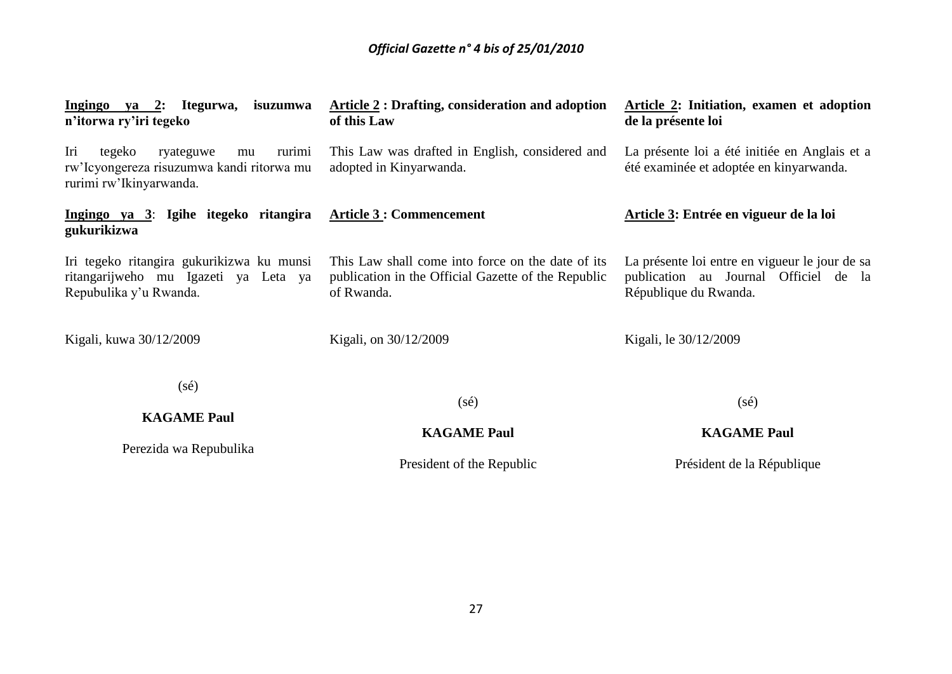| Ingingo ya 2: Itegurwa, isuzumwa<br>n'itorwa ry'iri tegeko                                                         | <b>Article 2: Drafting, consideration and adoption</b><br>of this Law                                                  | Article 2: Initiation, examen et adoption<br>de la présente loi                                                  |
|--------------------------------------------------------------------------------------------------------------------|------------------------------------------------------------------------------------------------------------------------|------------------------------------------------------------------------------------------------------------------|
| Iri<br>tegeko<br>rurimi<br>ryateguwe<br>mu<br>rw'Icyongereza risuzumwa kandi ritorwa mu<br>rurimi rw'Ikinyarwanda. | This Law was drafted in English, considered and<br>adopted in Kinyarwanda.                                             | La présente loi a été initiée en Anglais et a<br>été examinée et adoptée en kinyarwanda.                         |
| Ingingo ya 3: Igihe itegeko ritangira<br>gukurikizwa                                                               | <b>Article 3 : Commencement</b>                                                                                        | Article 3: Entrée en vigueur de la loi                                                                           |
| Iri tegeko ritangira gukurikizwa ku munsi<br>ritangarijweho mu Igazeti ya Leta ya<br>Repubulika y'u Rwanda.        | This Law shall come into force on the date of its<br>publication in the Official Gazette of the Republic<br>of Rwanda. | La présente loi entre en vigueur le jour de sa<br>publication au Journal Officiel de la<br>République du Rwanda. |
| Kigali, kuwa 30/12/2009                                                                                            | Kigali, on 30/12/2009                                                                                                  | Kigali, le 30/12/2009                                                                                            |
| $(s\acute{e})$                                                                                                     |                                                                                                                        |                                                                                                                  |
| <b>KAGAME Paul</b>                                                                                                 | $(s\acute{e})$                                                                                                         | $(s\acute{e})$                                                                                                   |
|                                                                                                                    | <b>KAGAME Paul</b>                                                                                                     | <b>KAGAME Paul</b>                                                                                               |
| Perezida wa Repubulika                                                                                             | President of the Republic                                                                                              | Président de la République                                                                                       |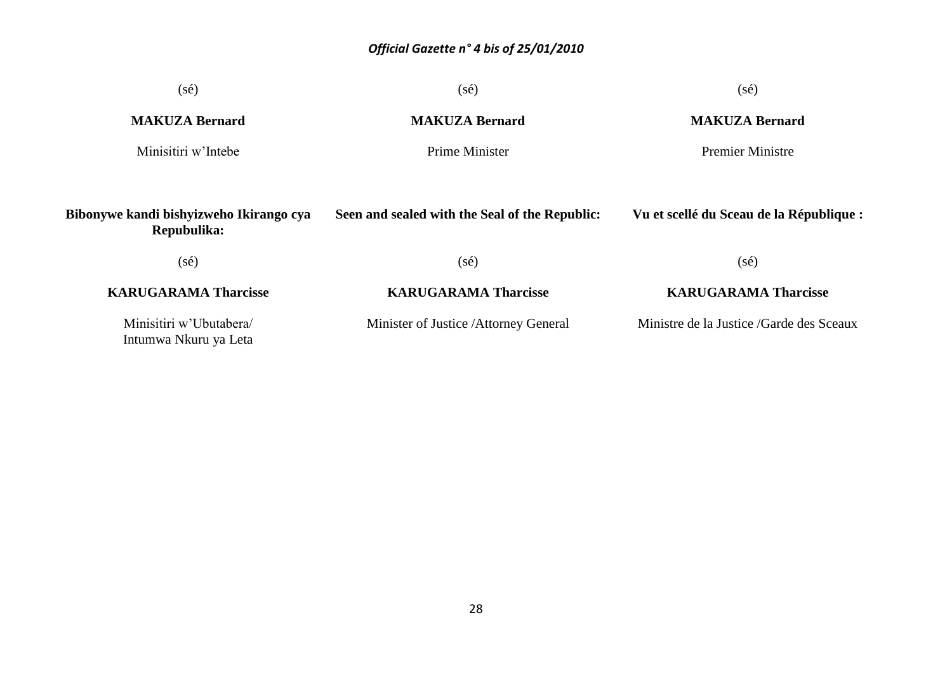| $(s\acute{e})$                                         | $(s\acute{e})$                                 | $(s\acute{e})$                            |
|--------------------------------------------------------|------------------------------------------------|-------------------------------------------|
| <b>MAKUZA Bernard</b>                                  | <b>MAKUZA Bernard</b>                          | <b>MAKUZA Bernard</b>                     |
| Minisitiri w'Intebe                                    | Prime Minister<br><b>Premier Ministre</b>      |                                           |
| Bibonywe kandi bishyizweho Ikirango cya<br>Repubulika: | Seen and sealed with the Seal of the Republic: | Vu et scellé du Sceau de la République :  |
| $(s\acute{e})$                                         | $(s\acute{e})$                                 | $(s\acute{e})$                            |
| <b>KARUGARAMA Tharcisse</b>                            | <b>KARUGARAMA Tharcisse</b>                    | <b>KARUGARAMA Tharcisse</b>               |
| Minisitiri w'Ubutabera/<br>Intumwa Nkuru ya Leta       | Minister of Justice /Attorney General          | Ministre de la Justice / Garde des Sceaux |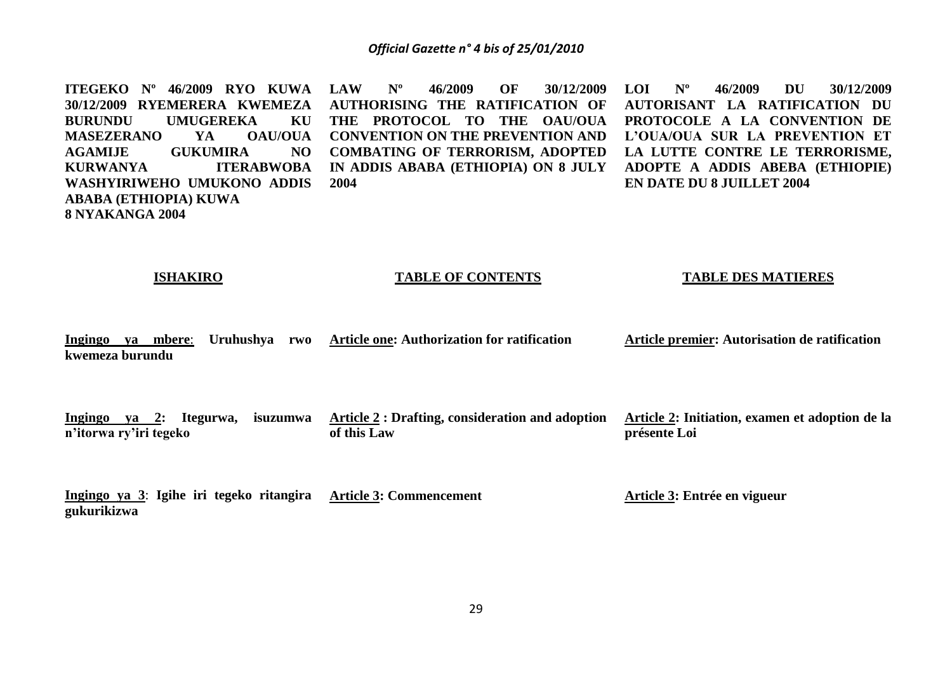**ITEGEKO Nº 46/2009 RYO KUWA 30/12/2009 RYEMERERA KWEMEZA BURUNDU UMUGEREKA KU MASEZERANO YA OAU/OUA AGAMIJE GUKUMIRA NO KURWANYA ITERABWOBA WASHYIRIWEHO UMUKONO ADDIS ABABA (ETHIOPIA) KUWA 8 NYAKANGA 2004 LAW Nº 46/2009 OF 30/12/2009 AUTHORISING THE RATIFICATION OF THE PROTOCOL TO THE OAU/OUA CONVENTION ON THE PREVENTION AND COMBATING OF TERRORISM, ADOPTED IN ADDIS ABABA (ETHIOPIA) ON 8 JULY 2004 LOI Nº 46/2009 DU 30/12/2009 AUTORISANT LA RATIFICATION DU PROTOCOLE A LA CONVENTION DE L'OUA/OUA SUR LA PREVENTION ET LA LUTTE CONTRE LE TERRORISME, ADOPTE A ADDIS ABEBA (ETHIOPIE) EN DATE DU 8 JUILLET 2004**

#### **ISHAKIRO**

#### **TABLE OF CONTENTS**

#### **TABLE DES MATIERES**

**Ingingo ya mbere**: **Uruhushya rwo Article one: Authorization for ratification kwemeza burundu Article premier: Autorisation de ratification**

**Ingingo ya 2: Itegurwa, isuzumwa n'itorwa ry'iri tegeko Article 2 : Drafting, consideration and adoption of this Law Article 2: Initiation, examen et adoption de la présente Loi**

**Ingingo ya 3**: **Igihe iri tegeko ritangira Article 3: Commencement gukurikizwa**

**Article 3: Entrée en vigueur**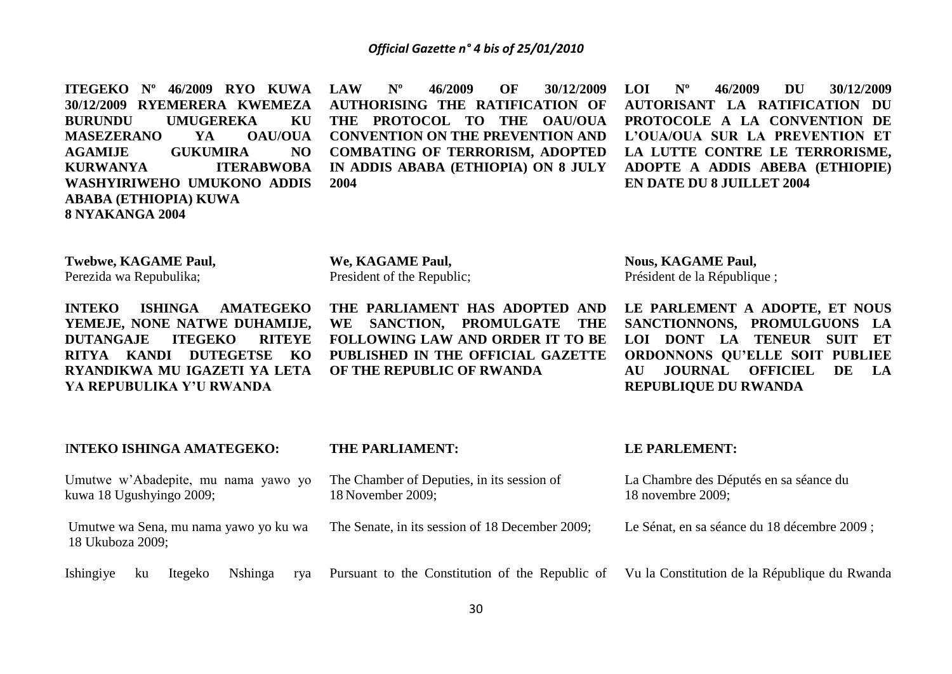**ITEGEKO Nº 46/2009 RYO KUWA 30/12/2009 RYEMERERA KWEMEZA BURUNDU UMUGEREKA KU MASEZERANO YA OAU/OUA AGAMIJE GUKUMIRA NO KURWANYA ITERABWOBA WASHYIRIWEHO UMUKONO ADDIS ABABA (ETHIOPIA) KUWA 8 NYAKANGA 2004**

**LAW Nº 46/2009 OF 30/12/2009 AUTHORISING THE RATIFICATION OF THE PROTOCOL TO THE OAU/OUA CONVENTION ON THE PREVENTION AND COMBATING OF TERRORISM, ADOPTED IN ADDIS ABABA (ETHIOPIA) ON 8 JULY 2004** 

**LOI Nº 46/2009 DU 30/12/2009 AUTORISANT LA RATIFICATION DU PROTOCOLE A LA CONVENTION DE L'OUA/OUA SUR LA PREVENTION ET LA LUTTE CONTRE LE TERRORISME, ADOPTE A ADDIS ABEBA (ETHIOPIE) EN DATE DU 8 JUILLET 2004**

**Twebwe, KAGAME Paul,** Perezida wa Repubulika;

**INTEKO ISHINGA AMATEGEKO YEMEJE, NONE NATWE DUHAMIJE, DUTANGAJE ITEGEKO RITEYE RITYA KANDI DUTEGETSE KO RYANDIKWA MU IGAZETI YA LETA YA REPUBULIKA Y'U RWANDA**

**We, KAGAME Paul,** President of the Republic;

**THE PARLIAMENT HAS ADOPTED AND WE SANCTION, PROMULGATE THE FOLLOWING LAW AND ORDER IT TO BE PUBLISHED IN THE OFFICIAL GAZETTE OF THE REPUBLIC OF RWANDA**

**Nous, KAGAME Paul,** Président de la République ;

**LE PARLEMENT A ADOPTE, ET NOUS SANCTIONNONS, PROMULGUONS LA LOI DONT LA TENEUR SUIT ET ORDONNONS QU'ELLE SOIT PUBLIEE AU JOURNAL OFFICIEL DE LA REPUBLIQUE DU RWANDA**

| <b>INTEKO ISHINGA AMATEGEKO:</b>                                | <b>THE PARLIAMENT:</b>                                                               | <b>LE PARLEMENT:</b>                          |
|-----------------------------------------------------------------|--------------------------------------------------------------------------------------|-----------------------------------------------|
| Umutwe w'Abadepite, mu nama yawo yo<br>kuwa 18 Ugushyingo 2009; | The Chamber of Deputies, in its session of<br>18 November 2009;<br>18 novembre 2009; | La Chambre des Députés en sa séance du        |
| Umutwe wa Sena, mu nama yawo yo ku wa<br>18 Ukuboza 2009;       | The Senate, in its session of 18 December 2009;                                      | Le Sénat, en sa séance du 18 décembre 2009 ;  |
| Ishingiye<br>Nshinga<br>Itegeko<br>ku                           | rya Pursuant to the Constitution of the Republic of                                  | Vu la Constitution de la République du Rwanda |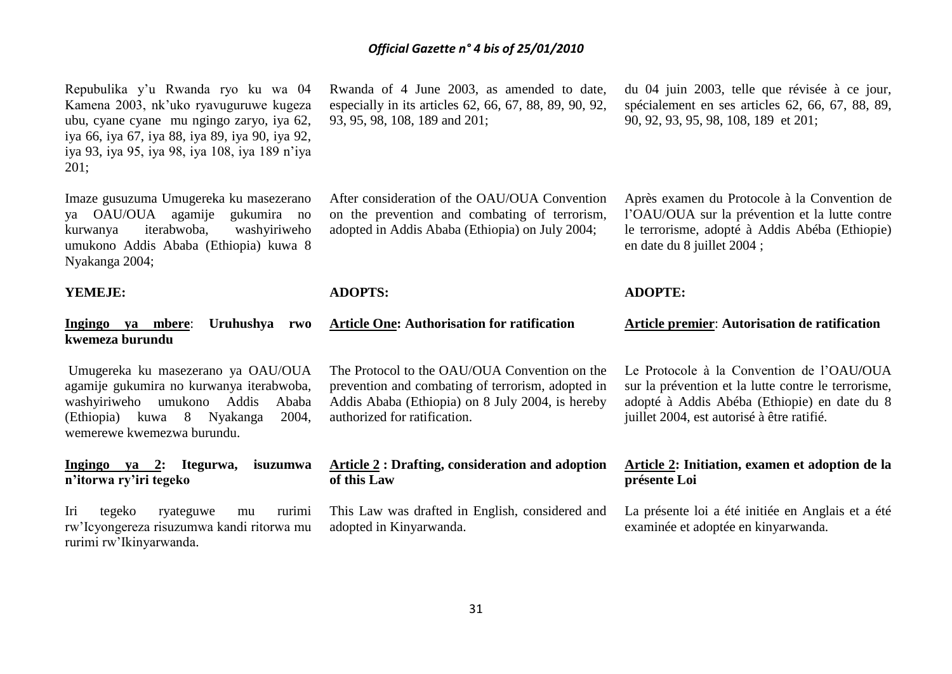Repubulika y'u Rwanda ryo ku wa 04 Kamena 2003, nk'uko ryavuguruwe kugeza ubu, cyane cyane mu ngingo zaryo, iya 62, iya 66, iya 67, iya 88, iya 89, iya 90, iya 92, iya 93, iya 95, iya 98, iya 108, iya 189 n'iya 201;

Imaze gusuzuma Umugereka ku masezerano ya OAU/OUA agamije gukumira no kurwanya iterabwoba, washyiriweho umukono Addis Ababa (Ethiopia) kuwa 8 Nyakanga 2004;

#### **YEMEJE:**

### **Ingingo ya mbere**: **Uruhushya rwo kwemeza burundu**

Umugereka ku masezerano ya OAU/OUA agamije gukumira no kurwanya iterabwoba, washyiriweho umukono Addis Ababa (Ethiopia) kuwa 8 Nyakanga 2004, wemerewe kwemezwa burundu.

#### **Ingingo ya 2: Itegurwa, isuzumwa n'itorwa ry'iri tegeko**

Iri tegeko ryateguwe mu rurimi rw'Icyongereza risuzumwa kandi ritorwa mu rurimi rw'Ikinyarwanda.

Rwanda of 4 June 2003, as amended to date, especially in its articles 62, 66, 67, 88, 89, 90, 92, 93, 95, 98, 108, 189 and 201;

on the prevention and combating of terrorism, adopted in Addis Ababa (Ethiopia) on July 2004;

#### **ADOPTS:**

After consideration of the OAU/OUA Convention

**ADOPTE:**

en date du 8 juillet 2004 ;

**Article One: Authorisation for ratification Article premier**: **Autorisation de ratification**

The Protocol to the OAU/OUA Convention on the prevention and combating of terrorism, adopted in Addis Ababa (Ethiopia) on 8 July 2004, is hereby authorized for ratification.

#### **Article 2 : Drafting, consideration and adoption of this Law**

This Law was drafted in English, considered and adopted in Kinyarwanda.

Le Protocole à la Convention de l'OAU**/**OUA sur la prévention et la lutte contre le terrorisme, adopté à Addis Abéba (Ethiopie) en date du 8 juillet 2004, est autorisé à être ratifié.

## **Article 2: Initiation, examen et adoption de la présente Loi**

La présente loi a été initiée en Anglais et a été examinée et adoptée en kinyarwanda.

du 04 juin 2003, telle que révisée à ce jour, spécialement en ses articles 62, 66, 67, 88, 89, 90, 92, 93, 95, 98, 108, 189 et 201;

Après examen du Protocole à la Convention de l'OAU/OUA sur la prévention et la lutte contre le terrorisme, adopté à Addis Abéba (Ethiopie)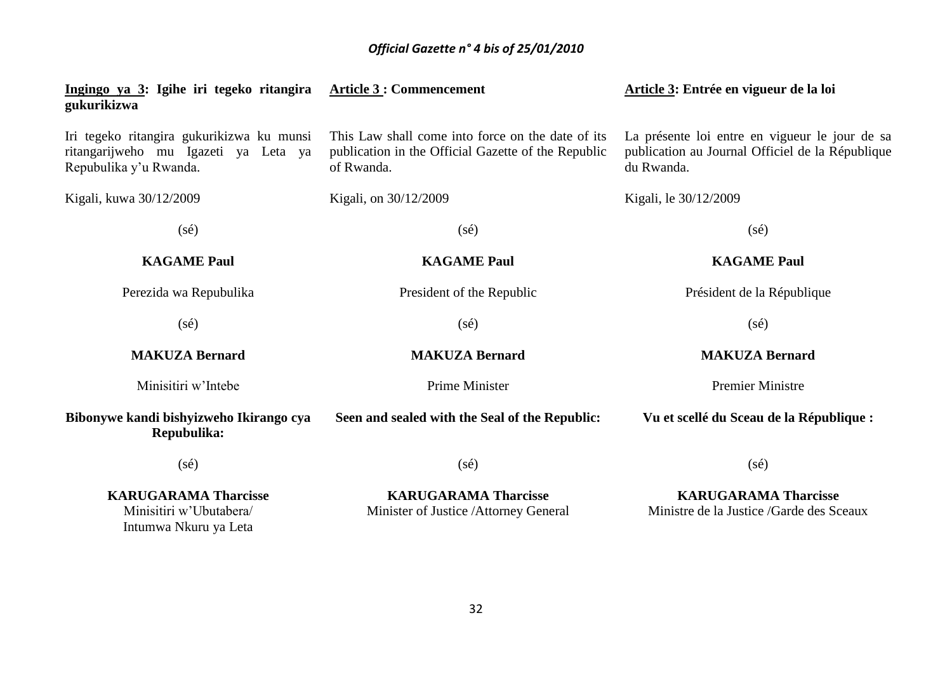| Ingingo ya 3: Igihe iri tegeko ritangira<br>gukurikizwa                                                     | <b>Article 3: Commencement</b>                                                                                         | Article 3: Entrée en vigueur de la loi                                                                           |
|-------------------------------------------------------------------------------------------------------------|------------------------------------------------------------------------------------------------------------------------|------------------------------------------------------------------------------------------------------------------|
| Iri tegeko ritangira gukurikizwa ku munsi<br>ritangarijweho mu Igazeti ya Leta ya<br>Repubulika y'u Rwanda. | This Law shall come into force on the date of its<br>publication in the Official Gazette of the Republic<br>of Rwanda. | La présente loi entre en vigueur le jour de sa<br>publication au Journal Officiel de la République<br>du Rwanda. |
| Kigali, kuwa 30/12/2009                                                                                     | Kigali, on 30/12/2009                                                                                                  | Kigali, le 30/12/2009                                                                                            |
| $(s\acute{e})$                                                                                              | $(s\acute{e})$                                                                                                         | $(s\acute{e})$                                                                                                   |
| <b>KAGAME Paul</b>                                                                                          | <b>KAGAME Paul</b>                                                                                                     | <b>KAGAME Paul</b>                                                                                               |
| Perezida wa Repubulika                                                                                      | President of the Republic                                                                                              | Président de la République                                                                                       |
| $(s\acute{e})$                                                                                              | $(s\acute{e})$                                                                                                         | $(s\acute{e})$                                                                                                   |
| <b>MAKUZA Bernard</b>                                                                                       | <b>MAKUZA Bernard</b>                                                                                                  | <b>MAKUZA Bernard</b>                                                                                            |
| Minisitiri w'Intebe                                                                                         | <b>Prime Minister</b>                                                                                                  | <b>Premier Ministre</b>                                                                                          |
| Bibonywe kandi bishyizweho Ikirango cya<br>Repubulika:                                                      | Seen and sealed with the Seal of the Republic:                                                                         | Vu et scellé du Sceau de la République :                                                                         |
| $(s\acute{e})$                                                                                              | $(s\acute{e})$                                                                                                         | $(s\acute{e})$                                                                                                   |
| <b>KARUGARAMA Tharcisse</b><br>Minisitiri w'Ubutabera/<br>Intumwa Nkuru ya Leta                             | <b>KARUGARAMA Tharcisse</b><br>Minister of Justice / Attorney General                                                  | <b>KARUGARAMA Tharcisse</b><br>Ministre de la Justice / Garde des Sceaux                                         |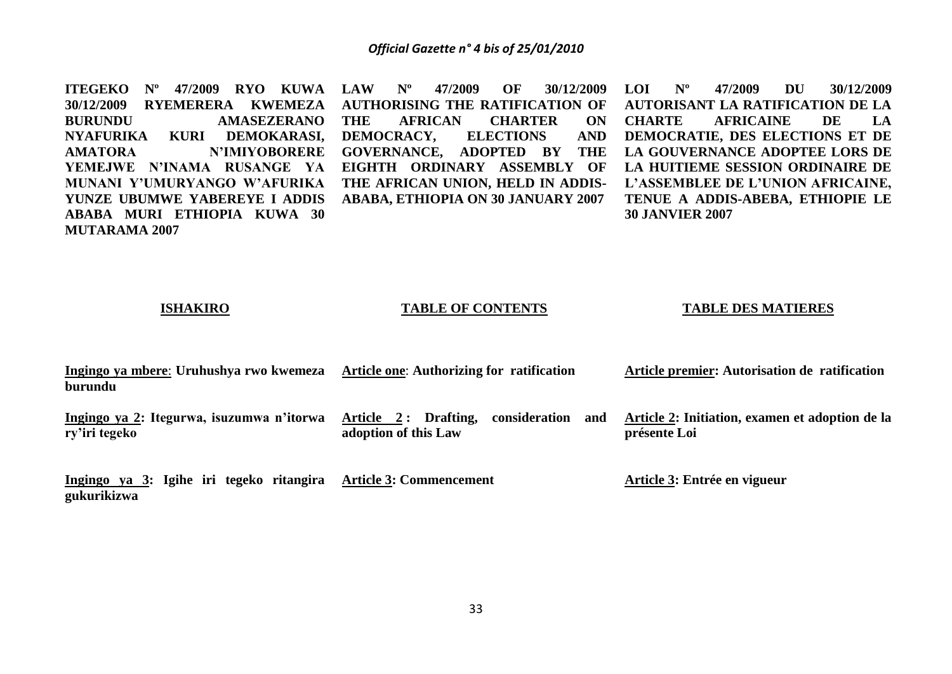**ITEGEKO Nº 47/2009 RYO KUWA LAW Nº 47/2009 OF 30/12/2009 30/12/2009 RYEMERERA KWEMEZA BURUNDU AMASEZERANO NYAFURIKA KURI DEMOKARASI, AMATORA N'IMIYOBORERE YEMEJWE N'INAMA RUSANGE YA MUNANI Y'UMURYANGO W'AFURIKA YUNZE UBUMWE YABEREYE I ADDIS ABABA MURI ETHIOPIA KUWA 30 MUTARAMA 2007 AUTHORISING THE RATIFICATION OF THE AFRICAN CHARTER ON DEMOCRACY, ELECTIONS AND GOVERNANCE, ADOPTED BY THE EIGHTH ORDINARY ASSEMBLY OF THE AFRICAN UNION, HELD IN ADDIS-ABABA, ETHIOPIA ON 30 JANUARY 2007 LOI Nº 47/2009 DU 30/12/2009 30 JANVIER 2007**

**AUTORISANT LA RATIFICATION DE LA CHARTE AFRICAINE DE LA DEMOCRATIE, DES ELECTIONS ET DE LA GOUVERNANCE ADOPTEE LORS DE LA HUITIEME SESSION ORDINAIRE DE L'ASSEMBLEE DE L'UNION AFRICAINE, TENUE A ADDIS-ABEBA, ETHIOPIE LE** 

#### **ISHAKIRO**

#### **TABLE OF CONTENTS**

#### **TABLE DES MATIERES**

| Ingingo ya mbere: Uruhushya rwo kwemeza<br>burundu         | Article one: Authorizing for ratification                            | Article premier: Autorisation de ratification                   |
|------------------------------------------------------------|----------------------------------------------------------------------|-----------------------------------------------------------------|
| Ingingo ya 2: Itegurwa, isuzumwa n'itorwa<br>ry'iri tegeko | Article 2: Drafting,<br>and<br>consideration<br>adoption of this Law | Article 2: Initiation, examen et adoption de la<br>présente Loi |

**Ingingo ya 3: Igihe iri tegeko ritangira Article 3: Commencement gukurikizwa**

**Article 3: Entrée en vigueur**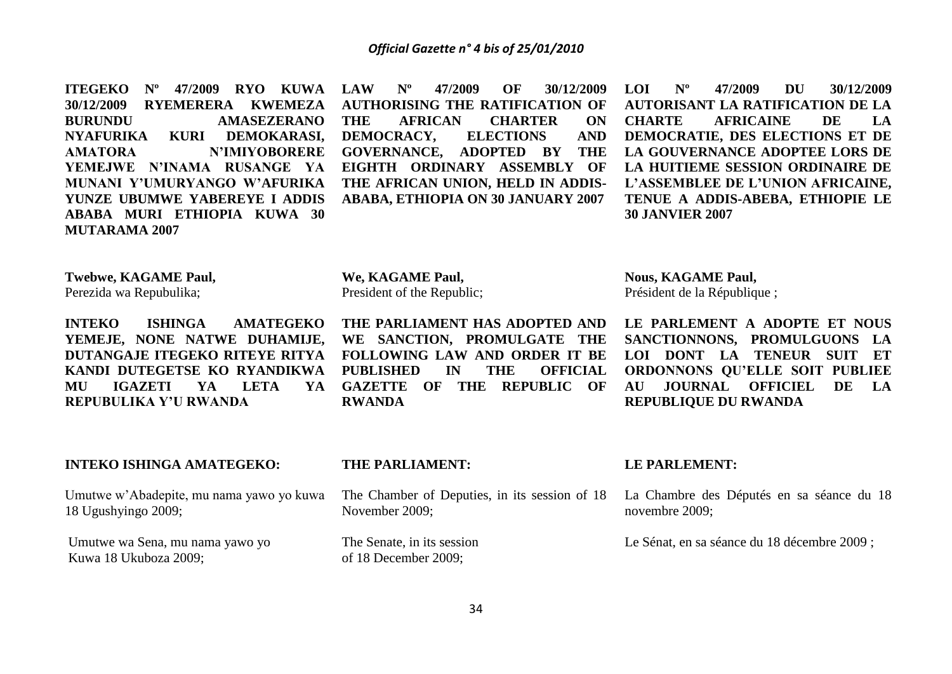**ITEGEKO Nº 47/2009 RYO KUWA 30/12/2009 RYEMERERA KWEMEZA BURUNDU AMASEZERANO NYAFURIKA KURI DEMOKARASI, AMATORA N'IMIYOBORERE YEMEJWE N'INAMA RUSANGE YA MUNANI Y'UMURYANGO W'AFURIKA YUNZE UBUMWE YABEREYE I ADDIS ABABA MURI ETHIOPIA KUWA 30 MUTARAMA 2007** 

**LAW Nº 47/2009 OF 30/12/2009 AUTHORISING THE RATIFICATION OF THE AFRICAN CHARTER ON DEMOCRACY, ELECTIONS AND GOVERNANCE, ADOPTED BY THE EIGHTH ORDINARY ASSEMBLY OF THE AFRICAN UNION, HELD IN ADDIS-ABABA, ETHIOPIA ON 30 JANUARY 2007** 

**LOI Nº 47/2009 DU 30/12/2009 AUTORISANT LA RATIFICATION DE LA CHARTE AFRICAINE DE LA DEMOCRATIE, DES ELECTIONS ET DE LA GOUVERNANCE ADOPTEE LORS DE LA HUITIEME SESSION ORDINAIRE DE L'ASSEMBLEE DE L'UNION AFRICAINE, TENUE A ADDIS-ABEBA, ETHIOPIE LE 30 JANVIER 2007**

**Twebwe, KAGAME Paul,**

Perezida wa Repubulika;

**INTEKO ISHINGA AMATEGEKO YEMEJE, NONE NATWE DUHAMIJE, DUTANGAJE ITEGEKO RITEYE RITYA KANDI DUTEGETSE KO RYANDIKWA MU IGAZETI YA LETA YA REPUBULIKA Y'U RWANDA**

**We, KAGAME Paul,** President of the Republic;

**THE PARLIAMENT HAS ADOPTED AND WE SANCTION, PROMULGATE THE FOLLOWING LAW AND ORDER IT BE PUBLISHED IN THE OFFICIAL GAZETTE OF THE REPUBLIC OF RWANDA**

**Nous, KAGAME Paul,** Président de la République ;

**LE PARLEMENT A ADOPTE ET NOUS SANCTIONNONS, PROMULGUONS LA LOI DONT LA TENEUR SUIT ET ORDONNONS QU'ELLE SOIT PUBLIEE AU JOURNAL OFFICIEL DE LA REPUBLIQUE DU RWANDA**

#### **INTEKO ISHINGA AMATEGEKO:**

Umutwe w'Abadepite, mu nama yawo yo kuwa 18 Ugushyingo 2009;

Umutwe wa Sena, mu nama yawo yo Kuwa 18 Ukuboza 2009;

**THE PARLIAMENT:**

The Chamber of Deputies, in its session of 18 November 2009;

The Senate, in its session of 18 December 2009;

#### **LE PARLEMENT:**

La Chambre des Députés en sa séance du 18 novembre 2009;

Le Sénat, en sa séance du 18 décembre 2009 ;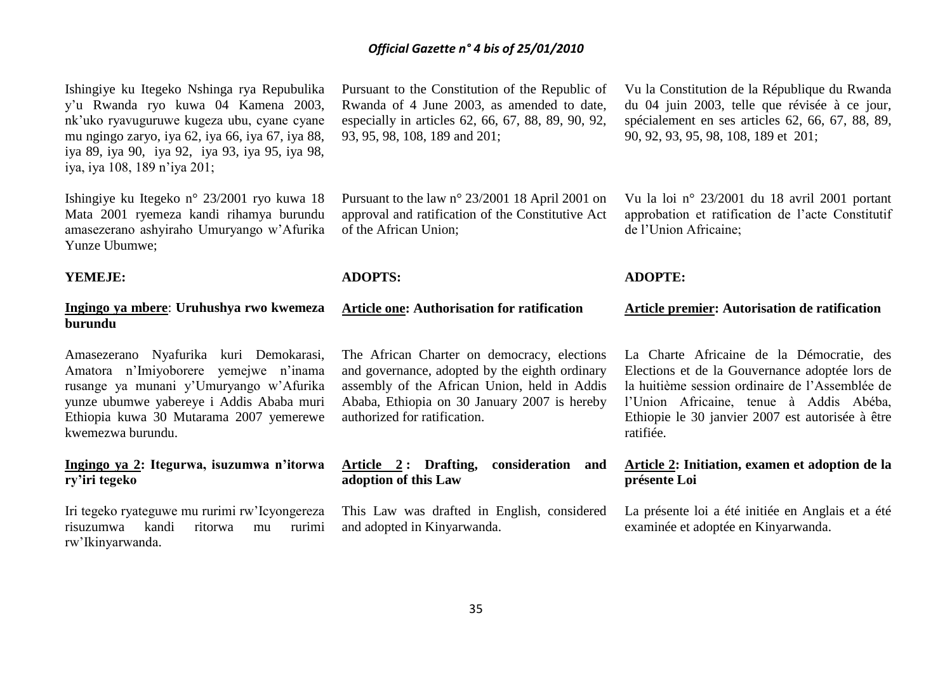Ishingiye ku Itegeko Nshinga rya Repubulika y'u Rwanda ryo kuwa 04 Kamena 2003, nk'uko ryavuguruwe kugeza ubu, cyane cyane mu ngingo zaryo, iya 62, iya 66, iya 67, iya 88, iya 89, iya 90, iya 92, iya 93, iya 95, iya 98, iya, iya 108, 189 n'iya 201;

Ishingiye ku Itegeko n° 23/2001 ryo kuwa 18 Mata 2001 ryemeza kandi rihamya burundu amasezerano ashyiraho Umuryango w'Afurika Yunze Ubumwe;

#### **YEMEJE:**

# **Ingingo ya mbere**: **Uruhushya rwo kwemeza burundu**

Amasezerano Nyafurika kuri Demokarasi, Amatora n'Imiyoborere yemejwe n'inama rusange ya munani y'Umuryango w'Afurika yunze ubumwe yabereye i Addis Ababa muri Ethiopia kuwa 30 Mutarama 2007 yemerewe kwemezwa burundu.

## **Ingingo ya 2: Itegurwa, isuzumwa n'itorwa ry'iri tegeko**

Iri tegeko ryateguwe mu rurimi rw'Icyongereza risuzumwa kandi ritorwa mu rurimi rw'Ikinyarwanda.

Pursuant to the Constitution of the Republic of Rwanda of 4 June 2003, as amended to date, especially in articles 62, 66, 67, 88, 89, 90, 92, 93, 95, 98, 108, 189 and 201;

Pursuant to the law n° 23/2001 18 April 2001 on approval and ratification of the Constitutive Act of the African Union;

# **ADOPTS:**

# **Article one: Authorisation for ratification**

The African Charter on democracy, elections and governance, adopted by the eighth ordinary assembly of the African Union, held in Addis Ababa, Ethiopia on 30 January 2007 is hereby authorized for ratification.

# **Article 2 : Drafting, consideration and adoption of this Law**

This Law was drafted in English, considered and adopted in Kinyarwanda.

Vu la Constitution de la République du Rwanda du 04 juin 2003, telle que révisée à ce jour, spécialement en ses articles 62, 66, 67, 88, 89, 90, 92, 93, 95, 98, 108, 189 et 201;

Vu la loi n° 23/2001 du 18 avril 2001 portant approbation et ratification de l'acte Constitutif de l'Union Africaine;

## **ADOPTE:**

#### **Article premier: Autorisation de ratification**

La Charte Africaine de la Démocratie, des Elections et de la Gouvernance adoptée lors de la huitième session ordinaire de l'Assemblée de l'Union Africaine, tenue à Addis Abéba, Ethiopie le 30 janvier 2007 est autorisée à être ratifiée.

# **Article 2: Initiation, examen et adoption de la présente Loi**

La présente loi a été initiée en Anglais et a été examinée et adoptée en Kinyarwanda.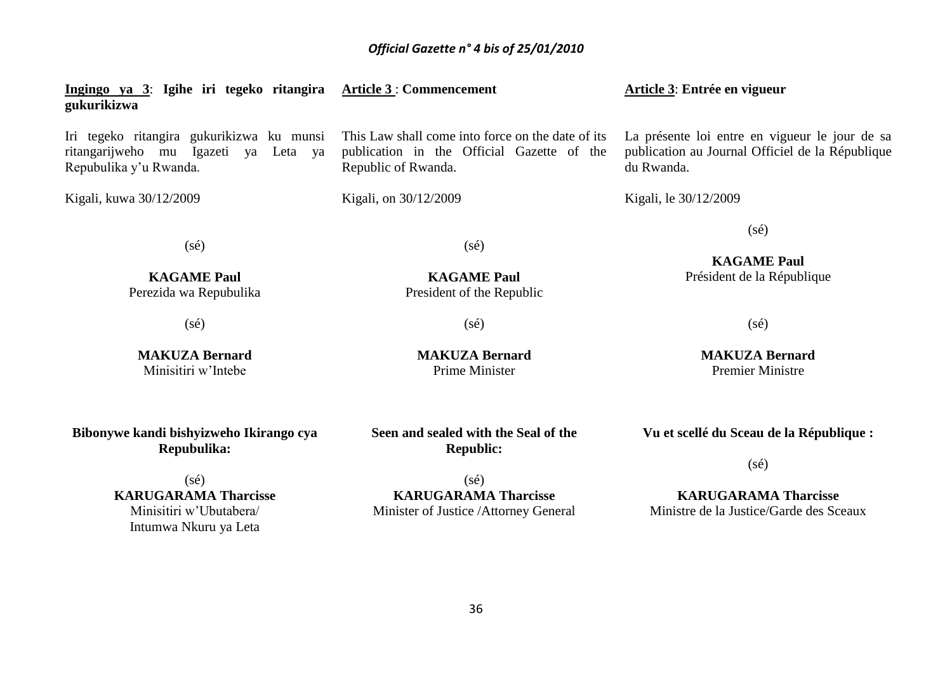| Ingingo ya 3: Igihe iri tegeko ritangira Article 3: Commencement<br>gukurikizwa                             |                                                                                                                        | Article 3: Entrée en vigueur                                                                                     |
|-------------------------------------------------------------------------------------------------------------|------------------------------------------------------------------------------------------------------------------------|------------------------------------------------------------------------------------------------------------------|
| Iri tegeko ritangira gukurikizwa ku munsi<br>ritangarijweho mu Igazeti ya Leta ya<br>Repubulika y'u Rwanda. | This Law shall come into force on the date of its<br>publication in the Official Gazette of the<br>Republic of Rwanda. | La présente loi entre en vigueur le jour de sa<br>publication au Journal Officiel de la République<br>du Rwanda. |
| Kigali, kuwa 30/12/2009                                                                                     | Kigali, on 30/12/2009                                                                                                  | Kigali, le 30/12/2009                                                                                            |
| $(s\acute{e})$<br><b>KAGAME Paul</b><br>Perezida wa Repubulika                                              | $(s\acute{e})$<br><b>KAGAME Paul</b><br>President of the Republic                                                      | $(s\acute{e})$<br><b>KAGAME Paul</b><br>Président de la République                                               |
| $(s\acute{e})$                                                                                              | $(s\acute{e})$                                                                                                         | $(s\acute{e})$                                                                                                   |

**Bibonywe kandi bishyizweho Ikirango cya Repubulika:**

**MAKUZA Bernard** Minisitiri w'Intebe

(sé) **KARUGARAMA Tharcisse** Minisitiri w'Ubutabera/ Intumwa Nkuru ya Leta

**Seen and sealed with the Seal of the Republic:**

**MAKUZA Bernard** Prime Minister

(sé) **KARUGARAMA Tharcisse** Minister of Justice /Attorney General Premier Ministre

**MAKUZA Bernard**

**Vu et scellé du Sceau de la République :**

(sé)

**KARUGARAMA Tharcisse** Ministre de la Justice/Garde des Sceaux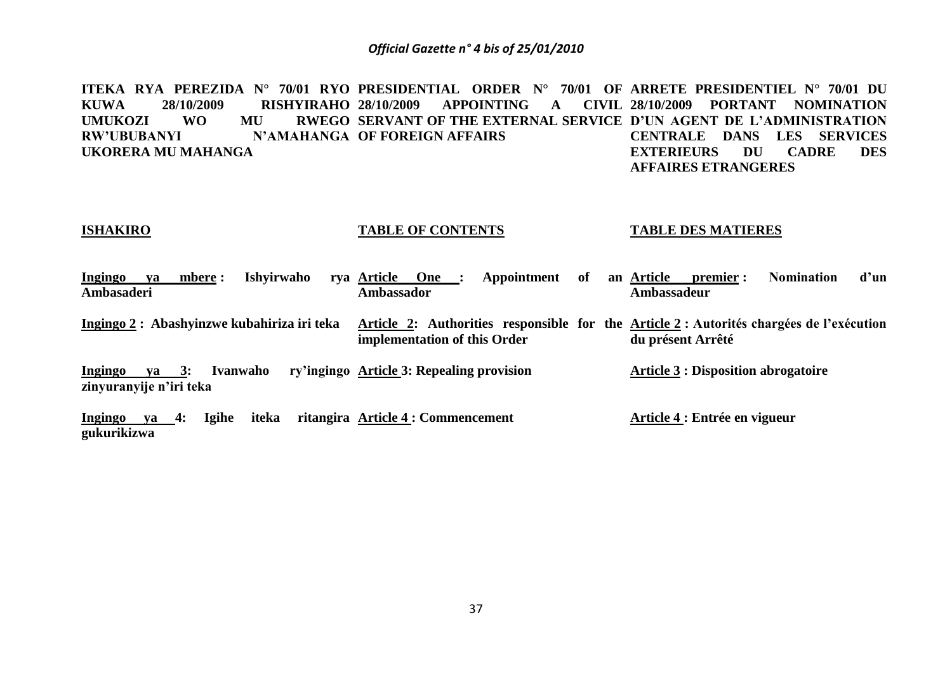**ITEKA RYA PEREZIDA N° 70/01 RYO PRESIDENTIAL ORDER N° 70/01 OF ARRETE PRESIDENTIEL N° 70/01 DU KUWA 28/10/2009 RISHYIRAHO**  UMUKOZI WO MU **RW'UBUBANYI UKORERA MU MAHANGA 28/10/2009 APPOINTING A CIVIL 28/10/2009 PORTANT NOMINATION SERVANT OF THE EXTERNAL SERVICE D'UN AGENT DE L'ADMINISTRATION N'AMAHANGA OF FOREIGN AFFAIRS CENTRALE DANS LES SERVICES EXTERIEURS DU CADRE DES AFFAIRES ETRANGERES**

#### **ISHAKIRO**

#### **TABLE OF CONTENTS**

#### **TABLE DES MATIERES**

| Ingingo    | va | mbere : | Ishyirwaho rya Article One :               |                              |  | Appointment of an Article |  |             | premier :         | <b>Nomination</b>                                                                        | d'un |
|------------|----|---------|--------------------------------------------|------------------------------|--|---------------------------|--|-------------|-------------------|------------------------------------------------------------------------------------------|------|
| Ambasaderi |    |         |                                            | <b>Ambassador</b>            |  |                           |  | Ambassadeur |                   |                                                                                          |      |
|            |    |         | Ingingo 2: Abashyinzwe kubahiriza iri teka | implementation of this Order |  |                           |  |             | du présent Arrêté | Article 2: Authorities responsible for the Article 2 : Autorités chargées de l'exécution |      |

**Ingingo ya 3: Ivanwaho ry'ingingo Article 3: Repealing provision zinyuranyije n'iri teka Article 3 : Disposition abrogatoire**

**Ingingo ya 4: Igihe iteka ritangira Article 4 : Commencement gukurikizwa Article 4 : Entrée en vigueur**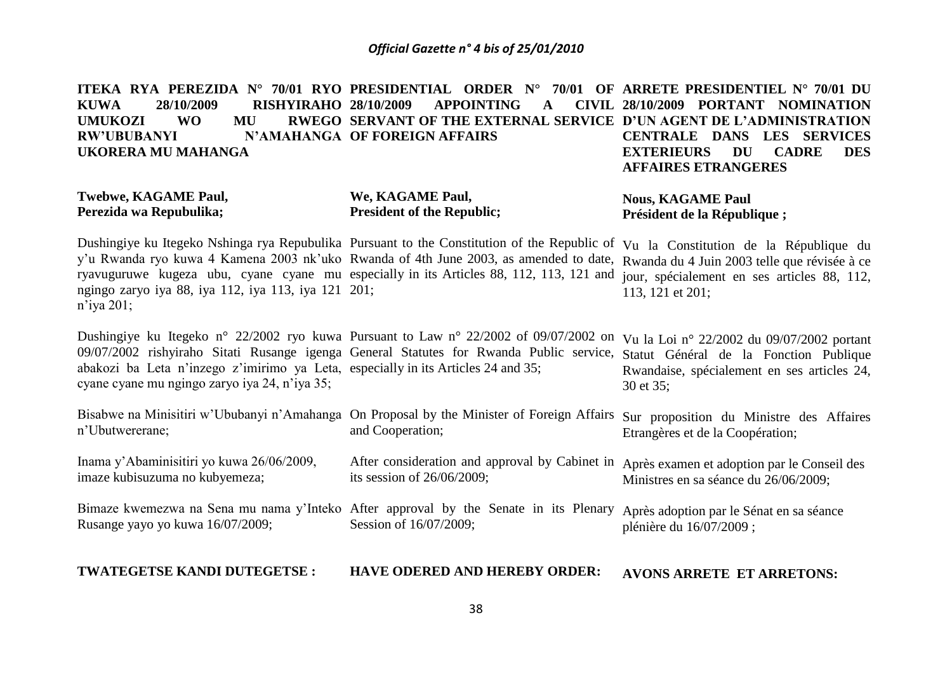**ITEKA RYA PEREZIDA N° 70/01 RYO PRESIDENTIAL ORDER N° 70/01 OF ARRETE PRESIDENTIEL N° 70/01 DU KUWA 28/10/2009 RISHYIRAHO**  UMUKOZI WO MU **RW'UBUBANYI N'AMAHANGA OF FOREIGN AFFAIRS UKORERA MU MAHANGA 28 APPOINTING A SERVANT OF THE EXTERNAL SERVICE D'UN AGENT DE L'ADMINISTRATION 28/10/2009 PORTANT NOMINATION CENTRALE DANS LES SERVICES EXTERIEURS DU CADRE DES AFFAIRES ETRANGERES**

#### **Twebwe, KAGAME Paul, Perezida wa Repubulika;**

#### **We, KAGAME Paul, President of the Republic;**

Dushingiye ku Itegeko Nshinga rya Repubulika Pursuant to the Constitution of the Republic of Vu la Constitution de la République du **Président de la République ;**

**Nous, KAGAME Paul**

y'u Rwanda ryo kuwa 4 Kamena 2003 nk'uko Rwanda of 4th June 2003, as amended to date, Rwanda du 4 Juin 2003 telle que révisée à ce ryavuguruwe kugeza ubu, cyane cyane mu especially in its Articles 88, 112, 113, 121 and jour, spécialement en ses articles 88, 112, ngingo zaryo iya 88, iya 112, iya 113, iya 121 201; n'iya 201; 113, 121 et 201;

Dushingiye ku Itegeko n° 22/2002 ryo kuwa Pursuant to Law n° 22/2002 of 09/07/2002 on Vu la Loi n° 22/2002 du 09/07/2002 portant 09/07/2002 rishyiraho Sitati Rusange igenga General Statutes for Rwanda Public service, Statut Général de la Fonction Publique abakozi ba Leta n'inzego z'imirimo ya Leta, especially in its Articles 24 and 35; cyane cyane mu ngingo zaryo iya 24, n'iya 35; Rwandaise, spécialement en ses articles 24, 30 et 35;

Bisabwe na Minisitiri w'Ububanyi n'Amahanga On Proposal by the Minister of Foreign Affairs Sur proposition du Ministre des Affaires n'Ubutwererane; and Cooperation; Etrangères et de la Coopération;

Inama y'Abaminisitiri yo kuwa 26/06/2009, imaze kubisuzuma no kubyemeza; After consideration and approval by Cabinet in Après examen et adoption par le Conseil des its session of 26/06/2009; Ministres en sa séance du 26/06/2009;

Bimaze kwemezwa na Sena mu nama y'Inteko After approval by the Senate in its Plenary Après adoption par le Sénat en sa séance Rusange yayo yo kuwa 16/07/2009; Session of 16/07/2009; plénière du 16/07/2009 ;

**TWATEGETSE KANDI DUTEGETSE : HAVE ODERED AND HEREBY ORDER: AVONS ARRETE ET ARRETONS:**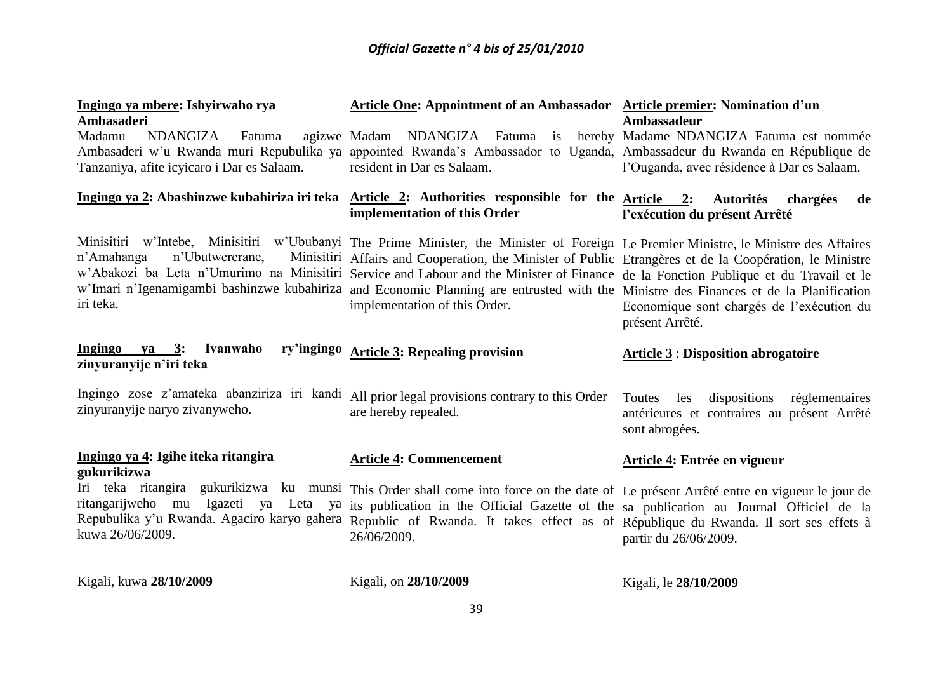| Ingingo ya mbere: Ishyirwaho rya                                                                                                | Article One: Appointment of an Ambassador Article premier: Nomination d'un                                                                                                                                                                                                                                                                                                                                                                                                                                                                                        |                                                                                                               |  |  |
|---------------------------------------------------------------------------------------------------------------------------------|-------------------------------------------------------------------------------------------------------------------------------------------------------------------------------------------------------------------------------------------------------------------------------------------------------------------------------------------------------------------------------------------------------------------------------------------------------------------------------------------------------------------------------------------------------------------|---------------------------------------------------------------------------------------------------------------|--|--|
| <b>Ambasaderi</b><br>Madamu<br>NDANGIZA<br>Fatuma<br>Tanzaniya, afite icyicaro i Dar es Salaam.                                 | agizwe Madam NDANGIZA Fatuma is hereby Madame NDANGIZA Fatuma est nommée<br>Ambasaderi w'u Rwanda muri Repubulika ya appointed Rwanda's Ambassador to Uganda, Ambassadeur du Rwanda en République de<br>resident in Dar es Salaam.                                                                                                                                                                                                                                                                                                                                | <b>Ambassadeur</b><br>l'Ouganda, avec résidence à Dar es Salaam.                                              |  |  |
|                                                                                                                                 | Ingingo ya 2: Abashinzwe kubahiriza iri teka Article 2: Authorities responsible for the Article 2:<br>implementation of this Order                                                                                                                                                                                                                                                                                                                                                                                                                                | <b>Autorités</b><br>chargées<br>de<br>l'exécution du présent Arrêté                                           |  |  |
| n'Ubutwererane,<br>n'Amahanga<br>iri teka.                                                                                      | Minisitiri w'Intebe, Minisitiri w'Ububanyi The Prime Minister, the Minister of Foreign Le Premier Ministre, le Ministre des Affaires<br>Minisitiri Affairs and Cooperation, the Minister of Public Etrangères et de la Coopération, le Ministre<br>w'Abakozi ba Leta n'Umurimo na Minisitiri Service and Labour and the Minister of Finance de la Fonction Publique et du Travail et le<br>w'Imari n'Igenamigambi bashinzwe kubahiriza and Economic Planning are entrusted with the Ministre des Finances et de la Planification<br>implementation of this Order. | Economique sont chargés de l'exécution du<br>présent Arrêté.                                                  |  |  |
| Ingingo<br>va 3:<br>Ivanwaho<br>zinyuranyije n'iri teka                                                                         | ry'ingingo Article 3: Repealing provision                                                                                                                                                                                                                                                                                                                                                                                                                                                                                                                         | <b>Article 3: Disposition abrogatoire</b>                                                                     |  |  |
| Ingingo zose z'amateka abanziriza iri kandi All prior legal provisions contrary to this Order<br>zinyuranyije naryo zivanyweho. | are hereby repealed.                                                                                                                                                                                                                                                                                                                                                                                                                                                                                                                                              | dispositions réglementaires<br>Toutes<br>les<br>antérieures et contraires au présent Arrêté<br>sont abrogées. |  |  |
| Ingingo ya 4: Igihe iteka ritangira<br>gukurikizwa                                                                              | <b>Article 4: Commencement</b>                                                                                                                                                                                                                                                                                                                                                                                                                                                                                                                                    | Article 4: Entrée en vigueur                                                                                  |  |  |
| ritangarijweho mu Igazeti ya Leta<br>kuwa 26/06/2009.                                                                           | Iri teka ritangira gukurikizwa ku munsi This Order shall come into force on the date of Le présent Arrêté entre en vigueur le jour de<br>ya its publication in the Official Gazette of the sa publication au Journal Officiel de la<br>Repubulika y'u Rwanda. Agaciro karyo gahera Republic of Rwanda. It takes effect as of République du Rwanda. Il sort ses effets à<br>26/06/2009.                                                                                                                                                                            | partir du 26/06/2009.                                                                                         |  |  |
| Kigali, kuwa 28/10/2009                                                                                                         | Kigali, on 28/10/2009                                                                                                                                                                                                                                                                                                                                                                                                                                                                                                                                             | Kigali, le 28/10/2009                                                                                         |  |  |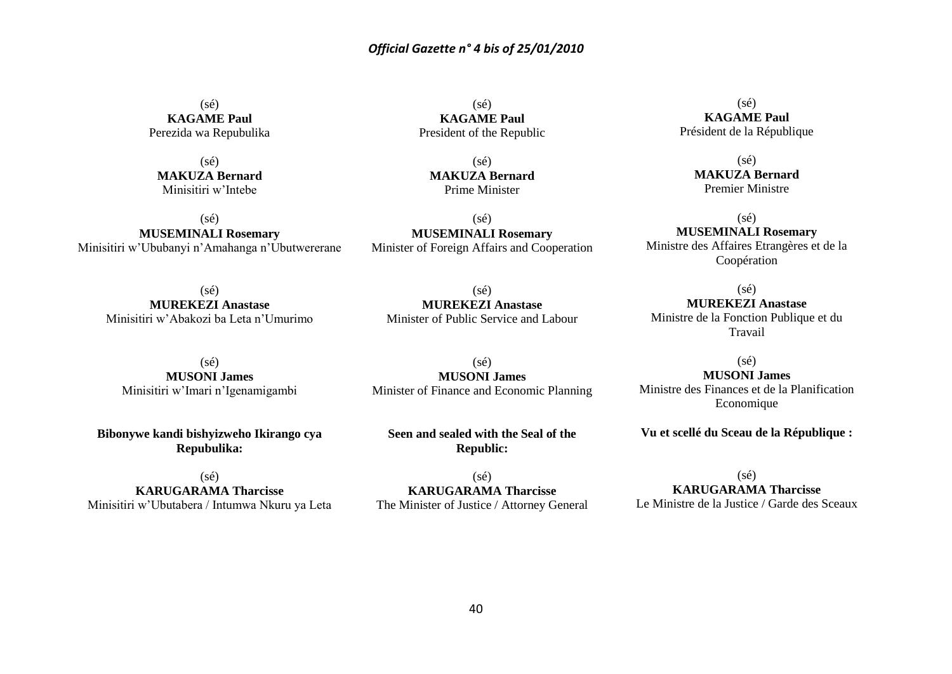$(s\acute{e})$ **KAGAME Paul** Perezida wa Repubulika

 $(sé)$ **MAKUZA Bernard** Minisitiri w'Intebe

 $(s\acute{e})$ **MUSEMINALI Rosemary** Minisitiri w'Ububanyi n'Amahanga n'Ubutwererane

> (sé) **MUREKEZI Anastase** Minisitiri w'Abakozi ba Leta n'Umurimo

 $(sé)$ **MUSONI James** Minisitiri w'Imari n'Igenamigambi

**Bibonywe kandi bishyizweho Ikirango cya Repubulika:**

 $(sé)$ **KARUGARAMA Tharcisse** Minisitiri w'Ubutabera / Intumwa Nkuru ya Leta

 $(s\acute{e})$ **KAGAME Paul** President of the Republic

(sé) **MAKUZA Bernard** Prime Minister

(sé) **MUSEMINALI Rosemary** Minister of Foreign Affairs and Cooperation

(sé) **MUREKEZI Anastase** Minister of Public Service and Labour

(sé) **MUSONI James** Minister of Finance and Economic Planning

**Seen and sealed with the Seal of the Republic:**

 $(sé)$ **KARUGARAMA Tharcisse** The Minister of Justice / Attorney General

 $(s\acute{e})$ **KAGAME Paul** Président de la République

> (sé) **MAKUZA Bernard** Premier Ministre

(sé) **MUSEMINALI Rosemary** Ministre des Affaires Etrangères et de la Coopération

(sé) **MUREKEZI Anastase** Ministre de la Fonction Publique et du Travail

(sé) **MUSONI James** Ministre des Finances et de la Planification Economique

**Vu et scellé du Sceau de la République :**

 $(s\acute{e})$ **KARUGARAMA Tharcisse** Le Ministre de la Justice / Garde des Sceaux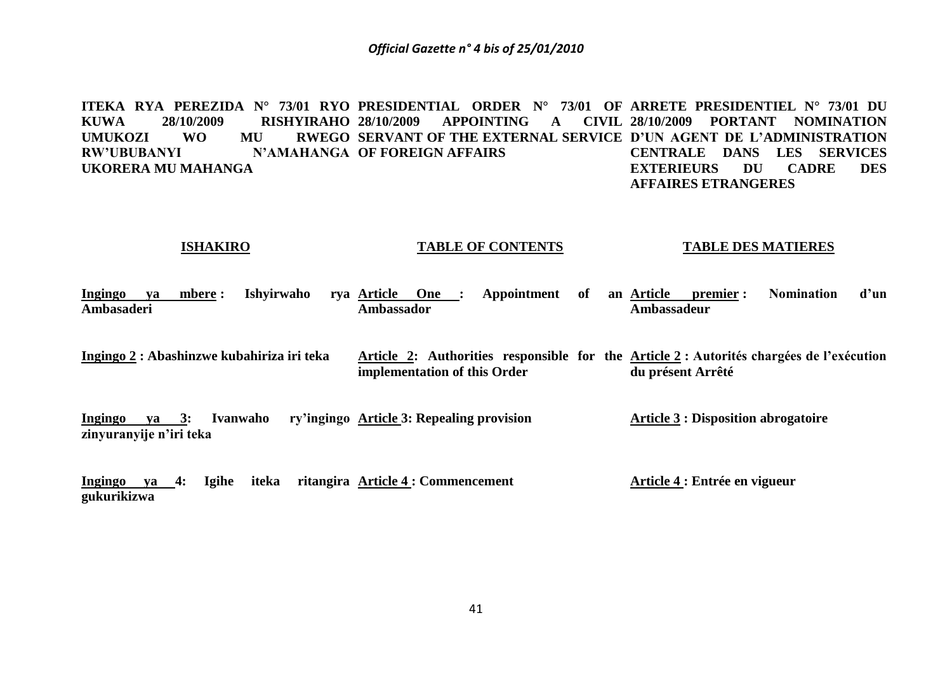**ITEKA RYA PEREZIDA N° 73/01 RYO PRESIDENTIAL ORDER N° 73/01 OF ARRETE PRESIDENTIEL N° 73/01 DU**  KUWA 28/10/2009 RISHYIRAHO 28/10/2009 UMUKOZI WO MU **RW'UBUBANYI N'AMAHANGA OF FOREIGN AFFAIRS UKORERA MU MAHANGA 28 APPOINTING SERVANT OF THE EXTERNAL SERVICE D'UN AGENT DE L'ADMINISTRATION 28/10/2009 PORTANT NOMINATION CENTRALE DANS LES SERVICES EXTERIEURS DU CADRE DES AFFAIRES ETRANGERES**

#### **ISHAKIRO**

#### **TABLE OF CONTENTS**

#### **TABLE DES MATIERES**

| <b>Ingingo</b> | va | mbere : | Ishvirwaho | Article<br>rva | One | Appointment | of | an Article  | premier : | Nomination | d'un |
|----------------|----|---------|------------|----------------|-----|-------------|----|-------------|-----------|------------|------|
| Ambasaderi     |    |         |            | Ambassador     |     |             |    | \mbassadeur |           |            |      |

**Ingingo 2 : Abashinzwe kubahiriza iri teka Article 2: Authorities responsible for the Article 2 : Autorités chargées de l'exécution implementation of this Order du présent Arrêté**

**Ingingo va 3: Ivanwaho zinyuranyije n'iri teka Article 3: Repealing provision Article 3 : Disposition abrogatoire**

**Ingingo ya 4: Igihe iteka ritangira Article 4 : Commencement gukurikizwa Article 4 : Entrée en vigueur**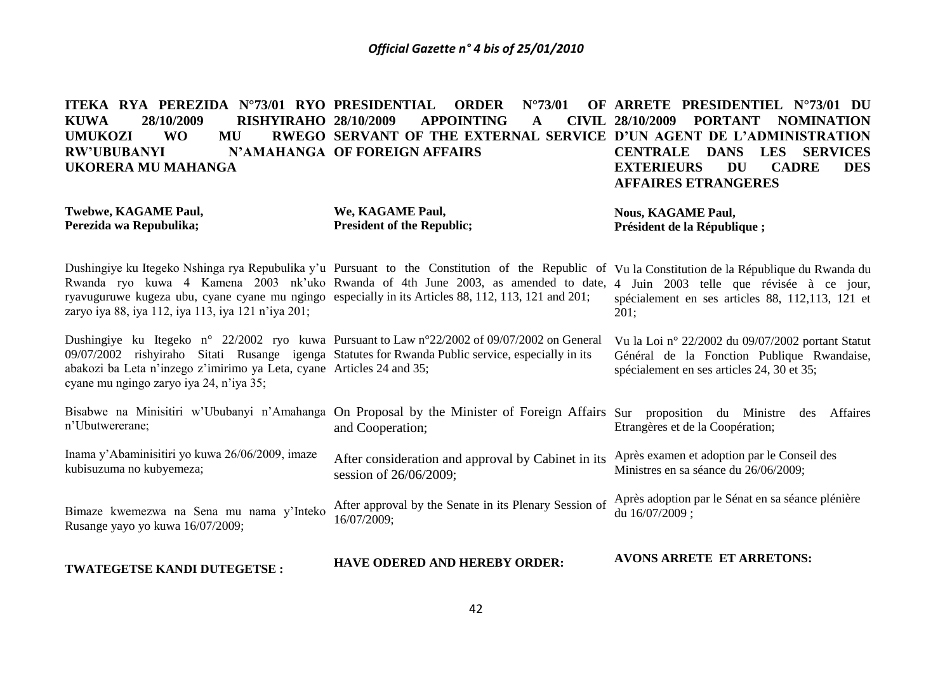| ITEKA RYA PEREZIDA N°73/01 RYO PRESIDENTIAL<br>28/10/2009<br><b>KUWA</b><br><b>RISHYIRAHO 28/10/2009</b><br><b>UMUKOZI</b><br><b>WO</b><br>MU<br><b>RW'UBUBANYI</b><br><b>UKORERA MU MAHANGA</b>                      | $N^{\circ}73/01$<br><b>ORDER</b><br><b>APPOINTING</b><br>A<br>RWEGO SERVANT OF THE EXTERNAL SERVICE D'UN AGENT DE L'ADMINISTRATION<br>N'AMAHANGA OF FOREIGN AFFAIRS                                                                    | OF ARRETE PRESIDENTIEL N°73/01 DU<br>CIVIL 28/10/2009<br><b>PORTANT</b><br><b>NOMINATION</b><br><b>CENTRALE</b><br><b>DANS</b><br><b>LES</b><br><b>SERVICES</b><br><b>EXTERIEURS</b><br><b>DU</b><br><b>DES</b><br><b>CADRE</b><br><b>AFFAIRES ETRANGERES</b> |
|-----------------------------------------------------------------------------------------------------------------------------------------------------------------------------------------------------------------------|----------------------------------------------------------------------------------------------------------------------------------------------------------------------------------------------------------------------------------------|---------------------------------------------------------------------------------------------------------------------------------------------------------------------------------------------------------------------------------------------------------------|
| <b>Twebwe, KAGAME Paul,</b><br>Perezida wa Repubulika;                                                                                                                                                                | We, KAGAME Paul,<br><b>President of the Republic;</b>                                                                                                                                                                                  | <b>Nous, KAGAME Paul,</b><br>Président de la République;                                                                                                                                                                                                      |
| ryavuguruwe kugeza ubu, cyane cyane mu ngingo especially in its Articles 88, 112, 113, 121 and 201;<br>zaryo iya 88, iya 112, iya 113, iya 121 n'iya 201;                                                             | Dushingiye ku Itegeko Nshinga rya Repubulika y'u Pursuant to the Constitution of the Republic of Vu la Constitution de la République du Rwanda du<br>Rwanda ryo kuwa 4 Kamena 2003 nk'uko Rwanda of 4th June 2003, as amended to date, | 4 Juin 2003 telle que révisée à ce jour,<br>spécialement en ses articles 88, 112,113, 121 et<br>201;                                                                                                                                                          |
| 09/07/2002 rishyiraho Sitati Rusange igenga Statutes for Rwanda Public service, especially in its<br>abakozi ba Leta n'inzego z'imirimo ya Leta, cyane Articles 24 and 35;<br>cyane mu ngingo zaryo iya 24, n'iya 35; | Dushingiye ku Itegeko n° 22/2002 ryo kuwa Pursuant to Law n° 22/2002 of 09/07/2002 on General                                                                                                                                          | Vu la Loi nº 22/2002 du 09/07/2002 portant Statut<br>Général de la Fonction Publique Rwandaise,<br>spécialement en ses articles 24, 30 et 35;                                                                                                                 |
| n'Ubutwererane;                                                                                                                                                                                                       | Bisabwe na Minisitiri w'Ububanyi n'Amahanga On Proposal by the Minister of Foreign Affairs Sur proposition du Ministre<br>and Cooperation;                                                                                             | Affaires<br>des<br>Etrangères et de la Coopération;                                                                                                                                                                                                           |
| Inama y'Abaminisitiri yo kuwa 26/06/2009, imaze<br>kubisuzuma no kubyemeza;                                                                                                                                           | After consideration and approval by Cabinet in its<br>session of 26/06/2009;                                                                                                                                                           | Après examen et adoption par le Conseil des<br>Ministres en sa séance du 26/06/2009;                                                                                                                                                                          |
| Bimaze kwemezwa na Sena mu nama y'Inteko<br>Rusange yayo yo kuwa 16/07/2009;                                                                                                                                          | After approval by the Senate in its Plenary Session of<br>16/07/2009;                                                                                                                                                                  | Après adoption par le Sénat en sa séance plénière<br>du 16/07/2009;                                                                                                                                                                                           |
| TWATEGETSE KANDI DUTEGETSE:                                                                                                                                                                                           | <b>HAVE ODERED AND HEREBY ORDER:</b>                                                                                                                                                                                                   | <b>AVONS ARRETE ET ARRETONS:</b>                                                                                                                                                                                                                              |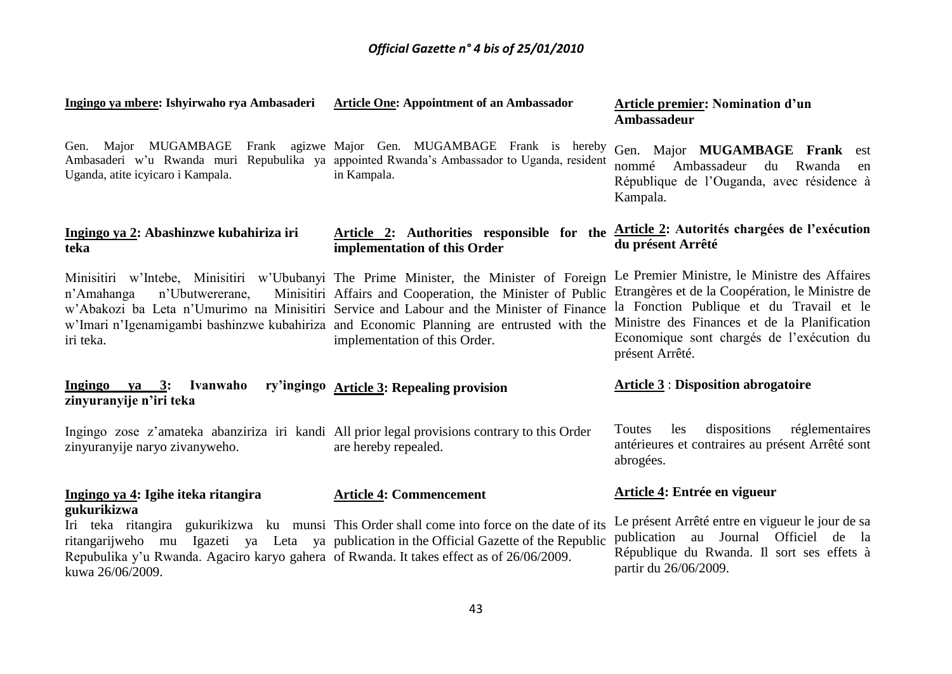| Ingingo ya mbere: Ishyirwaho rya Ambasaderi                                                                                     | <b>Article One: Appointment of an Ambassador</b>                                                                                                                                                                                                                                                                                                                              | <b>Article premier: Nomination d'un</b><br>Ambassadeur                                                                                                                                                                                                       |
|---------------------------------------------------------------------------------------------------------------------------------|-------------------------------------------------------------------------------------------------------------------------------------------------------------------------------------------------------------------------------------------------------------------------------------------------------------------------------------------------------------------------------|--------------------------------------------------------------------------------------------------------------------------------------------------------------------------------------------------------------------------------------------------------------|
| Uganda, atite icyicaro i Kampala.                                                                                               | Gen. Major MUGAMBAGE Frank agizwe Major Gen. MUGAMBAGE Frank is hereby<br>Ambasaderi w'u Rwanda muri Repubulika ya appointed Rwanda's Ambassador to Uganda, resident<br>in Kampala.                                                                                                                                                                                           | Gen. Major MUGAMBAGE Frank est<br>Ambassadeur<br>nommé<br>du Rwanda<br>en<br>République de l'Ouganda, avec résidence à<br>Kampala.                                                                                                                           |
| Ingingo ya 2: Abashinzwe kubahiriza iri<br>teka                                                                                 | Article 2: Authorities responsible for the Article 2: Autorités chargées de l'exécution<br>implementation of this Order                                                                                                                                                                                                                                                       | du présent Arrêté                                                                                                                                                                                                                                            |
| n'Ubutwererane,<br>n'Amahanga<br>iri teka.                                                                                      | Minisitiri w'Intebe, Minisitiri w'Ububanyi The Prime Minister, the Minister of Foreign<br>Minisitiri Affairs and Cooperation, the Minister of Public<br>w'Abakozi ba Leta n'Umurimo na Minisitiri Service and Labour and the Minister of Finance<br>w'Imari n'Igenamigambi bashinzwe kubahiriza and Economic Planning are entrusted with the<br>implementation of this Order. | Le Premier Ministre, le Ministre des Affaires<br>Etrangères et de la Coopération, le Ministre de<br>la Fonction Publique et du Travail et le<br>Ministre des Finances et de la Planification<br>Economique sont chargés de l'exécution du<br>présent Arrêté. |
| Ingingo ya 3: Ivanwaho<br>zinyuranyije n'iri teka                                                                               | ry'ingingo Article 3: Repealing provision                                                                                                                                                                                                                                                                                                                                     | <b>Article 3: Disposition abrogatoire</b>                                                                                                                                                                                                                    |
| Ingingo zose z'amateka abanziriza iri kandi All prior legal provisions contrary to this Order<br>zinyuranyije naryo zivanyweho. | are hereby repealed.                                                                                                                                                                                                                                                                                                                                                          | dispositions<br>réglementaires<br>Toutes<br>les<br>antérieures et contraires au présent Arrêté sont<br>abrogées.                                                                                                                                             |
| Ingingo ya 4: Igihe iteka ritangira                                                                                             | <b>Article 4: Commencement</b>                                                                                                                                                                                                                                                                                                                                                | Article 4: Entrée en vigueur                                                                                                                                                                                                                                 |
| gukurikizwa<br>Repubulika y'u Rwanda. Agaciro karyo gahera of Rwanda. It takes effect as of 26/06/2009.<br>kuwa 26/06/2009.     | Iri teka ritangira gukurikizwa ku munsi This Order shall come into force on the date of its<br>ritangarijweho mu Igazeti ya Leta ya publication in the Official Gazette of the Republic                                                                                                                                                                                       | Le présent Arrêté entre en vigueur le jour de sa<br>publication au Journal Officiel de la<br>République du Rwanda. Il sort ses effets à<br>partir du 26/06/2009.                                                                                             |
|                                                                                                                                 |                                                                                                                                                                                                                                                                                                                                                                               |                                                                                                                                                                                                                                                              |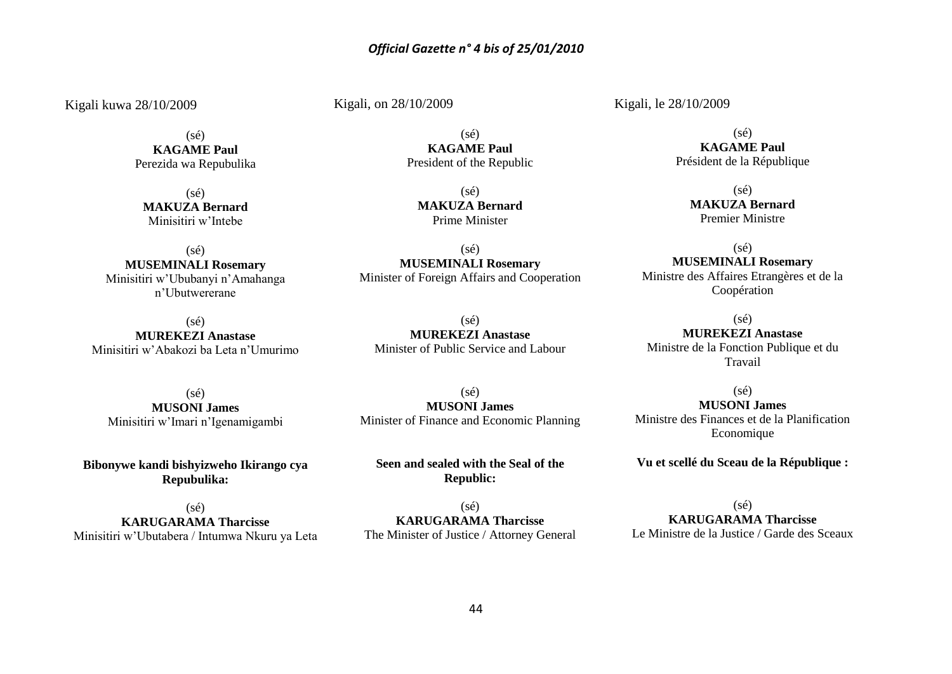Kigali kuwa 28/10/2009

(sé) **KAGAME Paul** Perezida wa Repubulika

(sé) **MAKUZA Bernard** Minisitiri w'Intebe

(sé) **MUSEMINALI Rosemary** Minisitiri w'Ububanyi n'Amahanga n'Ubutwererane

(sé) **MUREKEZI Anastase** Minisitiri w'Abakozi ba Leta n'Umurimo

Kigali, on 28/10/2009

(sé) **KAGAME Paul** President of the Republic

> $(sé)$ **MAKUZA Bernard** Prime Minister

(sé) **MUSEMINALI Rosemary** Minister of Foreign Affairs and Cooperation

 $(sé)$ **MUREKEZI Anastase** Minister of Public Service and Labour

(sé) **MUSONI James** Minisitiri w'Imari n'Igenamigambi

**Bibonywe kandi bishyizweho Ikirango cya Repubulika:**

(sé) **KARUGARAMA Tharcisse** Minisitiri w'Ubutabera / Intumwa Nkuru ya Leta

 $(s<sub>é</sub>)$ **MUSONI James** Minister of Finance and Economic Planning

**Seen and sealed with the Seal of the Republic:**

 $(s\acute{e})$ **KARUGARAMA Tharcisse** The Minister of Justice / Attorney General Kigali, le 28/10/2009

 $(s\acute{e})$ **KAGAME Paul** Président de la République

> (sé) **MAKUZA Bernard** Premier Ministre

(sé) **MUSEMINALI Rosemary** Ministre des Affaires Etrangères et de la Coopération

(sé) **MUREKEZI Anastase** Ministre de la Fonction Publique et du Travail

(sé) **MUSONI James** Ministre des Finances et de la Planification Economique

**Vu et scellé du Sceau de la République :**

(sé) **KARUGARAMA Tharcisse** Le Ministre de la Justice / Garde des Sceaux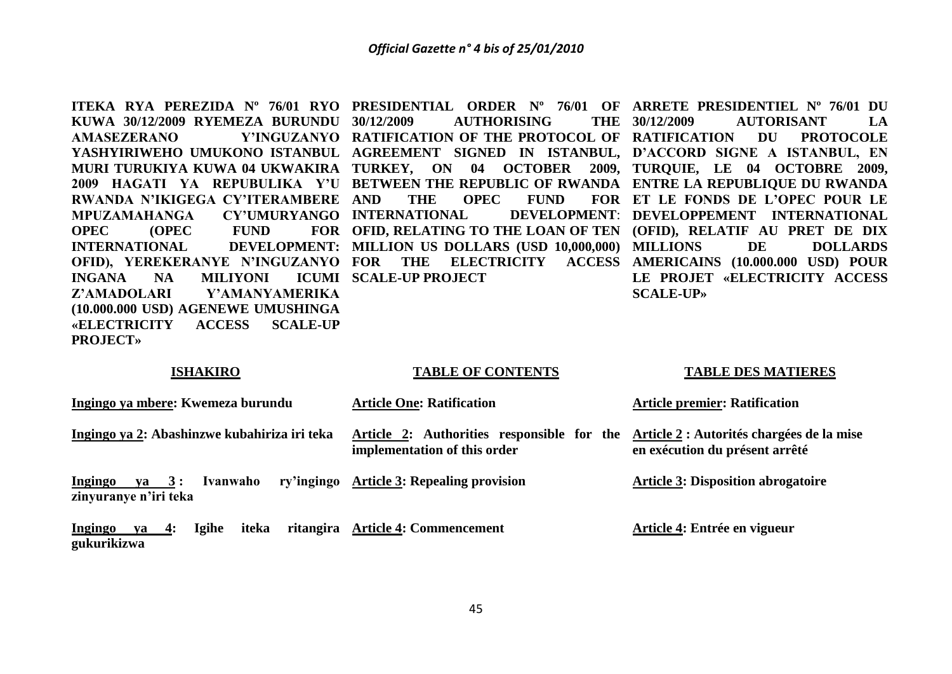**KUWA 30/12/2009 RYEMEZA BURUNDU AMASEZERANO Y'INGUZANYO RATIFICATION OF THE PROTOCOL OF RATIFICATION DU PROTOCOLE YASHYIRIWEHO UMUKONO ISTANBUL AGREEMENT SIGNED IN ISTANBUL, D'ACCORD SIGNE A ISTANBUL, EN**  MURI TURUKIYA KUWA 04 UKWAKIRA TURKEY, ON 04 OCTOBER 2009, TURQUIE, LE 04 OCTOBRE 2009, **2009 HAGATI YA REPUBULIKA Y'U BETWEEN THE REPUBLIC OF RWANDA ENTRE LA REPUBLIQUE DU RWANDA RWANDA N'IKIGEGA CY'ITERAMBERE MPUZAMAHANGA CY'UMURYANGO INTERNATIONAL DEVELOPMENT**: **OPEC OPEC** FUND **INTERNATIONAL DEVELOPMENT: MILLION US DOLLARS (USD 10,000,000) OFID), YEREKERANYE N'INGUZANYO FOR THE ELECTRICITY ACCESS AMERICAINS (10.000.000 USD) POUR INGANA NA MILIYONI Z'AMADOLARI Y'AMANYAMERIKA (10.000.000 USD) AGENEWE UMUSHINGA «ELECTRICITY ACCESS SCALE-UP PROJECT»** 

**30/12/2009 AUTHORISING THE**  THE OPEC FUND **OFID, RELATING TO THE LOAN OF TEN (OFID), RELATIF AU PRET DE DIX SCALE-UP PROJECT** 

**ITEKA RYA PEREZIDA Nº 76/01 RYO PRESIDENTIAL ORDER Nº 76/01 OF ARRETE PRESIDENTIEL Nº 76/01 DU 30/12/2009 AUTORISANT LA ET LE FONDS DE L'OPEC POUR LE DEVELOPMENT: DEVELOPPEMENT INTERNATIONAL** DE DOLLARDS **LE PROJET «ELECTRICITY ACCESS SCALE-UP»**

#### **ISHAKIRO**

#### **TABLE OF CONTENTS**

#### **TABLE DES MATIERES**

| Ingingo ya mbere: Kwemeza burundu                                    | <b>Article One: Ratification</b>                                           | <b>Article premier: Ratification</b>                                        |  |
|----------------------------------------------------------------------|----------------------------------------------------------------------------|-----------------------------------------------------------------------------|--|
| Ingingo ya 2: Abashinzwe kubahiriza iri teka                         | Article 2: Authorities responsible for the<br>implementation of this order | Article 2 : Autorités chargées de la mise<br>en exécution du présent arrêté |  |
| $ya \quad 3:$<br>Ivanwaho<br><b>Ingingo</b><br>zinyuranye n'iri teka | ry'ingingo Article 3: Repealing provision                                  | <b>Article 3: Disposition abrogatoire</b>                                   |  |
| iteka<br>$ya$ 4:<br><b>Igihe</b><br><b>Ingingo</b><br>gukurikizwa    | ritangira Article 4: Commencement                                          | Article 4: Entrée en vigueur                                                |  |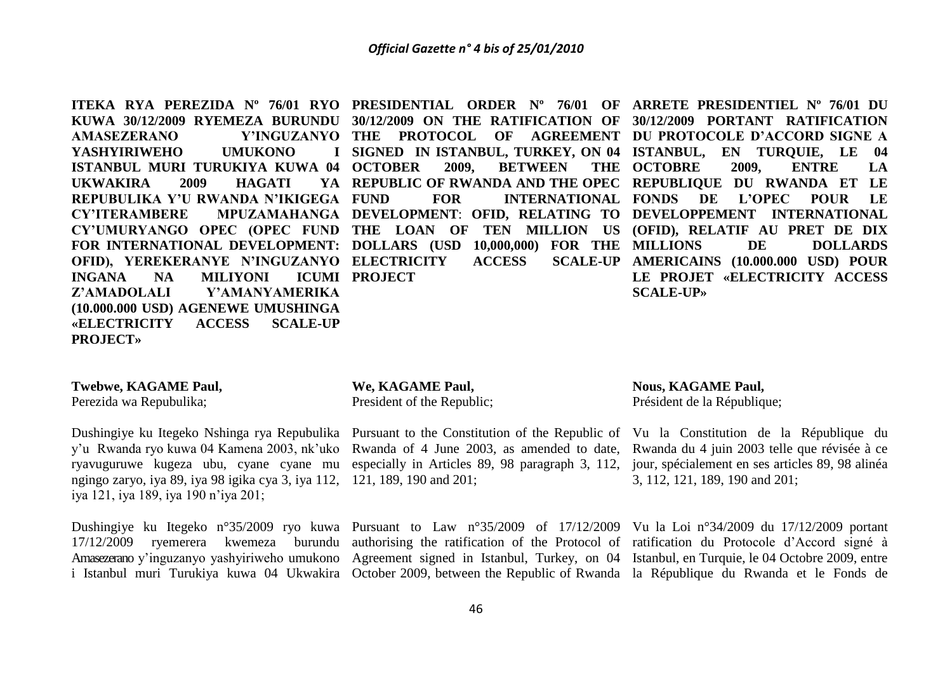**ITEKA RYA PEREZIDA Nº 76/01 RYO PRESIDENTIAL ORDER Nº 76/01 OF ARRETE PRESIDENTIEL Nº 76/01 DU KUWA 30/12/2009 RYEMEZA BURUNDU 30/12/2009 ON THE RATIFICATION OF 30/12/2009 PORTANT RATIFICATION**  AMASEZERANO YASHYIRIWEHO **UMUKONO ISTANBUL MURI TURUKIYA KUWA 04**  UKWAKIRA 2009 HAGATI **REPUBULIKA Y'U RWANDA N'IKIGEGA CY'ITERAMBERE MPUZAMAHANGA DEVELOPMENT**: **OFID, RELATING TO DEVELOPPEMENT INTERNATIONAL CY'UMURYANGO OPEC (OPEC FUND THE LOAN OF TEN MILLION US (OFID), RELATIF AU PRET DE DIX FOR INTERNATIONAL DEVELOPMENT: DOLLARS (USD 10,000,000) FOR THE OFID), YEREKERANYE N'INGUZANYO ELECTRICITY ACCESS SCALE-UP INGANA NA MILIYONI Z'AMADOLALI Y'AMANYAMERIKA (10.000.000 USD) AGENEWE UMUSHINGA «ELECTRICITY ACCESS SCALE-UP THE PROTOCOL OF AGREEMENT DU PROTOCOLE D'ACCORD SIGNE A SIGNED IN ISTANBUL, TURKEY, ON 04 ISTANBUL, EN TURQUIE, LE 04 2009. BETWEEN REPUBLIC OF RWANDA AND THE OPEC REPUBLIQUE DU RWANDA ET LE FUND FOR INTERNATIONAL FONDS DE L'OPEC POUR LE ICUMI PROJECT** THE OCTOBRE 2009, ENTRE LA DE DOLLARDS **SCALE-UP AMERICAINS (10.000.000 USD) POUR LE PROJET «ELECTRICITY ACCESS SCALE-UP»**

## **Twebwe, KAGAME Paul,**

**PROJECT»** 

Perezida wa Repubulika;

y'u Rwanda ryo kuwa 04 Kamena 2003, nk'uko Rwanda of 4 June 2003, as amended to date, Rwanda du 4 juin 2003 telle que révisée à ce ryavuguruwe kugeza ubu, cyane cyane mu especially in Articles 89, 98 paragraph 3, 112, jour, spécialement en ses articles 89, 98 alinéa ngingo zaryo, iya 89, iya 98 igika cya 3, iya 112, 121, 189, 190 and 201; iya 121, iya 189, iya 190 n'iya 201;

Dushingiye ku Itegeko n°35/2009 ryo kuwa Pursuant to Law n°35/2009 of 17/12/2009 Vu la Loi n°34/2009 du 17/12/2009 portant 17/12/2009 ryemerera kwemeza burundu authorising the ratification of the Protocol of ratification du Protocole d'Accord signé à Amasezerano y'inguzanyo yashyiriweho umukono Agreement signed in Istanbul, Turkey, on 04 Istanbul, en Turquie, le 04 Octobre 2009, entre i Istanbul muri Turukiya kuwa 04 Ukwakira October 2009, between the Republic of Rwanda la République du Rwanda et le Fonds de

#### **We, KAGAME Paul,**

President of the Republic;

#### **Nous, KAGAME Paul,**

Président de la République;

Dushingiye ku Itegeko Nshinga rya Repubulika Pursuant to the Constitution of the Republic of Vu la Constitution de la République du 3, 112, 121, 189, 190 and 201;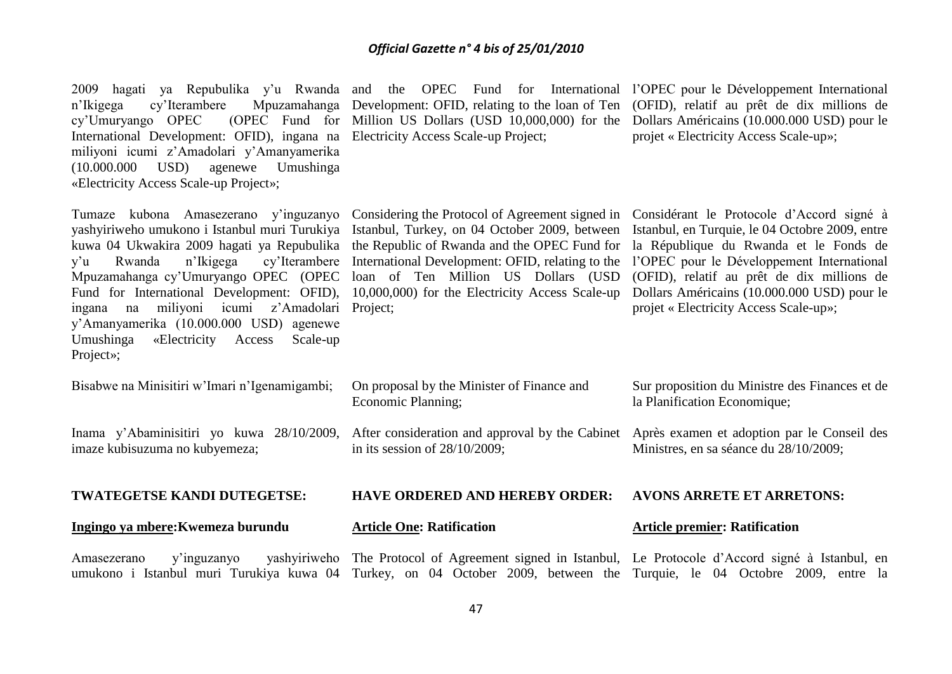2009 hagati ya Repubulika y'u Rwanda and the OPEC Fund for International l'OPEC pour le Développement International n'Ikigega cy'Iterambere Mpuzamahanga Development: OFID, relating to the loan of Ten (OFID), relatif au prêt de dix millions de cy'Umuryango OPEC International Development: OFID), ingana na Electricity Access Scale-up Project; miliyoni icumi z'Amadolari y'Amanyamerika (10.000.000 USD) agenewe Umushinga «Electricity Access Scale-up Project»;

yashyiriweho umukono i Istanbul muri Turukiya Istanbul, Turkey, on 04 October 2009, between Istanbul, en Turquie, le 04 Octobre 2009, entre kuwa 04 Ukwakira 2009 hagati ya Repubulika the Republic of Rwanda and the OPEC Fund for y'u Rwanda n'Ikigega cy'Iterambere International Development: OFID, relating to the l'OPEC pour le Développement International Mpuzamahanga cy'Umuryango OPEC (OPEC loan of Ten Million US Dollars (USD (OFID), relatif au prêt de dix millions de Fund for International Development: OFID), 10,000,000) for the Electricity Access Scale-up ingana na miliyoni icumi z'Amadolari Project; y'Amanyamerika (10.000.000 USD) agenewe Umushinga «Electricity Access Scale-up Project»;

(OPEC Fund for Million US Dollars  $(USD 10,000,000)$  for the

Dollars Américains (10.000.000 USD) pour le projet « Electricity Access Scale-up»;

Tumaze kubona Amasezerano y'inguzanyo Considering the Protocol of Agreement signed in Considérant le Protocole d'Accord signé à

la République du Rwanda et le Fonds de Dollars Américains (10.000.000 USD) pour le projet « Electricity Access Scale-up»;

| Bisabwe na Minisitiri w'Imari n'Igenamigambi;                               | On proposal by the Minister of Finance and<br>Economic Planning;                    | Sur proposition du Ministre des Finances et de<br>la Planification Economique;        |
|-----------------------------------------------------------------------------|-------------------------------------------------------------------------------------|---------------------------------------------------------------------------------------|
| Inama y'Abaminisitiri yo kuwa 28/10/2009,<br>imaze kubisuzuma no kubyemeza; | After consideration and approval by the Cabinet<br>in its session of $28/10/2009$ ; | Après examen et adoption par le Conseil des<br>Ministres, en sa séance du 28/10/2009; |
| <b>TWATEGETSE KANDI DUTEGETSE:</b>                                          | <b>HAVE ORDERED AND HEREBY ORDER:</b>                                               | <b>AVONS ARRETE ET ARRETONS:</b>                                                      |
| Ingingo ya mbere: Kwemeza burundu                                           | <b>Article One: Ratification</b>                                                    | <b>Article premier: Ratification</b>                                                  |

Amasezerano y'inguzanyo yashyiriweho The Protocol of Agreement signed in Istanbul, Le Protocole d'Accord signé à Istanbul, en umukono i Istanbul muri Turukiya kuwa 04 Turkey, on 04 October 2009, between the Turquie, le 04 Octobre 2009, entre la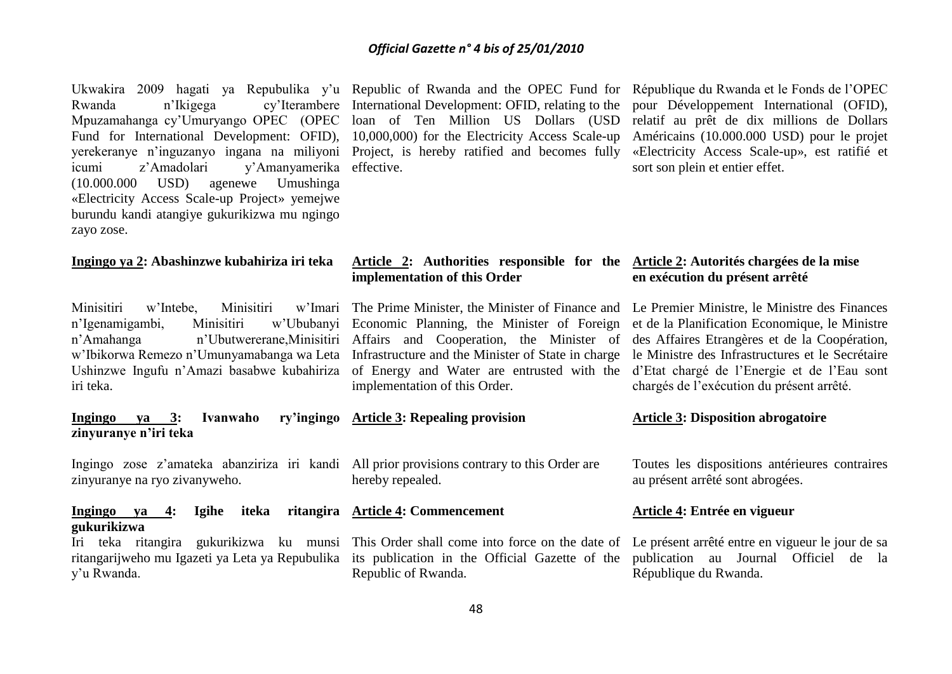Ukwakira 2009 hagati ya Repubulika y'u Republic of Rwanda and the OPEC Fund for République du Rwanda et le Fonds de l'OPEC Rwanda n'Ikigega cy'Iterambere International Development: OFID, relating to the Mpuzamahanga cy'Umuryango OPEC (OPEC loan of Ten Million US Dollars (USD Fund for International Development: OFID), 10,000,000) for the Electricity Access Scale-up yerekeranye n'inguzanyo ingana na miliyoni Project, is hereby ratified and becomes fully icumi z'Amadolari y'Amanyamerika effective. (10.000.000 USD) agenewe Umushinga «Electricity Access Scale-up Project» yemejwe burundu kandi atangiye gukurikizwa mu ngingo zayo zose.

#### **Ingingo ya 2: Abashinzwe kubahiriza iri teka**

Minisitiri w'Intebe. Minisitiri n'Igenamigambi, Minisitiri n'Amahanga n'Ubutwererane,Minisitiri Affairs and Cooperation, the Minister of w'Ibikorwa Remezo n'Umunyamabanga wa Leta Infrastructure and the Minister of State in charge Ushinzwe Ingufu n'Amazi basabwe kubahiriza of Energy and Water are entrusted with the iri teka.

#### **Ingingo ya 3: Ivanwaho ry'ingingo Article 3: Repealing provision zinyuranye n'iri teka**

Ingingo zose z'amateka abanziriza iri kandi All prior provisions contrary to this Order are zinyuranye na ryo zivanyweho.

#### **Ingingo ya 4: Igihe iteka ritangira Article 4: Commencement gukurikizwa**

ritangarijweho mu Igazeti ya Leta ya Repubulika its publication in the Official Gazette of the y'u Rwanda.

pour Développement International (OFID), relatif au prêt de dix millions de Dollars Américains (10.000.000 USD) pour le projet «Electricity Access Scale-up», est ratifié et sort son plein et entier effet.

#### **Article 2: Authorities responsible for the Article 2: Autorités chargées de la mise implementation of this Order**

Economic Planning, the Minister of Foreign et de la Planification Economique, le Ministre implementation of this Order.

hereby repealed.

Iri teka ritangira gukurikizwa ku munsi This Order shall come into force on the date of Republic of Rwanda.

# **en exécution du présent arrêté**

The Prime Minister, the Minister of Finance and Le Premier Ministre, le Ministre des Finances des Affaires Etrangères et de la Coopération, le Ministre des Infrastructures et le Secrétaire d'Etat chargé de l'Energie et de l'Eau sont chargés de l'exécution du présent arrêté.

#### **Article 3: Disposition abrogatoire**

Toutes les dispositions antérieures contraires au présent arrêté sont abrogées.

#### **Article 4: Entrée en vigueur**

Le présent arrêté entre en vigueur le jour de sa publication au Journal Officiel de la République du Rwanda.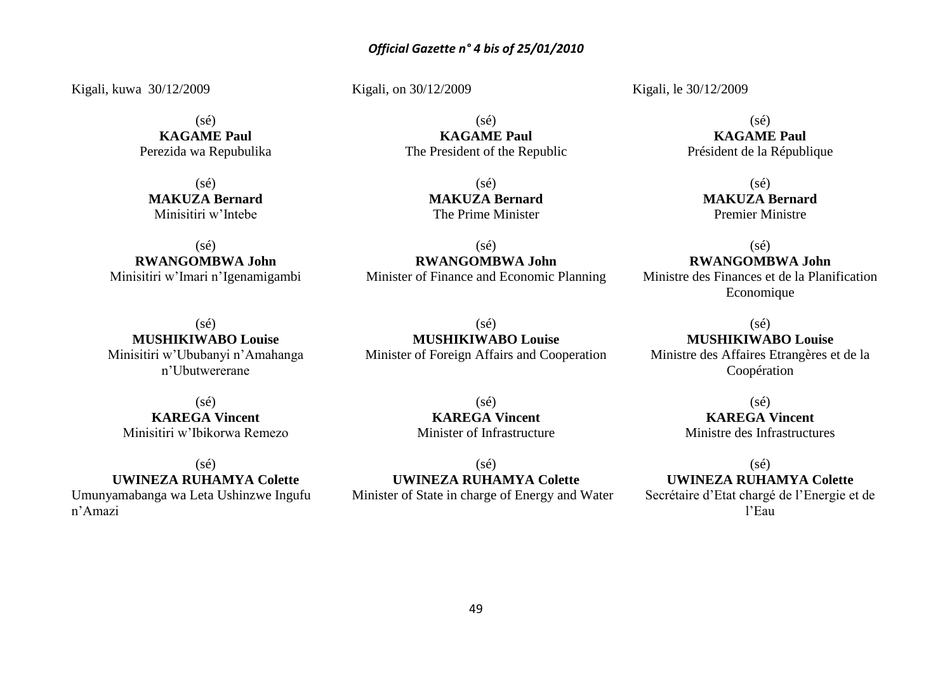Kigali, kuwa 30/12/2009

(sé) **KAGAME Paul** Perezida wa Repubulika

(sé) **MAKUZA Bernard** Minisitiri w'Intebe

 $(sé)$ **RWANGOMBWA John** Minisitiri w'Imari n'Igenamigambi

 $(s<sub>é</sub>)$ **MUSHIKIWABO Louise** Minisitiri w'Ububanyi n'Amahanga n'Ubutwererane

 $(sé)$ **KAREGA Vincent** Minisitiri w'Ibikorwa Remezo

 $(s\acute{e})$ 

**UWINEZA RUHAMYA Colette** Umunyamabanga wa Leta Ushinzwe Ingufu n'Amazi

Kigali, on 30/12/2009

 $(sé)$ **KAGAME Paul** The President of the Republic

> $(sé)$ **MAKUZA Bernard** The Prime Minister

 $(s<sub>é</sub>)$ **RWANGOMBWA John** Minister of Finance and Economic Planning

 $(sé)$ **MUSHIKIWABO Louise** Minister of Foreign Affairs and Cooperation

> $(sé)$ **KAREGA Vincent** Minister of Infrastructure

 $(sé)$ **UWINEZA RUHAMYA Colette** Minister of State in charge of Energy and Water Kigali, le 30/12/2009

 $(s<sub>ef</sub>)$ **KAGAME Paul** Président de la République

> $(sé)$ **MAKUZA Bernard** Premier Ministre

 $(s<sub>é</sub>)$ **RWANGOMBWA John** Ministre des Finances et de la Planification Economique

(sé) **MUSHIKIWABO Louise** Ministre des Affaires Etrangères et de la

Coopération

 $(sé)$ **KAREGA Vincent** Ministre des Infrastructures

(sé) **UWINEZA RUHAMYA Colette** Secrétaire d'Etat chargé de l'Energie et de l'Eau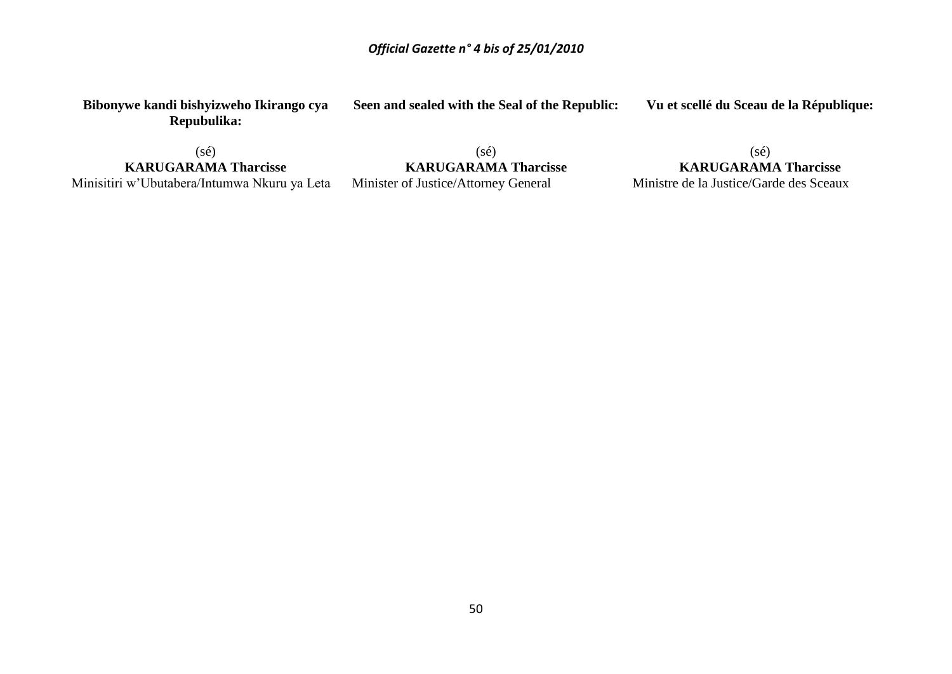**Seen and sealed with the Seal of the Republic:**

**Bibonywe kandi bishyizweho Ikirango cya Repubulika:**

(sé) **KARUGARAMA Tharcisse** Minisitiri w'Ubutabera/Intumwa Nkuru ya Leta

(sé) **KARUGARAMA Tharcisse** Minister of Justice/Attorney General

**Vu et scellé du Sceau de la République:**

(sé) **KARUGARAMA Tharcisse** Ministre de la Justice/Garde des Sceaux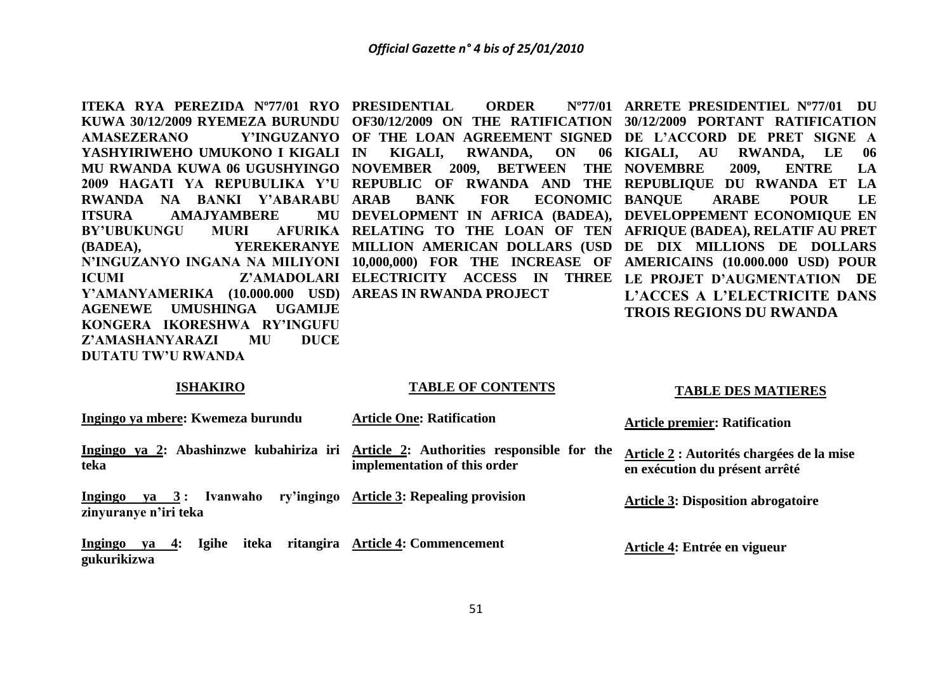**ITEKA RYA PEREZIDA Nº77/01 RYO PRESIDENTIAL ORDER Nº77/01 YASHYIRIWEHO UMUKONO I KIGALI RWANDA NA BANKI Y'ABARABU ITSURA AMAJYAMBERE BY'UBUKUNGU MURI Y'AMANYAMERIK***A* **(10.000.000 USD) AREAS IN RWANDA PROJECT AGENEWE UMUSHINGA UGAMIJE KONGERA IKORESHWA RY'INGUFU Z'AMASHANYARAZI MU DUCE DUTATU TW'U RWANDA**

**KUWA 30/12/2009 RYEMEZA BURUNDU OF30/12/2009 ON THE RATIFICATION 30/12/2009 PORTANT RATIFICATION AMASEZERANO Y'INGUZANYO OF THE LOAN AGREEMENT SIGNED DE L'ACCORD DE PRET SIGNE A MU RWANDA KUWA 06 UGUSHYINGO NOVEMBER 2009, BETWEEN THE NOVEMBRE 2009, ENTRE LA 2009 HAGATI YA REPUBULIKA Y'U REPUBLIC OF RWANDA AND THE REPUBLIQUE DU RWANDA ET LA (BADEA), YEREKERANYE MILLION AMERICAN DOLLARS (USD DE DIX MILLIONS DE DOLLARS N'INGUZANYO INGANA NA MILIYONI 10,000,000) FOR THE INCREASE OF AMERICAINS (10.000.000 USD) POUR ICUMI Z'AMADOLARI ELECTRICITY ACCESS IN THREE LE PROJET D'AUGMENTATION DE**  KIGALI, RWANDA, ON 06 KIGALI, AU **ARAB BANK FOR ECONOMIC BANQUE ARABE POUR LE DEVELOPMENT IN AFRICA (BADEA), DEVELOPPEMENT ECONOMIQUE EN RELATING TO THE LOAN OF TEN AFRIQUE (BADEA), RELATIF AU PRET** 

**ARRETE PRESIDENTIEL Nº77/01 DU RWANDA, LE 06 L'ACCES A L'ELECTRICITE DANS TROIS REGIONS DU RWANDA**

#### **ISHAKIRO**

#### **TABLE OF CONTENTS**

#### **TABLE DES MATIERES**

**Ingingo ya mbere: Kwemeza burundu** Ingingo ya 2: Abashinzwe kubahiriza iri Article 2: Authorities responsible for the **teka Ingingo va 3 : Ivanwaho zinyuranye n'iri teka Ingingo ya 4: Igihe iteka ritangira Article 4: Commencement gukurikizwa Article One: Ratification implementation of this order Article 3: Repealing provision Article premier: Ratification Article 2 : Autorités chargées de la mise en exécution du présent arrêté Article 3: Disposition abrogatoire Article 4: Entrée en vigueur**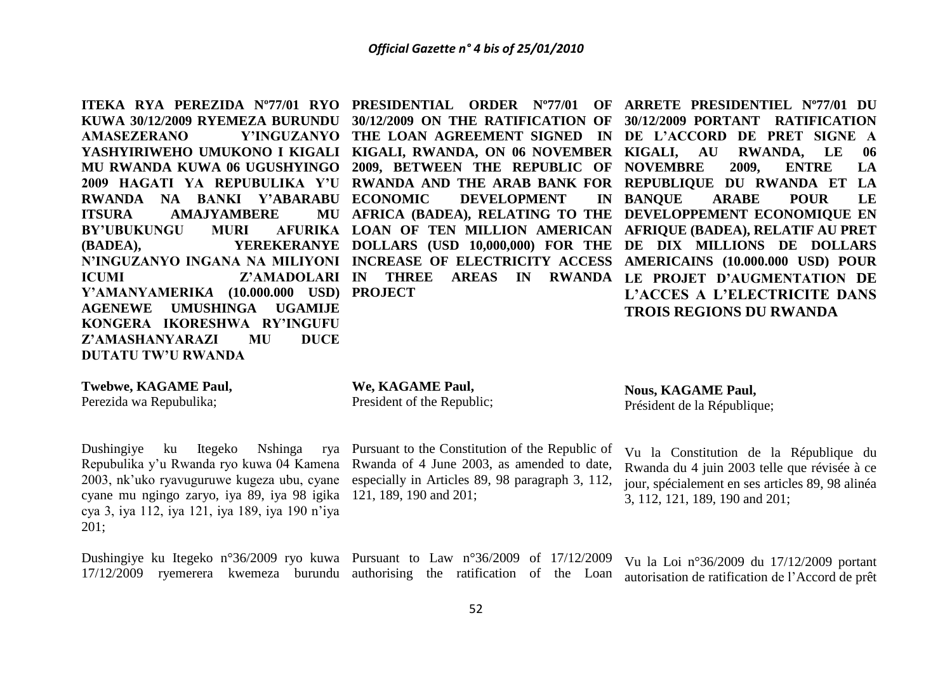**ITEKA RYA PEREZIDA Nº77/01 RYO PRESIDENTIAL ORDER Nº77/01 OF ARRETE PRESIDENTIEL Nº77/01 DU KUWA 30/12/2009 RYEMEZA BURUNDU 30/12/2009 ON THE RATIFICATION OF 30/12/2009 PORTANT RATIFICATION AMASEZERANO Y'INGUZANYO THE LOAN AGREEMENT SIGNED IN DE L'ACCORD DE PRET SIGNE A YASHYIRIWEHO UMUKONO I KIGALI KIGALI, RWANDA, ON 06 NOVEMBER KIGALI, AU RWANDA, LE 06 MU RWANDA KUWA 06 UGUSHYINGO 2009, BETWEEN THE REPUBLIC OF NOVEMBRE 2009, ENTRE LA**  2009 HAGATI YA REPUBULIKA Y'U RWANDA AND THE ARAB BANK FOR REPUBLIQUE DU RWANDA ET LA **RWANDA NA BANKI Y'ABARABU ITSURA AMAJYAMBERE BY'UBUKUNGU MURI (BADEA), YEREKERANYE DOLLARS (USD 10,000,000) FOR THE DE DIX MILLIONS DE DOLLARS N'INGUZANYO INGANA NA MILIYONI INCREASE OF ELECTRICITY ACCESS AMERICAINS (10.000.000 USD) POUR ICUMI Z'AMADOLARI IN THREE AREAS IN RWANDA LE PROJET D'AUGMENTATION DE Y'AMANYAMERIK***A* **(10.000.000 USD) PROJECT AGENEWE UMUSHINGA UGAMIJE KONGERA IKORESHWA RY'INGUFU Z'AMASHANYARAZI MU DUCE DEVELOPMENT AFRICA (BADEA), RELATING TO THE DEVELOPPEMENT ECONOMIQUE EN LOAN OF TEN MILLION AMERICAN AFRIQUE (BADEA), RELATIF AU PRET BANQUE ARABE POUR LE L'ACCES A L'ELECTRICITE DANS TROIS REGIONS DU RWANDA**

#### **Twebwe, KAGAME Paul,**

**DUTATU TW'U RWANDA**

Perezida wa Repubulika;

#### **We, KAGAME Paul,**

President of the Republic;

Dushingiye ku Itegeko Nshinga cyane mu ngingo zaryo, iya 89, iya 98 igika 121, 189, 190 and 201; cya 3, iya 112, iya 121, iya 189, iya 190 n'iya 201;

Repubulika y'u Rwanda ryo kuwa 04 Kamena Rwanda of 4 June 2003, as amended to date, 2003, nk'uko ryavuguruwe kugeza ubu, cyane especially in Articles 89, 98 paragraph 3, 112, Pursuant to the Constitution of the Republic of

**Nous, KAGAME Paul,** Président de la République;

Vu la Constitution de la République du Rwanda du 4 juin 2003 telle que révisée à ce jour, spécialement en ses articles 89, 98 alinéa 3, 112, 121, 189, 190 and 201;

Dushingiye ku Itegeko n°36/2009 ryo kuwa Pursuant to Law n°36/2009 of 17/12/2009 17/12/2009 ryemerera kwemeza burundu authorising the ratification of the Loan Vu la Loi n°36/2009 du 17/12/2009 portant autorisation de ratification de l'Accord de prêt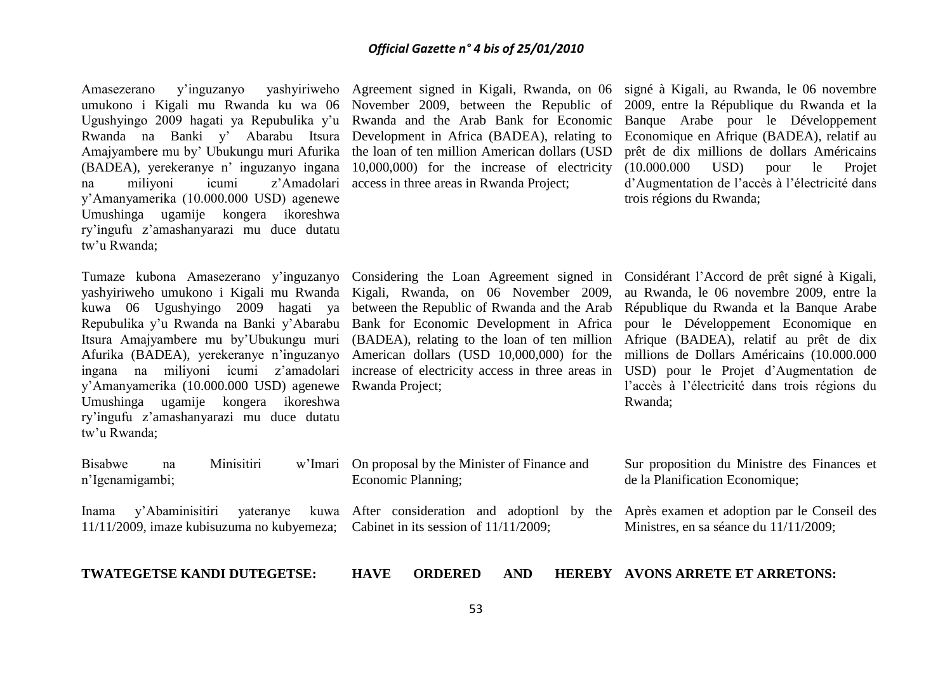Amasezerano y'inguzanyo yashyiriweho Agreement signed in Kigali, Rwanda, on 06 signé à Kigali, au Rwanda, le 06 novembre umukono i Kigali mu Rwanda ku wa 06 November 2009, between the Republic of 2009, entre la République du Rwanda et la Ugushyingo 2009 hagati ya Repubulika y'u Rwanda and the Arab Bank for Economic Rwanda na Banki y' Abarabu Itsura Development in Africa (BADEA), relating to Amajyambere mu by' Ubukungu muri Afurika the loan of ten million American dollars (USD (BADEA), yerekeranye n' inguzanyo ingana 10,000,000) for the increase of electricity na miliyoni icumi z'Amadolari access in three areas in Rwanda Project; y'Amanyamerika (10.000.000 USD) agenewe Umushinga ugamije kongera ikoreshwa ry'ingufu z'amashanyarazi mu duce dutatu tw'u Rwanda;

yashyiriweho umukono i Kigali mu Rwanda Kigali, Rwanda, on 06 November 2009, kuwa 06 Ugushyingo 2009 hagati ya between the Republic of Rwanda and the Arab Repubulika y'u Rwanda na Banki y'Abarabu Bank for Economic Development in Africa Itsura Amajyambere mu by'Ubukungu muri (BADEA), relating to the loan of ten million Afrique (BADEA), relatif au prêt de dix Afurika (BADEA), yerekeranye n'inguzanyo American dollars (USD 10,000,000) for the ingana na miliyoni icumi z'amadolari increase of electricity access in three areas in y'Amanyamerika (10.000.000 USD) agenewe Rwanda Project; Umushinga ugamije kongera ikoreshwa ry'ingufu z'amashanyarazi mu duce dutatu tw'u Rwanda;

n'Igenamigambi;

Banque Arabe pour le Développement Economique en Afrique (BADEA), relatif au prêt de dix millions de dollars Américains (10.000.000 USD) pour le Projet d'Augmentation de l'accès à l'électricité dans trois régions du Rwanda;

Tumaze kubona Amasezerano y'inguzanyo Considering the Loan Agreement signed in Considérant l'Accord de prêt signé à Kigali, au Rwanda, le 06 novembre 2009, entre la République du Rwanda et la Banque Arabe pour le Développement Economique en millions de Dollars Américains (10.000.000 USD) pour le Projet d'Augmentation de l'accès à l'électricité dans trois régions du Rwanda;

Bisabwe na Minisitiri w'Imari On proposal by the Minister of Finance and Economic Planning;

Sur proposition du Ministre des Finances et de la Planification Economique;

Inama y'Abaminisitiri yateranye 11/11/2009, imaze kubisuzuma no kubyemeza; Cabinet in its session of 11/11/2009; After consideration and adoptionl by the Après examen et adoption par le Conseil des Ministres, en sa séance du 11/11/2009;

**TWATEGETSE KANDI DUTEGETSE:**

**HAVE ORDERED AND AVONS ARRETE ET ARRETONS:**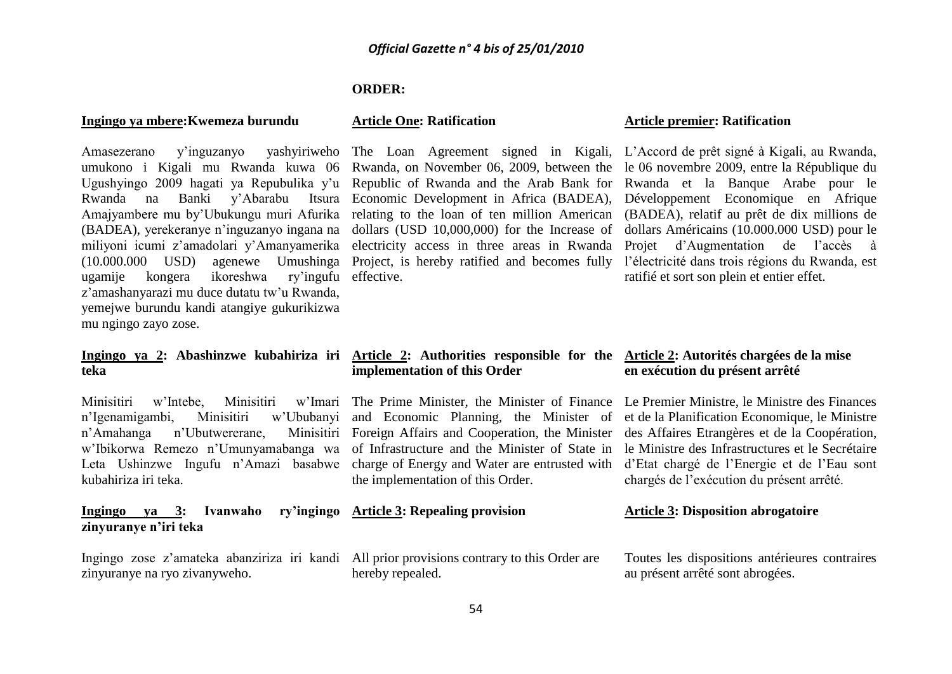#### **ORDER:**

#### **Ingingo ya mbere:Kwemeza burundu**

Amasezerano y'inguzanyo yashyiriweho The Loan Agreement signed in Kigali, L'Accord de prêt signé à Kigali, au Rwanda, umukono i Kigali mu Rwanda kuwa 06 Rwanda, on November 06, 2009, between the le 06 novembre 2009, entre la République du Ugushyingo 2009 hagati ya Repubulika y'u Republic of Rwanda and the Arab Bank for Rwanda et la Banque Arabe pour le Rwanda na Banki y'Abarabu Itsura Economic-Development-in-Africa-(BADEA), Développement Economique en Afrique Amajyambere mu by'Ubukungu muri Afurika relating to the loan of ten million American (BADEA), relatif au prêt de dix millions de (BADEA), yerekeranye n'inguzanyo ingana na dollars (USD 10,000,000) for the Increase of dollars Américains (10.000.000 USD) pour le miliyoni icumi z'amadolari y'Amanyamerika electricity access in three areas in Rwanda Projet d'Augmentation de l'accès à (10.000.000 USD) agenewe Umushinga Project, is hereby ratified and becomes fully l'électricité dans trois régions du Rwanda, est ugamije kongera ikoreshwa ry'ingufu effective. z'amashanyarazi mu duce dutatu tw'u Rwanda, yemejwe burundu kandi atangiye gukurikizwa mu ngingo zayo zose.

#### **Ingingo ya 2: Abashinzwe kubahiriza iri Article 2: Authorities responsible for the Article 2: Autorités chargées de la mise teka**

Minisitiri w'Intebe, Minisitiri n'Igenamigambi, Minisitiri w'Ububanyi n'Amahanga n'Ubutwererane, kubahiriza iri teka.

**Ingingo va 3: Ivanwaho zinyuranye n'iri teka**

Ingingo zose z'amateka abanziriza iri kandi All prior provisions contrary to this Order are zinyuranye na ryo zivanyweho.

#### **Article One: Ratification**

#### **Article premier: Ratification**

ratifié et sort son plein et entier effet.

## **implementation of this Order**

w'Ibikorwa Remezo n'Umunyamabanga wa of Infrastructure and the Minister of State in le Ministre des Infrastructures et le Secrétaire Leta Ushinzwe Ingufu n'Amazi basabwe charge of Energy and Water are entrusted with d'Etat chargé de l'Energie et de l'Eau sont and Economic Planning, the Minister of et de la Planification Economique, le Ministre Foreign Affairs and Cooperation, the Minister des Affaires Etrangères et de la Coopération, the implementation of this Order.

## **Article 3: Repealing provision**

hereby repealed.

# **en exécution du présent arrêté**

The Prime Minister, the Minister of Finance Le Premier Ministre, le Ministre des Finances chargés de l'exécution du présent arrêté.

#### **Article 3: Disposition abrogatoire**

Toutes les dispositions antérieures contraires au présent arrêté sont abrogées.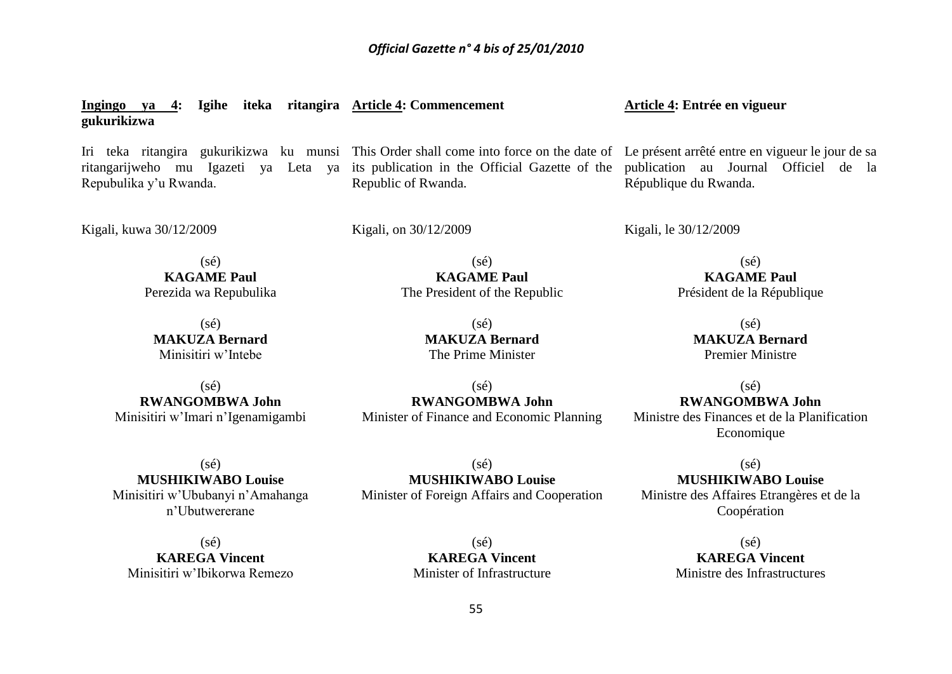**Ingingo ya 4: Igihe iteka ritangira Article 4: Commencement gukurikizwa** Iri teka ritangira gukurikizwa ku munsi This Order shall come into force on the date of Le présent arrêté entre en vigueur le jour de sa ritangarijweho mu Igazeti ya Leta ya its publication in the Official Gazette of the publication au Journal Officiel de la Repubulika y'u Rwanda. Kigali, kuwa 30/12/2009  $(sé)$ **KAGAME Paul** Perezida wa Repubulika  $(sé)$ **MAKUZA Bernard** Minisitiri w'Intebe  $(s<sub>é</sub>)$ Republic of Rwanda. Kigali, on 30/12/2009  $(sé)$ **KAGAME Paul** The President of the Republic (sé) **MAKUZA Bernard** The Prime Minister **Article 4: Entrée en vigueur** République du Rwanda. Kigali, le 30/12/2009  $(sé)$ **KAGAME Paul** Président de la République (sé) **MAKUZA Bernard** Premier Ministre

**RWANGOMBWA John** Minisitiri w'Imari n'Igenamigambi

 $(sé)$ **MUSHIKIWABO Louise** Minisitiri w'Ububanyi n'Amahanga n'Ubutwererane

 $(sé)$ **KAREGA Vincent** Minisitiri w'Ibikorwa Remezo

(sé) **RWANGOMBWA John** Minister of Finance and Economic Planning

 $(sé)$ **RWANGOMBWA John** Ministre des Finances et de la Planification Economique

 $(sé)$ **MUSHIKIWABO Louise** Ministre des Affaires Etrangères et de la Coopération

(sé) **MUSHIKIWABO Louise** Minister of Foreign Affairs and Cooperation

> (sé) **KAREGA Vincent** Minister of Infrastructure

(sé) **KAREGA Vincent** Ministre des Infrastructures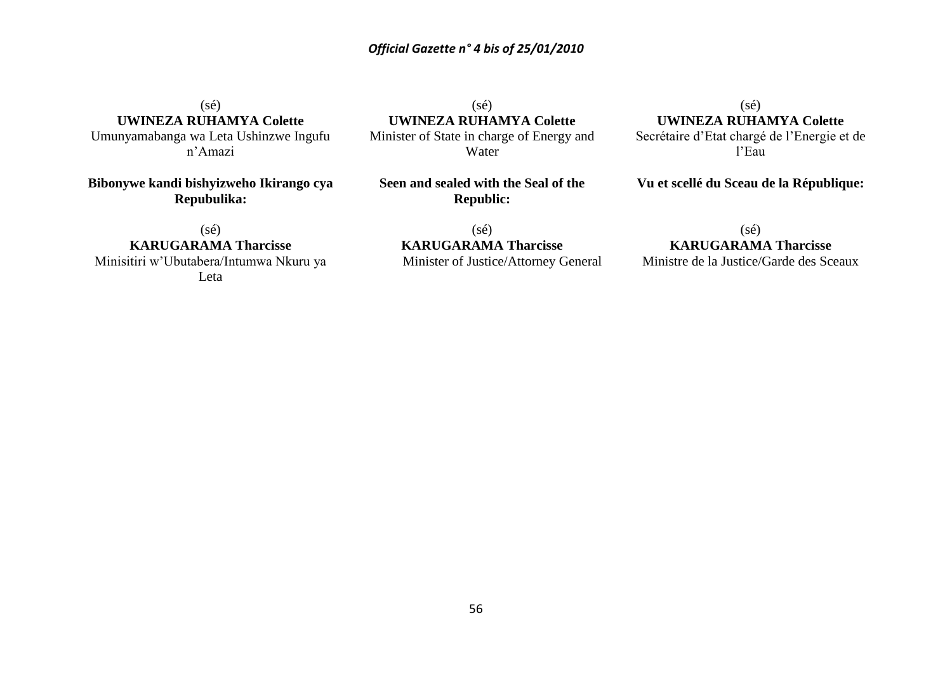(sé) **UWINEZA RUHAMYA Colette** Umunyamabanga wa Leta Ushinzwe Ingufu n'Amazi

**Bibonywe kandi bishyizweho Ikirango cya Repubulika:**

(sé) **UWINEZA RUHAMYA Colette** Minister of State in charge of Energy and Water

**Seen and sealed with the Seal of the Republic:**

(sé) **KARUGARAMA Tharcisse** Minisitiri w'Ubutabera/Intumwa Nkuru ya

Leta

(sé) **KARUGARAMA Tharcisse** Minister of Justice/Attorney General

 $(s\acute{e})$ **UWINEZA RUHAMYA Colette** Secrétaire d'Etat chargé de l'Energie et de l'Eau

**Vu et scellé du Sceau de la République:**

 $(s\acute{e})$ 

#### **KARUGARAMA Tharcisse** Ministre de la Justice/Garde des Sceaux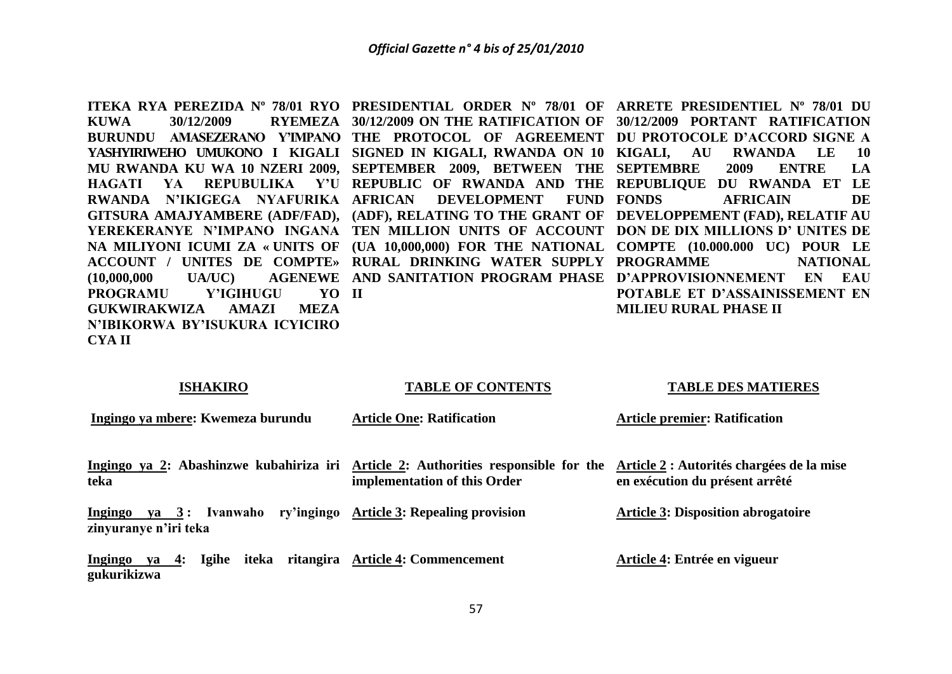**KUWA 30/12/2009 RYEMEZA 30/12/2009 ON THE RATIFICATION OF 30/12/2009 PORTANT RATIFICATION BURUNDU AMASEZERANO Y'IMPANO THE PROTOCOL OF AGREEMENT DU PROTOCOLE D'ACCORD SIGNE A YASHYIRIWEHO UMUKONO I KIGALI SIGNED IN KIGALI, RWANDA ON 10 KIGALI, AU RWANDA LE 10 MU RWANDA KU WA 10 NZERI 2009, SEPTEMBER 2009, BETWEEN THE SEPTEMBRE 2009 ENTRE LA HAGATI YA REPUBULIKA Y'U REPUBLIC OF RWANDA AND THE REPUBLIQUE DU RWANDA ET LE RWANDA N'IKIGEGA NYAFURIKA AFRICAN DEVELOPMENT FUND GITSURA AMAJYAMBERE (ADF/FAD), (ADF), RELATING TO THE GRANT OF DEVELOPPEMENT (FAD), RELATIF AU YEREKERANYE N'IMPANO INGANA TEN MILLION UNITS OF ACCOUNT DON DE DIX MILLIONS D' UNITES DE NA MILIYONI ICUMI ZA « UNITS OF (UA 10,000,000) FOR THE NATIONAL COMPTE (10.000.000 UC) POUR LE ACCOUNT / UNITES DE COMPTE» RURAL DRINKING WATER SUPPLY PROGRAMME NATIONAL (10,000,000 UA/UC) AGENEWE AND SANITATION PROGRAM PHASE D'APPROVISIONNEMENT EN EAU PROGRAMU Y'IGIHUGU GUKWIRAKWIZA AMAZI MEZA N'IBIKORWA BY'ISUKURA ICYICIRO CYA II II**

**ITEKA RYA PEREZIDA Nº 78/01 RYO PRESIDENTIAL ORDER Nº 78/01 OF ARRETE PRESIDENTIEL Nº 78/01 DU FONDS AFRICAIN DE POTABLE ET D'ASSAINISSEMENT EN MILIEU RURAL PHASE II**

#### **ISHAKIRO**

#### **TABLE OF CONTENTS**

#### **TABLE DES MATIERES**

**Ingingo ya mbere: Kwemeza burundu** Ingingo ya 2: Abashinzwe kubahiriza iri Article 2: Authorities responsible for the Article 2: Autorités chargées de la mise **teka Ingingo ya 3 : Ivanwaho ry'ingingo Article 3: Repealing provision zinyuranye n'iri teka Ingingo ya 4: Igihe iteka ritangira Article 4: Commencement gukurikizwa Article One: Ratification implementation of this Order Article premier: Ratification en exécution du présent arrêté Article 3: Disposition abrogatoire Article 4: Entrée en vigueur**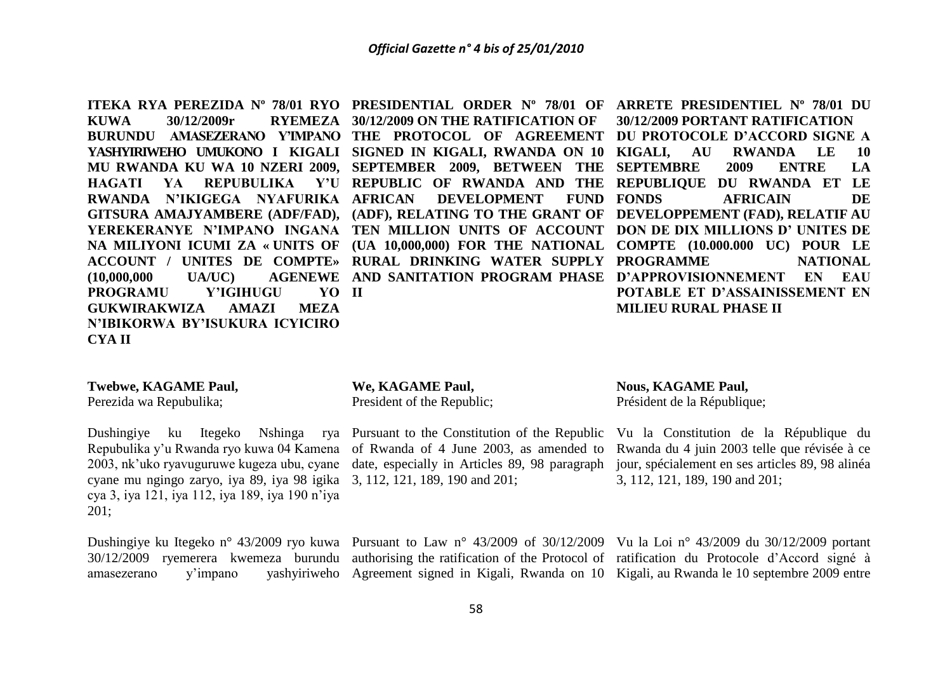**KUWA 30/12/2009r RYEMEZA 30/12/2009 ON THE RATIFICATION OF RWANDA N'IKIGEGA NYAFURIKA PROGRAMU Y'IGIHUGU GUKWIRAKWIZA AMAZI MEZA N'IBIKORWA BY'ISUKURA ICYICIRO CYA II II**

**DEVELOPMENT FUND FONDS** 

**ITEKA RYA PEREZIDA Nº 78/01 RYO PRESIDENTIAL ORDER Nº 78/01 OF ARRETE PRESIDENTIEL Nº 78/01 DU BURUNDU AMASEZERANO Y'IMPANO THE PROTOCOL OF AGREEMENT DU PROTOCOLE D'ACCORD SIGNE A YASHYIRIWEHO UMUKONO I KIGALI SIGNED IN KIGALI, RWANDA ON 10 KIGALI, AU RWANDA LE 10 MU RWANDA KU WA 10 NZERI 2009, SEPTEMBER 2009, BETWEEN THE SEPTEMBRE 2009 ENTRE LA HAGATI YA REPUBULIKA Y'U REPUBLIC OF RWANDA AND THE REPUBLIQUE DU RWANDA ET LE GITSURA AMAJYAMBERE (ADF/FAD), (ADF), RELATING TO THE GRANT OF DEVELOPPEMENT (FAD), RELATIF AU YEREKERANYE N'IMPANO INGANA TEN MILLION UNITS OF ACCOUNT DON DE DIX MILLIONS D' UNITES DE NA MILIYONI ICUMI ZA « UNITS OF (UA 10,000,000) FOR THE NATIONAL COMPTE (10.000.000 UC) POUR LE ACCOUNT / UNITES DE COMPTE» RURAL DRINKING WATER SUPPLY PROGRAMME NATIONAL (10,000,000 UA/UC) AGENEWE AND SANITATION PROGRAM PHASE D'APPROVISIONNEMENT EN EAU 30/12/2009 PORTANT RATIFICATION AFRICAIN DE POTABLE ET D'ASSAINISSEMENT EN MILIEU RURAL PHASE II**

#### **Twebwe, KAGAME Paul,**

Perezida wa Repubulika;

cyane mu ngingo zaryo, iya 89, iya 98 igika 3, 112, 121, 189, 190 and 201; cya 3, iya 121, iya 112, iya 189, iya 190 n'iya 201;

**We, KAGAME Paul,** President of the Republic;

Dushingiye ku Itegeko Nshinga rya Pursuant to the Constitution of the Republic

#### **Nous, KAGAME Paul,**

Président de la République;

Repubulika y'u Rwanda ryo kuwa 04 Kamena of Rwanda of 4 June 2003, as amended to Rwanda du 4 juin 2003 telle que révisée à ce 2003, nk'uko ryavuguruwe kugeza ubu, cyane date, especially in Articles 89, 98 paragraph jour, spécialement en ses articles 89, 98 alinéa Vu la Constitution de la République du 3, 112, 121, 189, 190 and 201;

Dushingiye ku Itegeko n° 43/2009 ryo kuwa Pursuant to Law n° 43/2009 of 30/12/2009 Vu la Loi n° 43/2009 du 30/12/2009 portant 30/12/2009 ryemerera kwemeza burundu authorising the ratification of the Protocol of ratification du Protocole d'Accord signé à amasezerano y'impano yashyiriweho Agreement signed in Kigali, Rwanda on 10 Kigali, au Rwanda le 10 septembre 2009 entre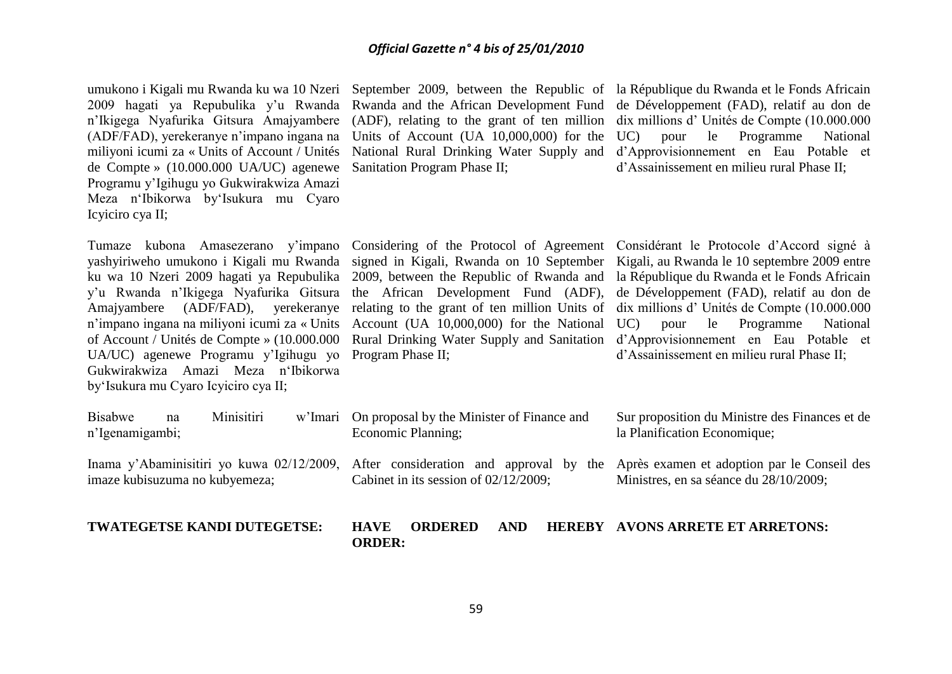(ADF/FAD), yerekeranye n'impano ingana na Units of Account (UA 10,000,000) for the de Compte » (10.000.000 UA/UC) agenewe Sanitation Program Phase II; Programu y'Igihugu yo Gukwirakwiza Amazi Meza n'Ibikorwa by'Isukura mu Cyaro Icyiciro cya II;

Tumaze kubona Amasezerano y'impano Considering of the Protocol of Agreement Considérant le Protocole d'Accord signé à n'impano ingana na miliyoni icumi za « Units Account (UA 10,000,000) for the National UA/UC) agenewe Programu y'Igihugu yo Program Phase II; Gukwirakwiza Amazi Meza n'Ibikorwa by'Isukura mu Cyaro Icyiciro cya II;

umukono i Kigali mu Rwanda ku wa 10 Nzeri September 2009, between the Republic of la République du Rwanda et le Fonds Africain 2009 hagati ya Repubulika y'u Rwanda Rwanda and the African Development Fund de Développement (FAD), relatif au don de n'Ikigega Nyafurika Gitsura Amajyambere (ADF), relating to the grant of ten million dix millions d' Unités de Compte (10.000.000 miliyoni icumi za « Units of Account / Unités National Rural Drinking Water Supply and d'Approvisionnement en Eau Potable et UC) pour le Programme National d'Assainissement en milieu rural Phase II;

yashyiriweho umukono i Kigali mu Rwanda signed in Kigali, Rwanda on 10 September Kigali, au Rwanda le 10 septembre 2009 entre ku wa 10 Nzeri 2009 hagati ya Repubulika 2009, between the Republic of Rwanda and la République du Rwanda et le Fonds Africain y'u Rwanda n'Ikigega Nyafurika Gitsura the African Development Fund (ADF), de Développement (FAD), relatif au don de Amajyambere (ADF/FAD), yerekeranye relating to the grant of ten million Units of dix millions d' Unités de Compte (10.000.000 of Account / Unités de Compte » (10.000.000 Rural Drinking Water Supply and Sanitation d'Approvisionnement en Eau Potable et le Programme National d'Assainissement en milieu rural Phase II;

Sur proposition du Ministre des Finances et de

| <b>TWATEGETSE KANDI DUTEGETSE:</b>             | <b>HAVE</b><br><b>ORDER:</b> | <b>ORDERED</b>                                                           | <b>AND</b> | <b>HEREBY AVONS ARRETE ET ARRETONS:</b>                                                                                                                                 |
|------------------------------------------------|------------------------------|--------------------------------------------------------------------------|------------|-------------------------------------------------------------------------------------------------------------------------------------------------------------------------|
| imaze kubisuzuma no kubyemeza;                 |                              | Cabinet in its session of $02/12/2009$ ;                                 |            | Inama y'Abaminisitiri yo kuwa 02/12/2009, After consideration and approval by the Après examen et adoption par le Conseil des<br>Ministres, en sa séance du 28/10/2009; |
| Minisitiri<br>Bisabwe<br>na<br>n'Igenamigambi; |                              | w'Imari On proposal by the Minister of Finance and<br>Economic Planning; |            | Sur proposition du Ministre des Finances et de<br>la Planification Economique;                                                                                          |

On proposal by the Minister of Finance and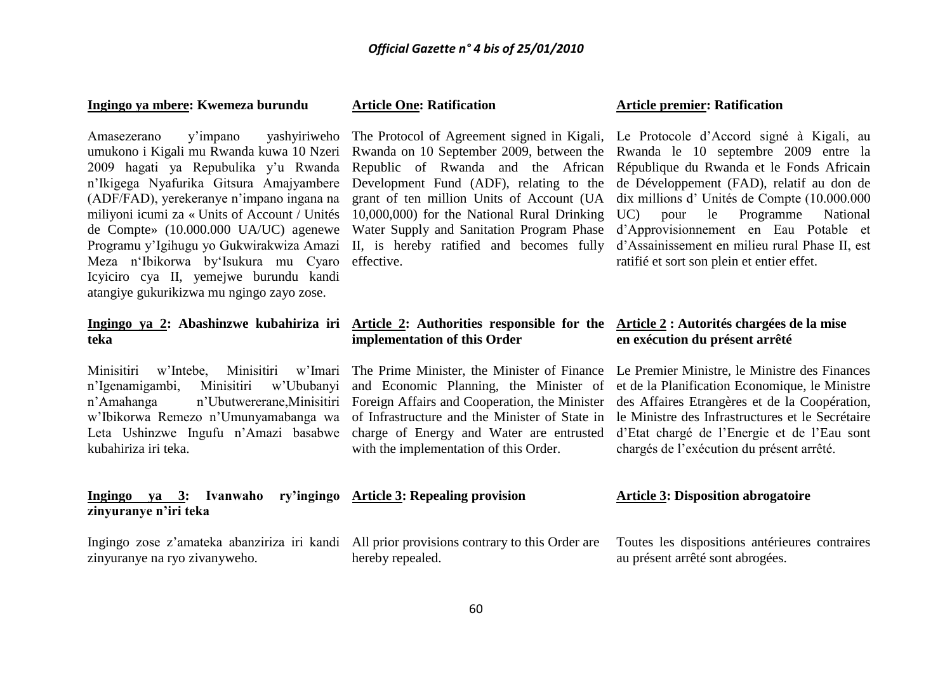#### **Ingingo ya mbere: Kwemeza burundu**

Amasezerano y'impano yashyiriweho The Protocol of Agreement signed in Kigali, Le Protocole d'Accord signé à Kigali, au Programu y'Igihugu yo Gukwirakwiza Amazi II, is hereby ratified and becomes fully Meza n'Ibikorwa by'Isukura mu Cyaro effective. Icyiciro cya II, yemejwe burundu kandi atangiye gukurikizwa mu ngingo zayo zose.

## **teka**

Minisitiri w'Intebe, Minisitiri kubahiriza iri teka.

#### **Article One: Ratification**

#### **Article premier: Ratification**

umukono i Kigali mu Rwanda kuwa 10 Nzeri Kwanda on 10 September 2009, between the Kwanda le 10 septembre 2009 entre la 2009 hagati ya Repubulika y'u Rwanda Republic of Rwanda and the African République du Rwanda et le Fonds Africain n'Ikigega Nyafurika Gitsura Amajyambere Development Fund (ADF), relating to the de Développement (FAD), relatif au don de (ADF/FAD), yerekeranye n'impano ingana na grant of ten million Units of Account (UA dix millions d' Unités de Compte (10.000.000 miliyoni icumi za « Units of Account / Unités 10,000,000) for the National Rural Drinking UC) pour le Programme National de Compte» (10.000.000 UA/UC) agenewe Water Supply and Sanitation Program Phase d'Approvisionnement en Eau Potable et d'Assainissement en milieu rural Phase II, est ratifié et sort son plein et entier effet.

#### **Ingingo ya 2: Abashinzwe kubahiriza iri Article 2: Authorities responsible for the Article 2 : Autorités chargées de la mise implementation of this Order**

with the implementation of this Order.

## **en exécution du présent arrêté**

n'Igenamigambi, Minisitiri w'Ububanyi and Economic Planning, the Minister of et de la Planification Economique, le Ministre n'Amahanga n'Ubutwererane,Minisitiri Foreign Affairs and Cooperation, the Minister des Affaires Etrangères et de la Coopération, w'Ibikorwa Remezo n'Umunyamabanga wa of Infrastructure and the Minister of State in le Ministre des Infrastructures et le Secrétaire Leta Ushinzwe Ingufu n'Amazi basabwe charge of Energy and Water are entrusted d'Etat chargé de l'Energie et de l'Eau sont The Prime Minister, the Minister of Finance Le Premier Ministre, le Ministre des Finances chargés de l'exécution du présent arrêté.

|                       |  |  | Ingingo ya 3: Ivanwaho ry'ingingo Article 3: Repealing provision                                                                       | <b>Article 3: Disposition abrogatoire</b> |
|-----------------------|--|--|----------------------------------------------------------------------------------------------------------------------------------------|-------------------------------------------|
| zinyuranye n'iri teka |  |  |                                                                                                                                        |                                           |
|                       |  |  | Ingingo zose z'amateka abanziriza iri kandi All prior provisions contrary to this Order are Toutes les dispositions antérieures contra |                                           |

zinyuranye na ryo zivanyweho. hereby repealed.

Toutes les dispositions antérieures contraires au présent arrêté sont abrogées.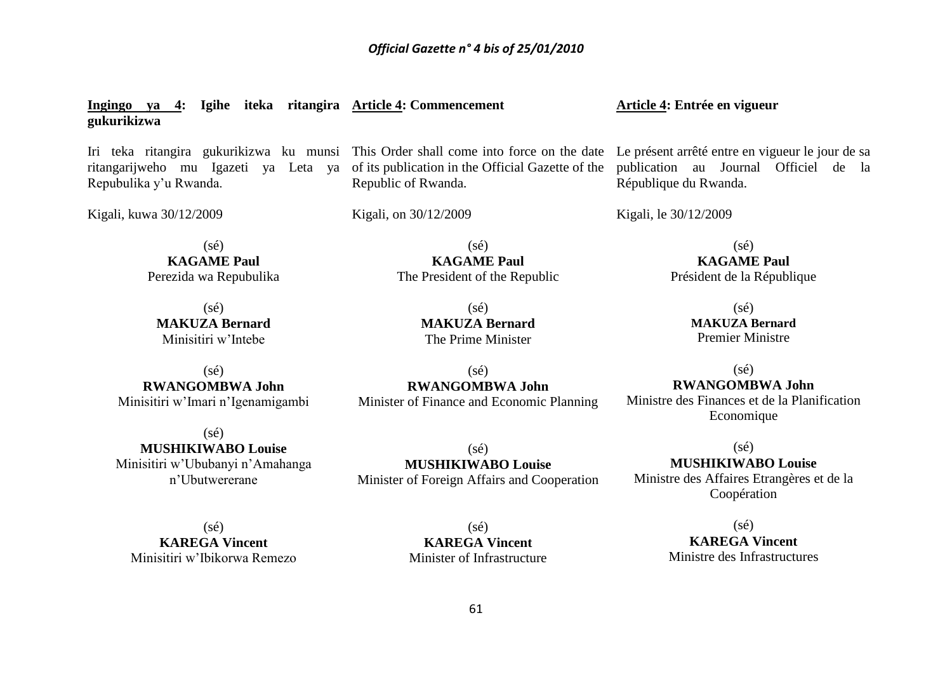**Ingingo ya 4: Igihe iteka ritangira Article 4: Commencement gukurikizwa**

Repubulika y'u Rwanda.

Kigali, kuwa 30/12/2009

ritangarijweho mu Igazeti ya Leta ya of its publication in the Official Gazette of the Republic of Rwanda.

> $(sé)$ **KAGAME Paul** The President of the Republic

> > (sé) **MAKUZA Bernard** The Prime Minister

Kigali, on 30/12/2009

 $(sé)$ **KAGAME Paul** Perezida wa Repubulika

(sé) **MAKUZA Bernard** Minisitiri w'Intebe

 $(sé)$ **RWANGOMBWA John** Minisitiri w'Imari n'Igenamigambi

(sé) **MUSHIKIWABO Louise** Minisitiri w'Ububanyi n'Amahanga n'Ubutwererane

 $(s<sub>é</sub>)$ **RWANGOMBWA John** Minister of Finance and Economic Planning **Article 4: Entrée en vigueur**

Iri teka ritangira gukurikizwa ku munsi This Order shall come into force on the date Le présent arrêté entre en vigueur le jour de sa publication au Journal Officiel de la République du Rwanda.

Kigali, le 30/12/2009

 $(sé)$ **KAGAME Paul** Président de la République

> (sé) **MAKUZA Bernard** Premier Ministre

> > $(s<sub>é</sub>)$

#### **RWANGOMBWA John**

Ministre des Finances et de la Planification Economique

 $(sé)$ **MUSHIKIWABO Louise** Minister of Foreign Affairs and Cooperation

 $(sé)$ **MUSHIKIWABO Louise** Ministre des Affaires Etrangères et de la Coopération

 $(s\acute{e})$ **KAREGA Vincent** Minisitiri w'Ibikorwa Remezo

 $(s<sub>é</sub>)$ **KAREGA Vincent** Minister of Infrastructure

 $(s\acute{e})$ **KAREGA Vincent** Ministre des Infrastructures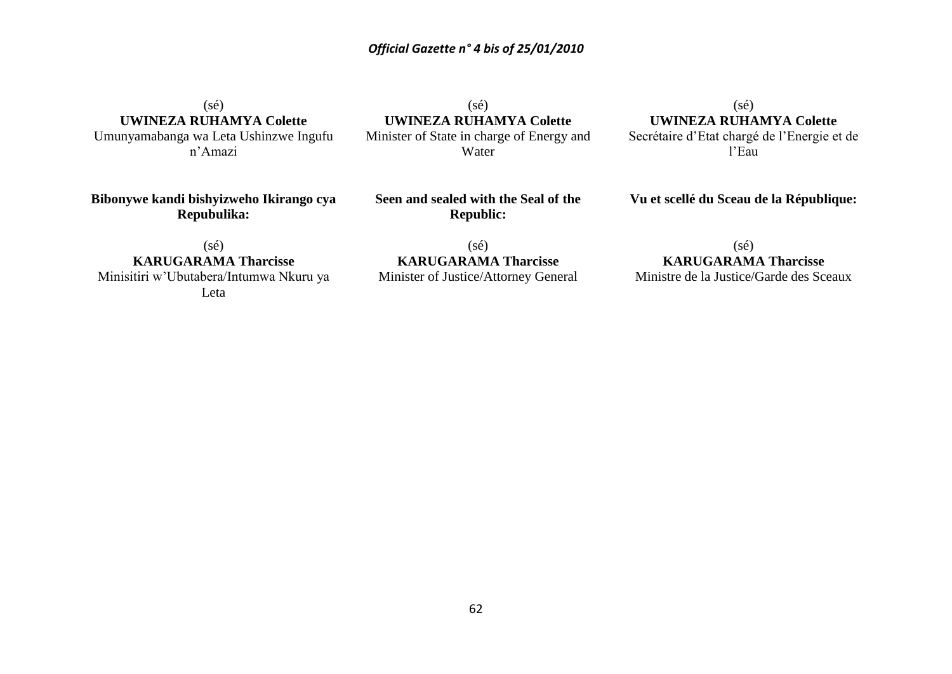$(s\acute{e})$ **UWINEZA RUHAMYA Colette** Umunyamabanga wa Leta Ushinzwe Ingufu

n'Amazi

(sé) **UWINEZA RUHAMYA Colette** Minister of State in charge of Energy and Water

 $(sé)$ **UWINEZA RUHAMYA Colette** Secrétaire d'Etat chargé de l'Energie et de l'Eau

**Bibonywe kandi bishyizweho Ikirango cya Repubulika:**

**Seen and sealed with the Seal of the Republic:**

**Vu et scellé du Sceau de la République:**

(sé) **KARUGARAMA Tharcisse** Minisitiri w'Ubutabera/Intumwa Nkuru ya Leta

(sé) **KARUGARAMA Tharcisse**

#### Minister of Justice/Attorney General

(sé) **KARUGARAMA Tharcisse**

Ministre de la Justice/Garde des Sceaux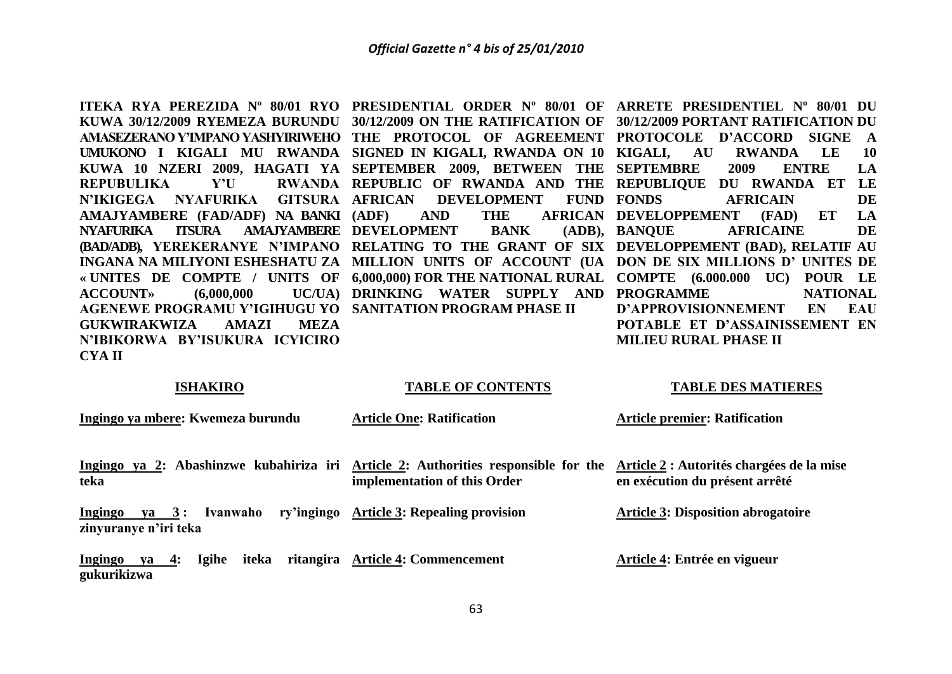**REPUBULIKA Y'U N'IKIGEGA NYAFURIKA GITSURA AFRICAN DEVELOPMENT FUND AMAJYAMBERE (FAD/ADF) NA BANKI NYAFURIKA ITSURA AMAJYAMBERE DEVELOPMENT BANK (ADB), ACCOUNT»** (6,000,000) **AGENEWE PROGRAMU Y'IGIHUGU YO SANITATION PROGRAM PHASE II GUKWIRAKWIZA AMAZI MEZA N'IBIKORWA BY'ISUKURA ICYICIRO CYA II**

**ITEKA RYA PEREZIDA Nº 80/01 RYO PRESIDENTIAL ORDER Nº 80/01 OF ARRETE PRESIDENTIEL Nº 80/01 DU KUWA 30/12/2009 RYEMEZA BURUNDU 30/12/2009 ON THE RATIFICATION OF 30/12/2009 PORTANT RATIFICATION DU AMASEZERANO Y'IMPANO YASHYIRIWEHO THE PROTOCOL OF AGREEMENT PROTOCOLE D'ACCORD SIGNE A UMUKONO I KIGALI MU RWANDA SIGNED IN KIGALI, RWANDA ON 10 KIGALI, AU RWANDA LE 10 KUWA 10 NZERI 2009, HAGATI YA SEPTEMBER 2009, BETWEEN THE SEPTEMBRE 2009 ENTRE LA**  (BAD/ADB), YEREKERANYE N'IMPANO RELATING TO THE GRANT OF SIX DEVELOPPEMENT (BAD), RELATIF AU **INGANA NA MILIYONI ESHESHATU ZA MILLION UNITS OF ACCOUNT (UA DON DE SIX MILLIONS D' UNITES DE « UNITES DE COMPTE / UNITS OF 6,000,000) FOR THE NATIONAL RURAL COMPTE (6.000.000 UC) POUR LE REPUBLIC OF RWANDA AND THE REPUBLIQUE DU RWANDA ET LE (ADF) AND THE AFRICAN DEVELOPPEMENT (FAD) ET LA DRINKING WATER SUPPLY AND PROGRAMME NATIONAL**  AFRICAIN DE **BANQUE AFRICAINE DE D'APPROVISIONNEMENT EN EAU POTABLE ET D'ASSAINISSEMENT EN MILIEU RURAL PHASE II**

#### **ISHAKIRO**

#### **TABLE OF CONTENTS**

#### **TABLE DES MATIERES**

| Ingingo ya mbere: Kwemeza burundu                                                          | <b>Article One: Ratification</b>  | <b>Article premier: Ratification</b>                                        |
|--------------------------------------------------------------------------------------------|-----------------------------------|-----------------------------------------------------------------------------|
| Ingingo ya 2: Abashinzwe kubahiriza iri Article 2: Authorities responsible for the<br>teka | implementation of this Order      | Article 2 : Autorités chargées de la mise<br>en exécution du présent arrêté |
| Ingingo ya 3: Ivanwaho ry'ingingo Article 3: Repealing provision<br>zinyuranye n'iri teka  |                                   | <b>Article 3: Disposition abrogatoire</b>                                   |
| <u>Ingingo</u><br>iteka<br>ya 4:<br><b>Igihe</b><br>gukurikizwa                            | ritangira Article 4: Commencement | Article 4: Entrée en vigueur                                                |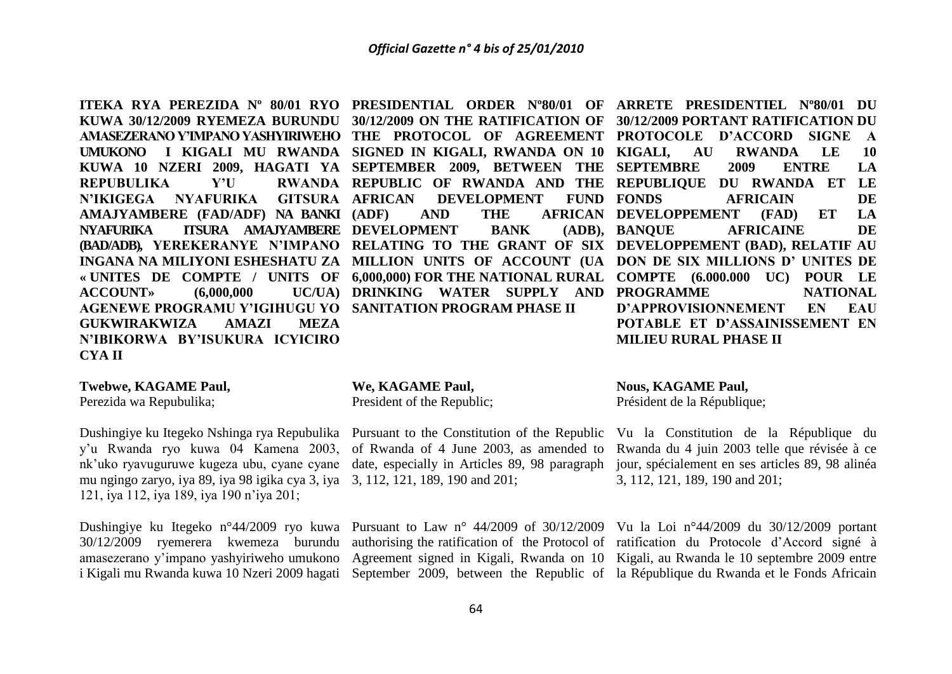**ITEKA RYA PEREZIDA Nº 80/01 RYO PRESIDENTIAL ORDER Nº80/01 OF ARRETE PRESIDENTIEL Nº80/01 DU KUWA 30/12/2009 RYEMEZA BURUNDU 30/12/2009 ON THE RATIFICATION OF 30/12/2009 PORTANT RATIFICATION DU UMUKONO I KIGALI MU RWANDA SIGNED IN KIGALI, RWANDA ON 10 REPUBULIKA Y'U N'IKIGEGA NYAFURIKA GITSURA AMAJYAMBERE (FAD/ADF) NA BANKI NYAFURIKA ITSURA AMAJYAMBERE DEVELOPMENT BANK (ADB), ACCOUNT**» (6,000,000 **AGENEWE PROGRAMU Y'IGIHUGU YO SANITATION PROGRAM PHASE II GUKWIRAKWIZA AMAZI MEZA N'IBIKORWA BY'ISUKURA ICYICIRO CYA II**

# **DEVELOPMENT FUND FONDS**

**Twebwe, KAGAME Paul,**

Perezida wa Repubulika;

Dushingiye ku Itegeko Nshinga rya Repubulika Pursuant to the Constitution of the Republic nk'uko ryavuguruwe kugeza ubu, cyane cyane date, especially in Articles 89, 98 paragraph mu ngingo zaryo, iya 89, iya 98 igika cya 3, iya 3, 112, 121, 189, 190 and 201; 121, iya 112, iya 189, iya 190 n'iya 201;

#### **We, KAGAME Paul,**

President of the Republic;

#### **AMASEZERANO Y'IMPANO YASHYIRIWEHO THE PROTOCOL OF AGREEMENT PROTOCOLE D'ACCORD SIGNE A KUWA 10 NZERI 2009, HAGATI YA SEPTEMBER 2009, BETWEEN THE SEPTEMBRE 2009 ENTRE LA**  (BAD/ADB), YEREKERANYE N'IMPANO RELATING TO THE GRANT OF SIX DEVELOPPEMENT (BAD), RELATIF AU **INGANA NA MILIYONI ESHESHATU ZA MILLION UNITS OF ACCOUNT (UA DON DE SIX MILLIONS D' UNITES DE « UNITES DE COMPTE / UNITS OF 6,000,000) FOR THE NATIONAL RURAL COMPTE (6.000.000 UC) POUR LE REPUBLIC OF RWANDA AND THE REPUBLIQUE DU RWANDA ET LE (ADF) AND THE AFRICAN DEVELOPPEMENT (FAD) ET LA DRINKING WATER SUPPLY AND PROGRAMME NATIONAL KIGALI, AU RWANDA LE 10 FOUNDE BANQUE AFRICAINE DE D'APPROVISIONNEMENT EN EAU POTABLE ET D'ASSAINISSEMENT EN MILIEU RURAL PHASE II**

#### **Nous, KAGAME Paul,**

Président de la République;

y'u Rwanda ryo kuwa 04 Kamena 2003, of Rwanda of 4 June 2003, as amended to Rwanda du 4 juin 2003 telle que révisée à ce Vu la Constitution de la République du jour, spécialement en ses articles 89, 98 alinéa 3, 112, 121, 189, 190 and 201;

Dushingiye ku Itegeko n°44/2009 ryo kuwa Pursuant to Law n° 44/2009 of 30/12/2009 Vu la Loi n°44/2009 du 30/12/2009 portant 30/12/2009 ryemerera kwemeza burundu authorising the ratification of the Protocol of ratification du Protocole d'Accord signé à amasezerano y'impano yashyiriweho umukono Agreement signed in Kigali, Rwanda on 10 Kigali, au Rwanda le 10 septembre 2009 entre i Kigali mu Rwanda kuwa 10 Nzeri 2009 hagati September 2009, between the Republic of la République du Rwanda et le Fonds Africain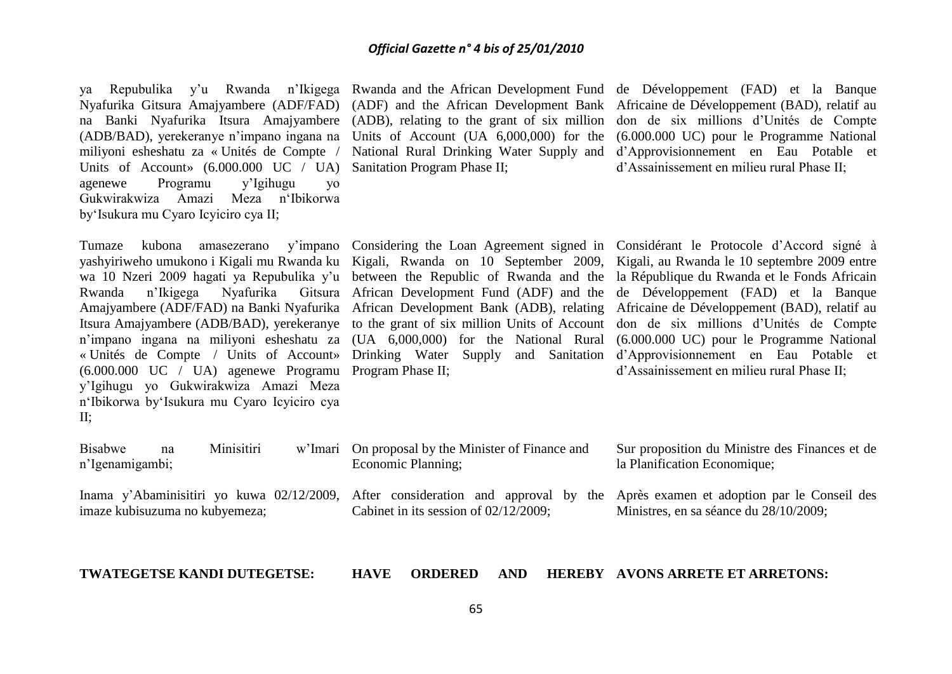ya Repubulika y'u Rwanda n'Ikigega Rwanda and the African-Development-Fund de Développement (FAD) et la Banque Nyafurika Gitsura Amajyambere (ADF/FAD) (ADF) and the African Development Bank Africaine de Développement (BAD), relatif au na Banki Nyafurika Itsura Amajyambere (ADB), relating to the grant of six million don de six millions d'Unités de Compte (ADB/BAD), yerekeranye n'impano ingana na Units of Account (UA 6,000,000) for the miliyoni esheshatu za « Unités de Compte / Units of Account» (6.000.000 UC / UA) Sanitation Program Phase II; agenewe Programu y'Igihugu yo Gukwirakwiza Amazi Meza n'Ibikorwa by'Isukura mu Cyaro Icyiciro cya II;

yashyiriweho umukono i Kigali mu Rwanda ku Kigali, Rwanda on 10 September 2009, Kigali, au Rwanda le 10 septembre 2009 entre wa 10 Nzeri 2009 hagati ya Repubulika y'u between the Republic of Rwanda and the la République du Rwanda et le Fonds Africain Rwanda n'Ikigega Nyafurika Gitsura African Development Fund (ADF) and the de Développement (FAD) et la Banque Amajyambere (ADF/FAD) na Banki Nyafurika African Development Bank (ADB), relating Africaine de Développement (BAD), relatif au Itsura Amajyambere (ADB/BAD), yerekeranye to the grant of six million Units of Account don de six millions d'Unités de Compte n'impano ingana na miliyoni esheshatu za (UA 6,000,000) for the National Rural (6.000.000 UC) pour le Programme National « Unités de Compte / Units of Account» Drinking Water Supply and Sanitation d'Approvisionnement en Eau Potable et (6.000.000 UC / UA) agenewe Programu Program Phase II; y'Igihugu yo Gukwirakwiza Amazi Meza n'Ibikorwa by'Isukura mu Cyaro Icyiciro cya II;

n'Igenamigambi;

imaze kubisuzuma no kubyemeza;

National Rural Drinking Water Supply and d'Approvisionnement en Eau Potable et (6.000.000 UC) pour le Programme National d'Assainissement en milieu rural Phase II;

Tumaze kubona amasezerano y'impano Considering the Loan Agreement signed in Considérant le Protocole d'Accord signé à d'Assainissement en milieu rural Phase II;

Bisabwe na Minisitiri w'Imari On proposal by the Minister of Finance and Economic Planning;

Cabinet in its session of 02/12/2009;

Sur proposition du Ministre des Finances et de la Planification Economique;

Inama y'Abaminisitiri yo kuwa 02/12/2009, After consideration and approval by the Après examen et adoption par le Conseil des Ministres, en sa séance du 28/10/2009;

**TWATEGETSE KANDI DUTEGETSE:**

#### **HAVE ORDERED AND AVONS ARRETE ET ARRETONS:**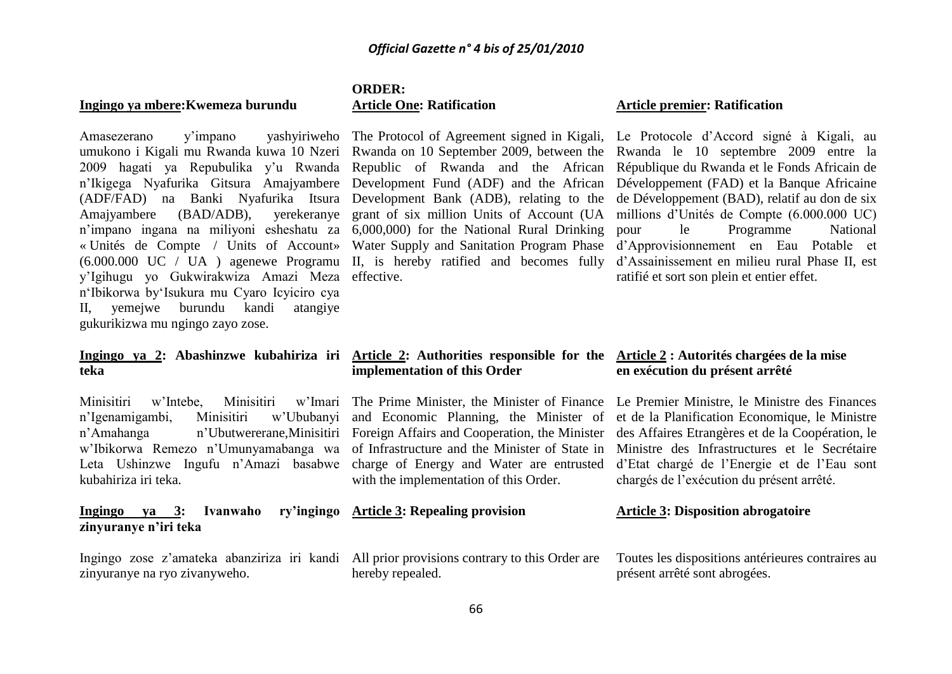#### **Ingingo ya mbere:Kwemeza burundu**

Amasezerano y'impano yashyiriweho The Protocol of Agreement signed in Kigali, Le Protocole d'Accord signé à Kigali, au umukono i Kigali mu Rwanda kuwa 10 Nzeri Rwanda on 10 September 2009, between the Rwanda le 10 septembre 2009 entre la 2009 hagati ya Repubulika y'u Rwanda Republic of Rwanda and the African République-du-Rwanda-et-le-Fonds-Africain-de n'Ikigega Nyafurika Gitsura Amajyambere Development Fund (ADF) and the African Développement (FAD) et la Banque Africaine (ADF/FAD) na Banki Nyafurika Itsura Development Bank (ADB), relating to the de Développement (BAD), relatif au don de six Amajyambere (BAD/ADB), yerekeranye grant of six million Units of Account (UA millions d'Unités de Compte (6.000.000 UC) n'impano ingana na miliyoni esheshatu za 6,000,000) for the National Rural Drinking « Unités de Compte / Units of Account» Water Supply and Sanitation Program Phase d'Approvisionnement en Eau Potable et (6.000.000 UC / UA ) agenewe Programu II, is hereby ratified and becomes fully d'Assainissement en milieu rural Phase II, est y'Igihugu yo Gukwirakwiza Amazi Meza effective. n'Ibikorwa by'Isukura mu Cyaro Icyiciro cya II, yemejwe burundu kandi atangiye gukurikizwa mu ngingo zayo zose.

#### **ORDER: Article One: Ratification**

#### **Article premier: Ratification**

le Programme National ratifié et sort son plein et entier effet.

## **teka**

Minisitiri w'Intebe, Minisitiri n'Igenamigambi, Minisitiri Leta Ushinzwe Ingufu n'Amazi basabwe charge of Energy and Water are entrusted kubahiriza iri teka.

**Ingingo va 3: Ivanwaho zinyuranye n'iri teka**

Ingingo zose z'amateka abanziriza iri kandi All prior provisions contrary to this Order are zinyuranye na ryo zivanyweho.

## **implementation of this Order**

with the implementation of this Order.

### **Article 3: Repealing provision**

hereby repealed.

#### **Ingingo ya 2: Abashinzwe kubahiriza iri Article 2: Authorities responsible for the Article 2 : Autorités chargées de la mise en exécution du présent arrêté**

n'Amahanga n'Ubutwererane,Minisitiri Foreign Affairs and Cooperation, the Minister des Affaires Etrangères et de la Coopération, le w'Ibikorwa Remezo n'Umunyamabanga wa of Infrastructure and the Minister of State in Ministre des Infrastructures et le Secrétaire The Prime Minister, the Minister of Finance Le Premier Ministre, le Ministre des Finances and Economic Planning, the Minister of et de la Planification Economique, le Ministre d'Etat chargé de l'Energie et de l'Eau sont chargés de l'exécution du présent arrêté.

#### **Article 3: Disposition abrogatoire**

Toutes les dispositions antérieures contraires au présent arrêté sont abrogées.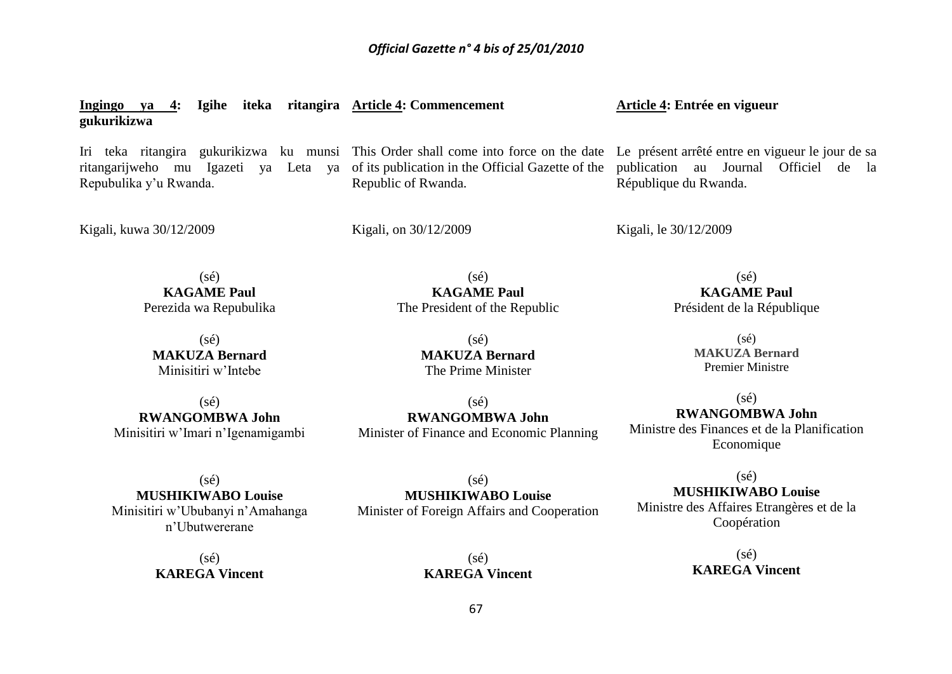**Ingingo ya 4: Igihe iteka ritangira Article 4: Commencement gukurikizwa** Iri teka ritangira gukurikizwa ku munsi This Order shall come into force on the date Le présent arrêté entre en vigueur le jour de sa ritangarijweho mu Igazeti ya Leta ya of its publication in the Official Gazette of the Repubulika y'u Rwanda. Kigali, kuwa 30/12/2009  $(sé)$ **KAGAME Paul** Perezida wa Repubulika  $(sé)$ **MAKUZA Bernard** Minisitiri w'Intebe Republic of Rwanda. Kigali, on 30/12/2009  $(sé)$ **KAGAME Paul** The President of the Republic (sé) **MAKUZA Bernard** The Prime Minister **Article 4: Entrée en vigueur** publication au Journal Officiel de la République du Rwanda. Kigali, le 30/12/2009  $(sé)$ **KAGAME Paul** Président de la République  $(sé)$ **MAKUZA Bernard** Premier Ministre

 $(sé)$ **RWANGOMBWA John** Minisitiri w'Imari n'Igenamigambi

 $(sé)$ **RWANGOMBWA John** Minister of Finance and Economic Planning

 $(s\acute{e})$ **RWANGOMBWA John** Ministre des Finances et de la Planification Economique

(sé) **MUSHIKIWABO Louise** Minisitiri w'Ububanyi n'Amahanga n'Ubutwererane

> $(s<sub>é</sub>)$ **KAREGA Vincent**

 $(sé)$ **MUSHIKIWABO Louise** Minister of Foreign Affairs and Cooperation

67

 $(sé)$ **KAREGA Vincent**

**MUSHIKIWABO Louise** Ministre des Affaires Etrangères et de la Coopération

 $(s<sub>é</sub>)$ 

 $(s\acute{e})$ **KAREGA Vincent**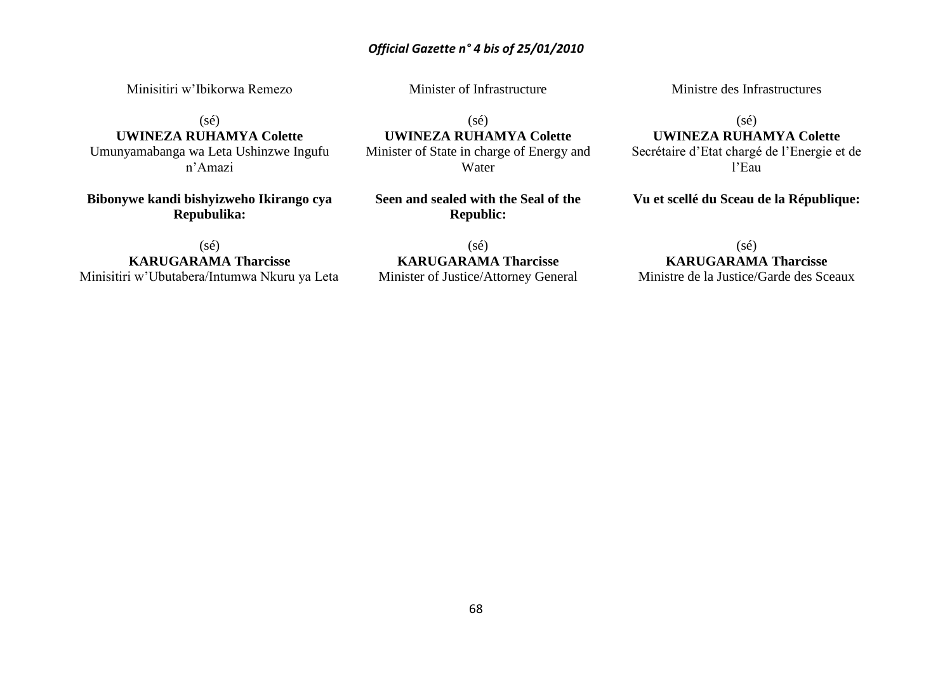Minisitiri w'Ibikorwa Remezo

Minister of Infrastructure

 $(sé)$ 

**UWINEZA RUHAMYA Colette** Umunyamabanga wa Leta Ushinzwe Ingufu

n'Amazi

**Bibonywe kandi bishyizweho Ikirango cya Repubulika:**

 $(sé)$ **UWINEZA RUHAMYA Colette** Minister of State in charge of Energy and Water

**Seen and sealed with the Seal of the Republic:**

(sé) **KARUGARAMA Tharcisse** Minisitiri w'Ubutabera/Intumwa Nkuru ya Leta

 $(sé)$ **KARUGARAMA Tharcisse** Minister of Justice/Attorney General Ministre des Infrastructures

 $(sé)$ 

**UWINEZA RUHAMYA Colette** Secrétaire d'Etat chargé de l'Energie et de l'Eau

**Vu et scellé du Sceau de la République:**

(sé) **KARUGARAMA Tharcisse**

Ministre de la Justice/Garde des Sceaux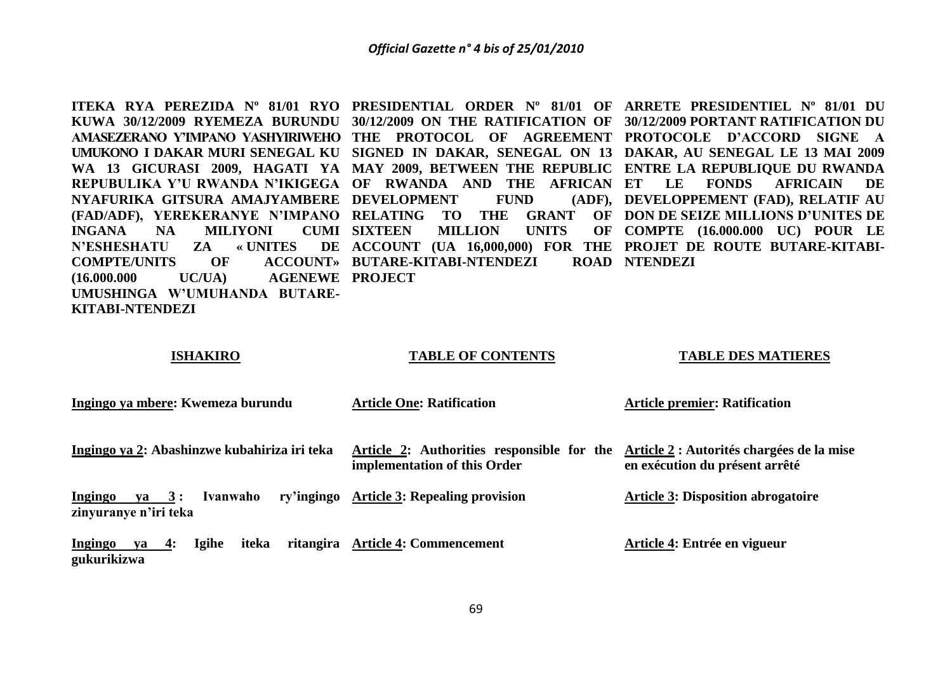**ITEKA RYA PEREZIDA Nº 81/01 RYO PRESIDENTIAL ORDER Nº 81/01 OF ARRETE PRESIDENTIEL Nº 81/01 DU KUWA 30/12/2009 RYEMEZA BURUNDU 30/12/2009 ON THE RATIFICATION OF 30/12/2009 PORTANT RATIFICATION DU AMASEZERANO Y'IMPANO YASHYIRIWEHO THE PROTOCOL OF AGREEMENT PROTOCOLE D'ACCORD SIGNE A UMUKONO I DAKAR MURI SENEGAL KU SIGNED IN DAKAR, SENEGAL ON 13 DAKAR, AU SENEGAL LE 13 MAI 2009 WA 13 GICURASI 2009, HAGATI YA MAY 2009, BETWEEN THE REPUBLIC ENTRE LA REPUBLIQUE DU RWANDA REPUBULIKA Y'U RWANDA N'IKIGEGA OF RWANDA AND THE AFRICAN ET LE FONDS AFRICAIN DE NYAFURIKA GITSURA AMAJYAMBERE DEVELOPMENT FUND (ADF), (FAD/ADF), YEREKERANYE N'IMPANO RELATING TO THE GRANT OF DON DE SEIZE MILLIONS D'UNITES DE INGANA NA MILIYONI CUMI SIXTEEN N'ESHESHATU ZA « UNITES COMPTE/UNITS OF**  $(16.000.000$  UC/UA) **UMUSHINGA W'UMUHANDA BUTARE-KITABI-NTENDEZI MILLION UNITS ACCOUNT (UA 16,000,000) FOR THE PROJET DE ROUTE BUTARE-KITABI-BUTARE-KITABI-NTENDEZI ROAD NTENDEZI AGENEWE PROJECT DEVELOPPEMENT (FAD), RELATIF AU COMPTE (16.000.000 UC) POUR LE** 

#### **ISHAKIRO**

#### **TABLE OF CONTENTS**

#### **TABLE DES MATIERES**

| Ingingo ya mbere: Kwemeza burundu                             | <b>Article One: Ratification</b>                                           | <b>Article premier: Ratification</b>                                        |
|---------------------------------------------------------------|----------------------------------------------------------------------------|-----------------------------------------------------------------------------|
| Ingingo ya 2: Abashinzwe kubahiriza iri teka                  | Article 2: Authorities responsible for the<br>implementation of this Order | Article 2 : Autorités chargées de la mise<br>en exécution du présent arrêté |
| Ivanwaho<br>$ya \quad 3:$<br>Ingingo<br>zinyuranye n'iri teka | ry'ingingo Article 3: Repealing provision                                  | <b>Article 3: Disposition abrogatoire</b>                                   |
| iteka<br><b>Igihe</b><br>ya 4:<br>Ingingo<br>gukurikizwa      | ritangira Article 4: Commencement                                          | Article 4: Entrée en vigueur                                                |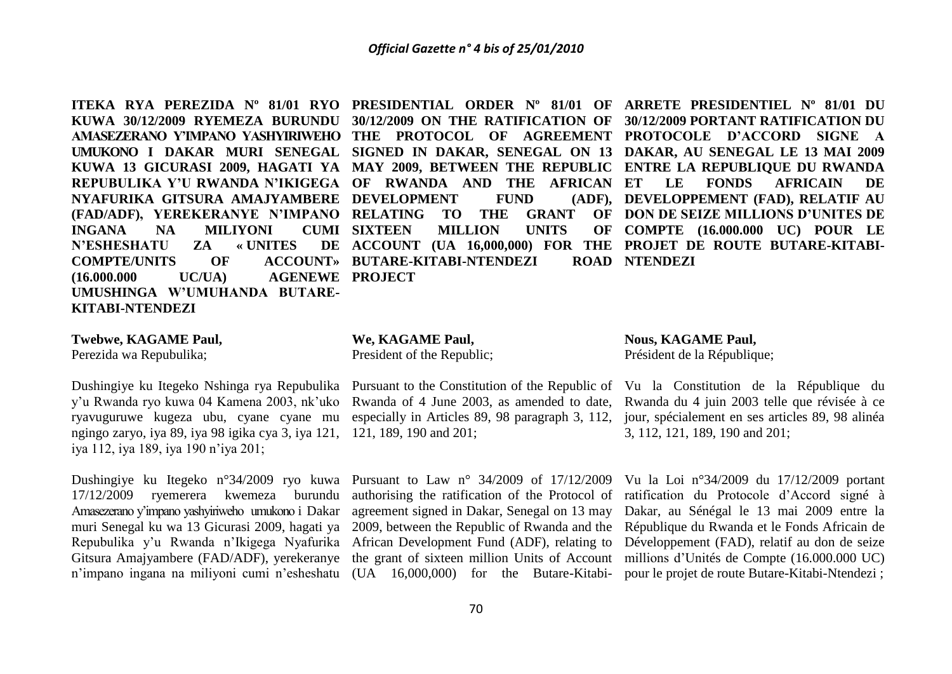**KUWA 30/12/2009 RYEMEZA BURUNDU 30/12/2009 ON THE RATIFICATION OF 30/12/2009 PORTANT RATIFICATION DU AMASEZERANO Y'IMPANO YASHYIRIWEHO THE PROTOCOL OF AGREEMENT PROTOCOLE D'ACCORD SIGNE A UMUKONO I DAKAR MURI SENEGAL SIGNED IN DAKAR, SENEGAL ON 13 DAKAR, AU SENEGAL LE 13 MAI 2009 KUWA 13 GICURASI 2009, HAGATI YA MAY 2009, BETWEEN THE REPUBLIC ENTRE LA REPUBLIQUE DU RWANDA REPUBULIKA Y'U RWANDA N'IKIGEGA OF RWANDA AND THE AFRICAN NYAFURIKA GITSURA AMAJYAMBERE DEVELOPMENT FUND (ADF), (FAD/ADF), YEREKERANYE N'IMPANO RELATING TO THE GRANT OF INGANA NA MILIYONI CUMI SIXTEEN N'ESHESHATU ZA « UNITES**  $COMPTE/UNITS$  **OF (16.000.000 UC/UA) AGENEWE PROJECT UMUSHINGA W'UMUHANDA BUTARE-KITABI-NTENDEZI**

**MILLION UNITS ACCOUNT» BUTARE-KITABI-NTENDEZI** 

**ITEKA RYA PEREZIDA Nº 81/01 RYO PRESIDENTIAL ORDER Nº 81/01 OF ARRETE PRESIDENTIEL Nº 81/01 DU ACCOUNT (UA 16,000,000) FOR THE PROJET DE ROUTE BUTARE-KITABI-ET LE FONDS AFRICAIN DE DEVELOPPEMENT (FAD), RELATIF AU DON DE SEIZE MILLIONS D'UNITES DE COMPTE (16.000.000 UC) POUR LE ROAD NTENDEZI** 

#### **Twebwe, KAGAME Paul,**

Perezida wa Repubulika;

y'u Rwanda ryo kuwa 04 Kamena 2003, nk'uko Rwanda of 4 June 2003, as amended to date, ryavuguruwe kugeza ubu, cyane cyane mu especially in Articles 89, 98 paragraph 3, 112, ngingo zaryo, iya 89, iya 98 igika cya 3, iya 121, 121, 189, 190 and 201; iya 112, iya 189, iya 190 n'iya 201;

17/12/2009 ryemerera kwemeza burundu authorising the ratification of the Protocol of ratification du Protocole d'Accord signé à Amasezerano y'impano yashyiriweho umukono i Dakar agreement signed in Dakar, Senegal on 13 may Dakar, au Sénégal le 13 mai 2009 entre la muri Senegal ku wa 13 Gicurasi 2009, hagati ya 2009, between the Republic of Rwanda and the République du Rwanda et le Fonds Africain de Repubulika y'u Rwanda n'Ikigega Nyafurika African Development Fund (ADF), relating to Développement (FAD), relatif au don de seize Gitsura Amajyambere (FAD/ADF), yerekeranye the grant of sixteen million Units of Account millions d'Unités de Compte (16.000.000 UC)

**We, KAGAME Paul,**

President of the Republic;

Dushingiye ku Itegeko n°34/2009 ryo kuwa Pursuant to Law n° 34/2009 of 17/12/2009 Vu la Loi n°34/2009 du 17/12/2009 portant

**Nous, KAGAME Paul,** Président de la République;

Dushingiye ku Itegeko Nshinga rya Repubulika Pursuant to the Constitution of the Republic of Vu la Constitution de la République du Rwanda du 4 juin 2003 telle que révisée à ce jour, spécialement en ses articles 89, 98 alinéa 3, 112, 121, 189, 190 and 201;

n'impano ingana na miliyoni cumi n'esheshatu (UA 16,000,000) for the Butare-Kitabi-pour le projet de route Butare-Kitabi-Ntendezi ;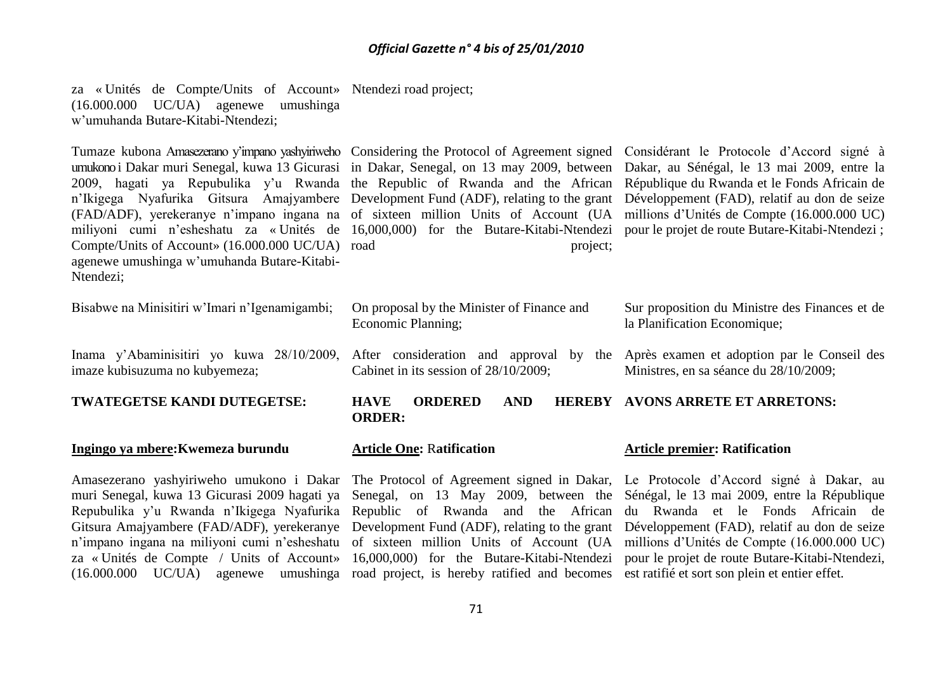za « Unités de Compte/Units of Account» Ntendezi road project; (16.000.000 UC/UA) agenewe umushinga w'umuhanda Butare-Kitabi-Ntendezi;

umukono i Dakar muri Senegal, kuwa 13 Gicurasi in Dakar, Senegal, on 13 may 2009, between Dakar, au Sénégal, le 13 mai 2009, entre la 2009, hagati ya Repubulika y'u Rwanda the Republic of Rwanda and the African République du Rwanda et le Fonds Africain de n'Ikigega Nyafurika Gitsura Amajyambere Development Fund (ADF), relating to the grant Développement (FAD), relatif au don de seize (FAD/ADF), yerekeranye n'impano ingana na of sixteen million Units of Account (UA millions d'Unités de Compte (16.000.000 UC) miliyoni cumi n'esheshatu za « Unités de 16,000,000) for the Butare-Kitabi-Ntendezi pour le projet de route Butare-Kitabi-Ntendezi ; Compte/Units of Account» (16.000.000 UC/UA) agenewe umushinga w'umuhanda Butare-Kitabi-Ntendezi;

project;

Tumaze kubona Amasezerano y'impano yashyiriweho Considering the Protocol of Agreement signed Considérant le Protocole d'Accord signé à

| Bisabwe na Minisitiri w'Imari n'Igenamigambi;                                                                                                                   | On proposal by the Minister of Finance and<br>Economic Planning;              | Sur proposition du Ministre des Finances et de<br>la Planification Economique; |  |  |
|-----------------------------------------------------------------------------------------------------------------------------------------------------------------|-------------------------------------------------------------------------------|--------------------------------------------------------------------------------|--|--|
| Inama y'Abaminisitiri yo kuwa 28/10/2009, After consideration and approval by the Après examen et adoption par le Conseil des<br>imaze kubisuzuma no kubyemeza; | Cabinet in its session of 28/10/2009;                                         | Ministres, en sa séance du 28/10/2009;                                         |  |  |
| TWATEGETSE KANDI DUTEGETSE:                                                                                                                                     | <b>ORDERED</b><br><b>HERERY</b><br><b>AND</b><br><b>HAVE</b><br><b>ORDER:</b> | <b>AVONS ARRETE ET ARRETONS:</b>                                               |  |  |
| Ingingo ya mbere: Kwemeza burundu                                                                                                                               | <b>Article One: Ratification</b>                                              | <b>Article premier: Ratification</b>                                           |  |  |
| Amasezerano yashyiriweho umukono i Dakar The Protocol of Agreement signed in Dakar, Le Protocole d'Accord signé à Dakar, au                                     |                                                                               |                                                                                |  |  |

muri Senegal, kuwa 13 Gicurasi 2009 hagati ya Senegal, on 13 May 2009, between the Sénégal, le 13 mai 2009, entre la République Repubulika y'u Rwanda n'Ikigega Nyafurika Republic of Rwanda and the African du Rwanda et le Fonds Africain de Gitsura Amajyambere (FAD/ADF), yerekeranye Development Fund (ADF), relating to the grant Développement (FAD), relatif au don de seize n'impano ingana na miliyoni cumi n'esheshatu of sixteen million Units of Account (UA millions d'Unités de Compte (16.000.000 UC) za « Unités de Compte / Units of Account» 16,000,000) for the Butare-Kitabi-Ntendezi pour le projet de route Butare-Kitabi-Ntendezi, (16.000.000 UC/UA) agenewe umushinga road project, is hereby ratified and becomes est ratifié et sort son plein et entier effet.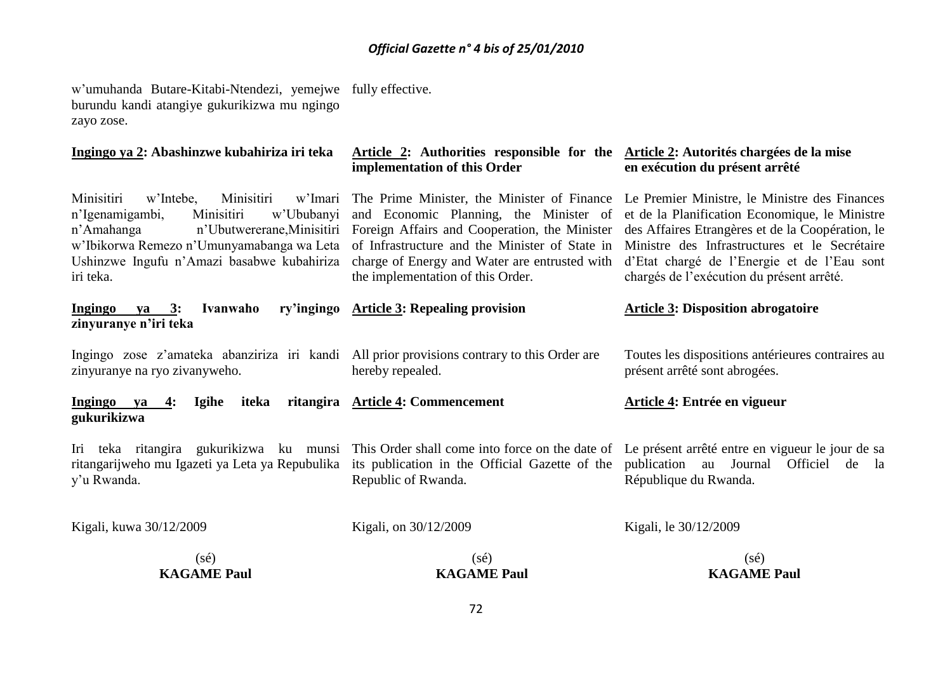w'umuhanda Butare-Kitabi-Ntendezi, yemejwe fully effective. burundu kandi atangiye gukurikizwa mu ngingo zayo zose.

| Ingingo ya 2: Abashinzwe kubahiriza iri teka                                                                                                                                                                                                        | Article 2: Authorities responsible for the Article 2: Autorités chargées de la mise<br>implementation of this Order                                                                                                                                                                                                                                                        | en exécution du présent arrêté                                                                                                                                                           |
|-----------------------------------------------------------------------------------------------------------------------------------------------------------------------------------------------------------------------------------------------------|----------------------------------------------------------------------------------------------------------------------------------------------------------------------------------------------------------------------------------------------------------------------------------------------------------------------------------------------------------------------------|------------------------------------------------------------------------------------------------------------------------------------------------------------------------------------------|
| Minisitiri<br>Minisitiri<br>w'Imari<br>w'Intebe,<br>Minisitiri<br>w'Ububanyi<br>n'Igenamigambi,<br>n'Amahanga<br>n'Ubutwererane, Minisitiri<br>w'Ibikorwa Remezo n'Umunyamabanga wa Leta<br>Ushinzwe Ingufu n'Amazi basabwe kubahiriza<br>iri teka. | The Prime Minister, the Minister of Finance Le Premier Ministre, le Ministre des Finances<br>and Economic Planning, the Minister of<br>Foreign Affairs and Cooperation, the Minister des Affaires Etrangères et de la Coopération, le<br>of Infrastructure and the Minister of State in Ministre des Infrastructures et le Secrétaire<br>the implementation of this Order. | et de la Planification Economique, le Ministre<br>charge of Energy and Water are entrusted with d'Etat chargé de l'Energie et de l'Eau sont<br>chargés de l'exécution du présent arrêté. |
| Ingingo<br>ya $3:$<br>Ivanwaho<br>zinyuranye n'iri teka                                                                                                                                                                                             | ry'ingingo Article 3: Repealing provision                                                                                                                                                                                                                                                                                                                                  | <b>Article 3: Disposition abrogatoire</b>                                                                                                                                                |
| Ingingo zose z'amateka abanziriza iri kandi All prior provisions contrary to this Order are<br>zinyuranye na ryo zivanyweho.                                                                                                                        | hereby repealed.                                                                                                                                                                                                                                                                                                                                                           | Toutes les dispositions antérieures contraires au<br>présent arrêté sont abrogées.                                                                                                       |
| Ingingo ya<br>iteka<br>Igihe<br>4:<br>gukurikizwa                                                                                                                                                                                                   | ritangira Article 4: Commencement                                                                                                                                                                                                                                                                                                                                          | Article 4: Entrée en vigueur                                                                                                                                                             |
| Iri teka ritangira gukurikizwa ku munsi This Order shall come into force on the date of Le présent arrêté entre en vigueur le jour de sa<br>ritangarijweho mu Igazeti ya Leta ya Repubulika<br>y'u Rwanda.                                          | its publication in the Official Gazette of the publication au Journal Officiel de la<br>Republic of Rwanda.                                                                                                                                                                                                                                                                | République du Rwanda.                                                                                                                                                                    |
| Kigali, kuwa 30/12/2009                                                                                                                                                                                                                             | Kigali, on 30/12/2009                                                                                                                                                                                                                                                                                                                                                      | Kigali, le 30/12/2009                                                                                                                                                                    |
| $(s\acute{e})$<br><b>KAGAME Paul</b>                                                                                                                                                                                                                | $(s\acute{e})$<br><b>KAGAME Paul</b>                                                                                                                                                                                                                                                                                                                                       | $(s\acute{e})$<br><b>KAGAME Paul</b>                                                                                                                                                     |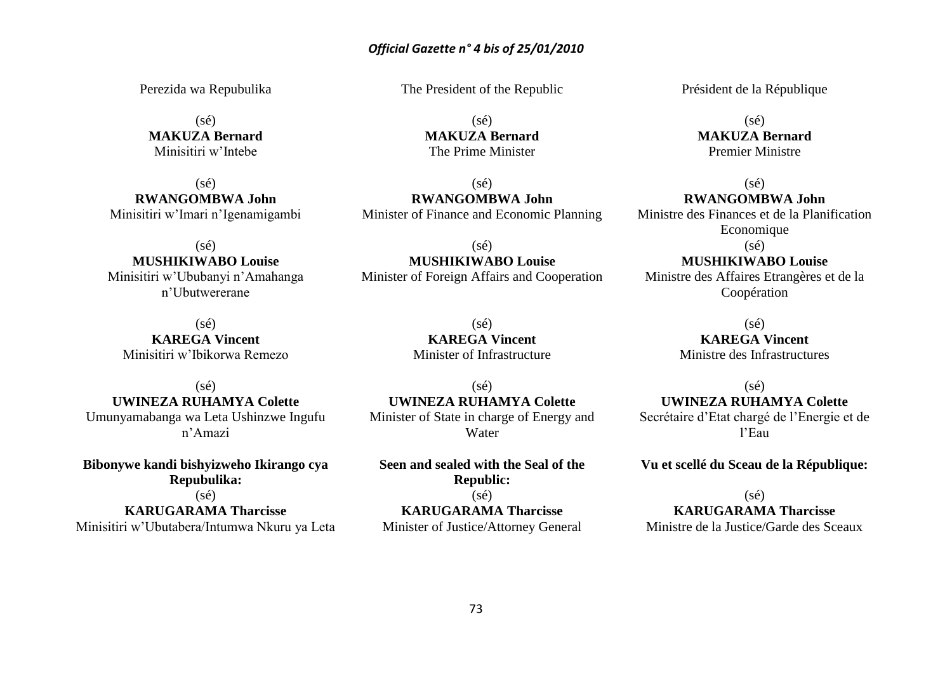## *Official Gazette n° 4 bis of 25/01/2010*

Perezida wa Repubulika

 $(sé)$ **MAKUZA Bernard** Minisitiri w'Intebe

(sé) **RWANGOMBWA John** Minisitiri w'Imari n'Igenamigambi

 $(sé)$ **MUSHIKIWABO Louise** Minisitiri w'Ububanyi n'Amahanga n'Ubutwererane

 $(sé)$ **KAREGA Vincent** Minisitiri w'Ibikorwa Remezo

(sé) **UWINEZA RUHAMYA Colette** Umunyamabanga wa Leta Ushinzwe Ingufu n'Amazi

**Bibonywe kandi bishyizweho Ikirango cya Repubulika:**

 $(sé)$ 

**KARUGARAMA Tharcisse** Minisitiri w'Ubutabera/Intumwa Nkuru ya Leta The President of the Republic

(sé) **MAKUZA Bernard** The Prime Minister

(sé) **RWANGOMBWA John** Minister of Finance and Economic Planning

(sé) **MUSHIKIWABO Louise** Minister of Foreign Affairs and Cooperation

> $(sé)$ **KAREGA Vincent** Minister of Infrastructure

(sé) **UWINEZA RUHAMYA Colette** Minister of State in charge of Energy and Water

**Seen and sealed with the Seal of the Republic:**

 $(sé)$ **KARUGARAMA Tharcisse** Minister of Justice/Attorney General Président de la République

(sé) **MAKUZA Bernard** Premier Ministre

(sé) **RWANGOMBWA John** Ministre des Finances et de la Planification Economique (sé)

**MUSHIKIWABO Louise** Ministre des Affaires Etrangères et de la Coopération

> (sé) **KAREGA Vincent** Ministre des Infrastructures

> > $(s\acute{e})$

# **UWINEZA RUHAMYA Colette**

Secrétaire d'Etat chargé de l'Energie et de l'Eau

**Vu et scellé du Sceau de la République:**

(sé)

**KARUGARAMA Tharcisse**

Ministre de la Justice/Garde des Sceaux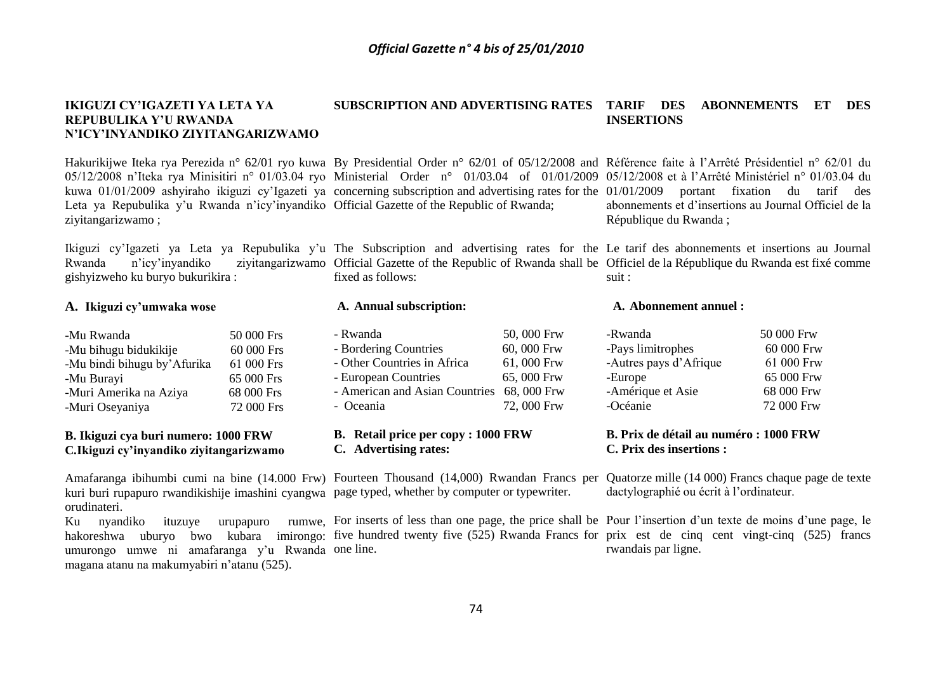#### **IKIGUZI CY'IGAZETI YA LETA YA REPUBULIKA Y'U RWANDA N'ICY'INYANDIKO ZIYITANGARIZWAMO SUBSCRIPTION AND ADVERTISING RATES TARIF DES ABONNEMENTS ET DES INSERTIONS**

Hakurikijwe Iteka rya Perezida n° 62/01 ryo kuwa By Presidential Order n° 62/01 of 05/12/2008 and Référence faite à l'Arrêté Présidentiel n° 62/01 du 05/12/2008 n'Iteka rya Minisitiri n° 01/03.04 ryo Ministerial Order n° 01/03.04 of 01/01/2009 05/12/2008 et à l'Arrêté Ministériel n° 01/03.04 du kuwa 01/01/2009 ashyiraho ikiguzi cy'Igazeti ya concerning subscription and advertising rates for the 01/01/2009 portant fixation du tarif des Leta ya Repubulika y'u Rwanda n'icy'inyandiko Official Gazette of the Republic of Rwanda; ziyitangarizwamo ;

fixed as follows:

**A. Annual subscription:**

**C. Advertising rates:**

- Rwanda 50, 000 Frw - Bordering Countries 60, 000 Frw - Other Countries in Africa 61, 000 Frw - European Countries 65, 000 Frw - American and Asian Countries 68, 000 Frw - Oceania 72, 000 Frw

**B. Retail price per copy : 1000 FRW**

gishyizweho ku buryo bukurikira :

### **A. Ikiguzi cy'umwaka wose**

-Mu Rwanda 50 000 Frs -Mu bihugu bidukikije 60 000 Frs -Mu bindi bihugu by'Afurika 61 000 Frs -Mu Burayi 65 000 Frs -Muri Amerika na Aziya 68 000 Frs -Muri Oseyaniya 72 000 Frs

#### **B. Ikiguzi cya buri numero: 1000 FRW C***.***Ikiguzi cy'inyandiko ziyitangarizwamo**

kuri buri rupapuro rwandikishije imashini cyangwa page typed, whether by computer or typewriter. orudinateri.

Ku nyandiko ituzuye urupapuro hakoreshwa uburyo bwo kubara imirongo: five-hundred-twenty-five (525) Rwanda-Francs-for-prix est de cinq cent vingt-cinq (525) francs umurongo umwe ni amafaranga y'u Rwanda one line. magana atanu na makumyabiri n'atanu (525).

abonnements et d'insertions au Journal Officiel de la République du Rwanda ;

Ikiguzi cy'Igazeti ya Leta ya Repubulika y'u The Subscription and advertising rates for the Le tarif des abonnements et insertions au Journal Rwanda n'icy'inyandiko ziyitangarizwamo Official Gazette of the Republic of Rwanda shall be Officiel de la République du Rwanda est fixé comme suit :

#### **A. Abonnement annuel :**

| -Rwanda                | 50 000 Frw |
|------------------------|------------|
| -Pays limitrophes      | 60 000 Frw |
| -Autres pays d'Afrique | 61 000 Frw |
| -Europe                | 65 000 Frw |
| -Amérique et Asie      | 68 000 Frw |
| -Océanie               | 72 000 Frw |

#### **B. Prix de détail au numéro : 1000 FRW C. Prix des insertions :**

Amafaranga ibihumbi cumi na bine (14.000 Frw) Fourteen Thousand (14,000) Rwandan Francs per Quatorze mille (14 000) Francs chaque page de texte dactylographié ou écrit à l'ordinateur.

> For inserts of less than one page, the price shall be Pour l'insertion d'un texte de moins d'une page, le rwandais par ligne.